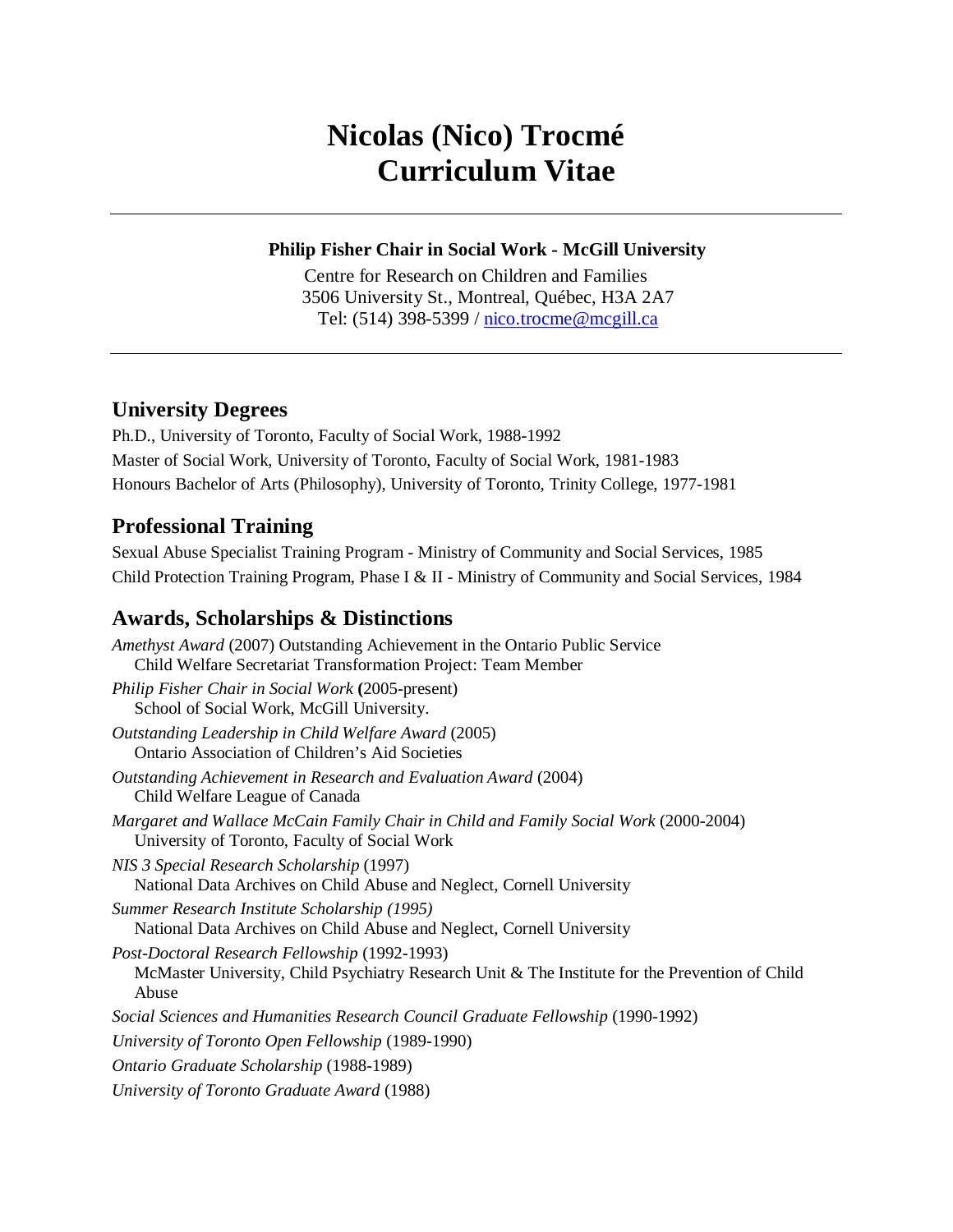# **Nicolas (Nico) Trocmé Curriculum Vitae**

### **Philip Fisher Chair in Social Work - McGill University**

Centre for Research on Children and Families 3506 University St., Montreal, Québec, H3A 2A7 Tel: (514) 398-5399 / [nico.trocme@mcgill.ca](mailto:nico.trocme@mcgill.ca)

# **University Degrees**

Ph.D., University of Toronto, Faculty of Social Work, 1988-1992 Master of Social Work, University of Toronto, Faculty of Social Work, 1981-1983 Honours Bachelor of Arts (Philosophy), University of Toronto, Trinity College, 1977-1981

# **Professional Training**

Sexual Abuse Specialist Training Program - Ministry of Community and Social Services, 1985 Child Protection Training Program, Phase I & II - Ministry of Community and Social Services, 1984

# **Awards, Scholarships & Distinctions**

*Amethyst Award* (2007) Outstanding Achievement in the Ontario Public Service Child Welfare Secretariat Transformation Project: Team Member *Philip Fisher Chair in Social Work* **(**2005-present) School of Social Work, McGill University. *Outstanding Leadership in Child Welfare Award* (2005) Ontario Association of Children's Aid Societies *Outstanding Achievement in Research and Evaluation Award* (2004) Child Welfare League of Canada *Margaret and Wallace McCain Family Chair in Child and Family Social Work* (2000-2004) University of Toronto, Faculty of Social Work *NIS 3 Special Research Scholarship* (1997) National Data Archives on Child Abuse and Neglect, Cornell University *Summer Research Institute Scholarship (1995)* National Data Archives on Child Abuse and Neglect, Cornell University *Post-Doctoral Research Fellowship* (1992-1993) McMaster University, Child Psychiatry Research Unit & The Institute for the Prevention of Child Abuse *Social Sciences and Humanities Research Council Graduate Fellowship* (1990-1992) *University of Toronto Open Fellowship* (1989-1990) *Ontario Graduate Scholarship* (1988-1989) *University of Toronto Graduate Award* (1988)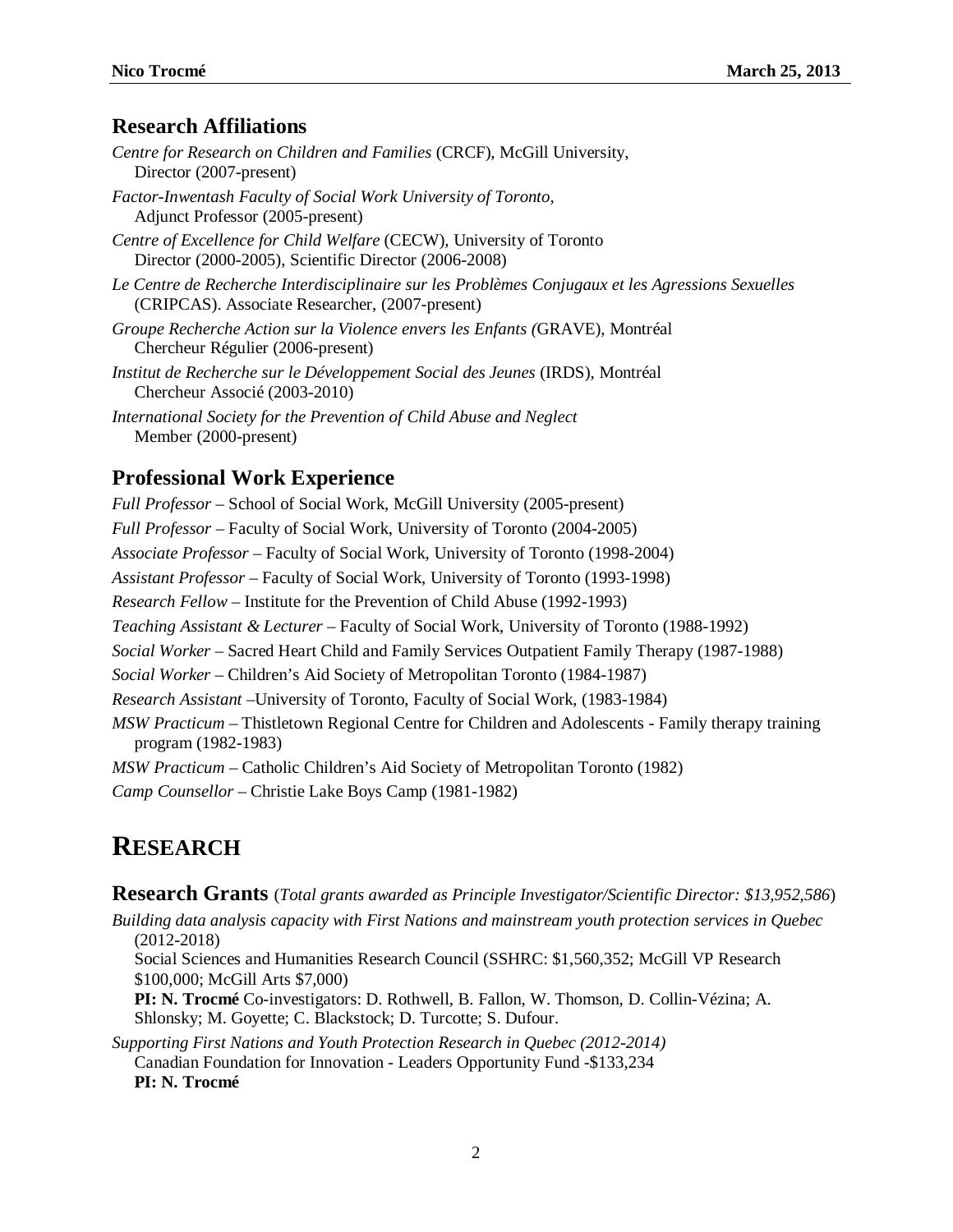#### **Research Affiliations**

- *Centre for Research on Children and Families* (CRCF), McGill University, Director (2007-present)
- *Factor-Inwentash Faculty of Social Work University of Toronto,* Adjunct Professor (2005-present)
- *Centre of Excellence for Child Welfare* (CECW), University of Toronto Director (2000-2005), Scientific Director (2006-2008)
- *Le Centre de Recherche Interdisciplinaire sur les Problèmes Conjugaux et les Agressions Sexuelles* (CRIPCAS). Associate Researcher, (2007-present)
- *Groupe Recherche Action sur la Violence envers les Enfants (*GRAVE), Montréal Chercheur Régulier (2006-present)
- *Institut de Recherche sur le Développement Social des Jeunes* (IRDS), Montréal Chercheur Associé (2003-2010)
- *International Society for the Prevention of Child Abuse and Neglect* Member (2000-present)

### **Professional Work Experience**

*Full Professor* – School of Social Work, McGill University (2005-present) *Full Professor* – Faculty of Social Work, University of Toronto (2004-2005) *Associate Professor* – Faculty of Social Work, University of Toronto (1998-2004) *Assistant Professor* – Faculty of Social Work, University of Toronto (1993-1998) *Research Fellow* – Institute for the Prevention of Child Abuse (1992-1993) *Teaching Assistant & Lecturer* – Faculty of Social Work, University of Toronto (1988-1992) *Social Worker* – Sacred Heart Child and Family Services Outpatient Family Therapy (1987-1988) *Social Worker* – Children's Aid Society of Metropolitan Toronto (1984-1987) *Research Assistant* –University of Toronto, Faculty of Social Work, (1983-1984) *MSW Practicum* – Thistletown Regional Centre for Children and Adolescents - Family therapy training program (1982-1983) *MSW Practicum* – Catholic Children's Aid Society of Metropolitan Toronto (1982) *Camp Counsellor* – Christie Lake Boys Camp (1981-1982)

# **RESEARCH**

**Research Grants** (*Total grants awarded as Principle Investigator/Scientific Director: \$13,952,586*)

*Building data analysis capacity with First Nations and mainstream youth protection services in Quebec* (2012-2018)

Social Sciences and Humanities Research Council (SSHRC: \$1,560,352; McGill VP Research \$100,000; McGill Arts \$7,000)

**PI: N. Trocmé** Co-investigators: D. Rothwell, B. Fallon, W. Thomson, D. Collin-Vézina; A. Shlonsky; M. Goyette; C. Blackstock; D. Turcotte; S. Dufour.

*Supporting First Nations and Youth Protection Research in Quebec (2012-2014)* Canadian Foundation for Innovation - Leaders Opportunity Fund -\$133,234 **PI: N. Trocmé**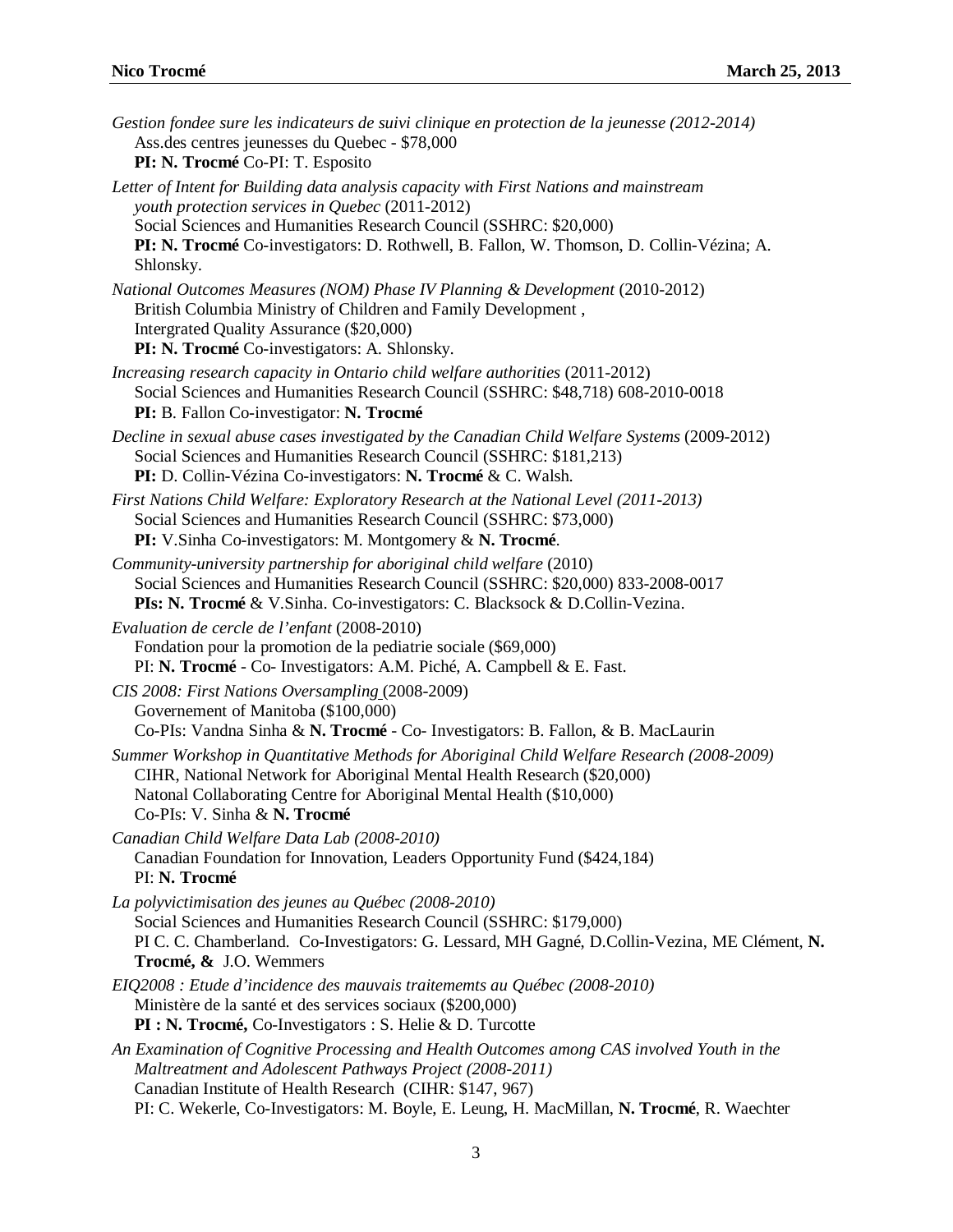| Gestion fondee sure les indicateurs de suivi clinique en protection de la jeunesse (2012-2014)<br>Ass.des centres jeunesses du Quebec - \$78,000<br>PI: N. Trocmé Co-PI: T. Esposito                                                                                                                                    |
|-------------------------------------------------------------------------------------------------------------------------------------------------------------------------------------------------------------------------------------------------------------------------------------------------------------------------|
| Letter of Intent for Building data analysis capacity with First Nations and mainstream<br>youth protection services in Quebec (2011-2012)<br>Social Sciences and Humanities Research Council (SSHRC: \$20,000)<br>PI: N. Trocmé Co-investigators: D. Rothwell, B. Fallon, W. Thomson, D. Collin-Vézina; A.<br>Shlonsky. |
| National Outcomes Measures (NOM) Phase IV Planning & Development (2010-2012)<br>British Columbia Ministry of Children and Family Development,<br>Intergrated Quality Assurance (\$20,000)<br>PI: N. Trocmé Co-investigators: A. Shlonsky.                                                                               |
| Increasing research capacity in Ontario child welfare authorities (2011-2012)<br>Social Sciences and Humanities Research Council (SSHRC: \$48,718) 608-2010-0018<br>PI: B. Fallon Co-investigator: N. Trocmé                                                                                                            |
| Decline in sexual abuse cases investigated by the Canadian Child Welfare Systems (2009-2012)<br>Social Sciences and Humanities Research Council (SSHRC: \$181,213)<br>PI: D. Collin-Vézina Co-investigators: N. Trocmé & C. Walsh.                                                                                      |
| First Nations Child Welfare: Exploratory Research at the National Level (2011-2013)<br>Social Sciences and Humanities Research Council (SSHRC: \$73,000)<br>PI: V.Sinha Co-investigators: M. Montgomery & N. Trocmé.                                                                                                    |
| Community-university partnership for aboriginal child welfare (2010)<br>Social Sciences and Humanities Research Council (SSHRC: \$20,000) 833-2008-0017<br>PIs: N. Trocmé & V. Sinha. Co-investigators: C. Blacksock & D. Collin-Vezina.                                                                                |
| Evaluation de cercle de l'enfant (2008-2010)<br>Fondation pour la promotion de la pediatrie sociale (\$69,000)<br>PI: N. Trocmé - Co- Investigators: A.M. Piché, A. Campbell & E. Fast.                                                                                                                                 |
| CIS 2008: First Nations Oversampling (2008-2009)<br>Governement of Manitoba (\$100,000)<br>Co-PIs: Vandna Sinha & N. Trocmé - Co- Investigators: B. Fallon, & B. MacLaurin                                                                                                                                              |
| Summer Workshop in Quantitative Methods for Aboriginal Child Welfare Research (2008-2009)<br>CIHR, National Network for Aboriginal Mental Health Research (\$20,000)<br>Natonal Collaborating Centre for Aboriginal Mental Health (\$10,000)<br>Co-PIs: V. Sinha & N. Trocmé                                            |
| Canadian Child Welfare Data Lab (2008-2010)<br>Canadian Foundation for Innovation, Leaders Opportunity Fund (\$424,184)<br>PI: N. Trocmé                                                                                                                                                                                |
| La polyvictimisation des jeunes au Québec (2008-2010)<br>Social Sciences and Humanities Research Council (SSHRC: \$179,000)<br>PI C. C. Chamberland. Co-Investigators: G. Lessard, MH Gagné, D.Collin-Vezina, ME Clément, N.<br>Trocmé, & J.O. Wemmers                                                                  |
| EIQ2008 : Etude d'incidence des mauvais traitememts au Québec (2008-2010)<br>Ministère de la santé et des services sociaux (\$200,000)<br>PI : N. Trocmé, Co-Investigators : S. Helie & D. Turcotte                                                                                                                     |
| An Examination of Cognitive Processing and Health Outcomes among CAS involved Youth in the<br>Maltreatment and Adolescent Pathways Project (2008-2011)<br>Canadian Institute of Health Research (CIHR: \$147, 967)<br>PI: C. Wekerle, Co-Investigators: M. Boyle, E. Leung, H. MacMillan, N. Trocmé, R. Waechter        |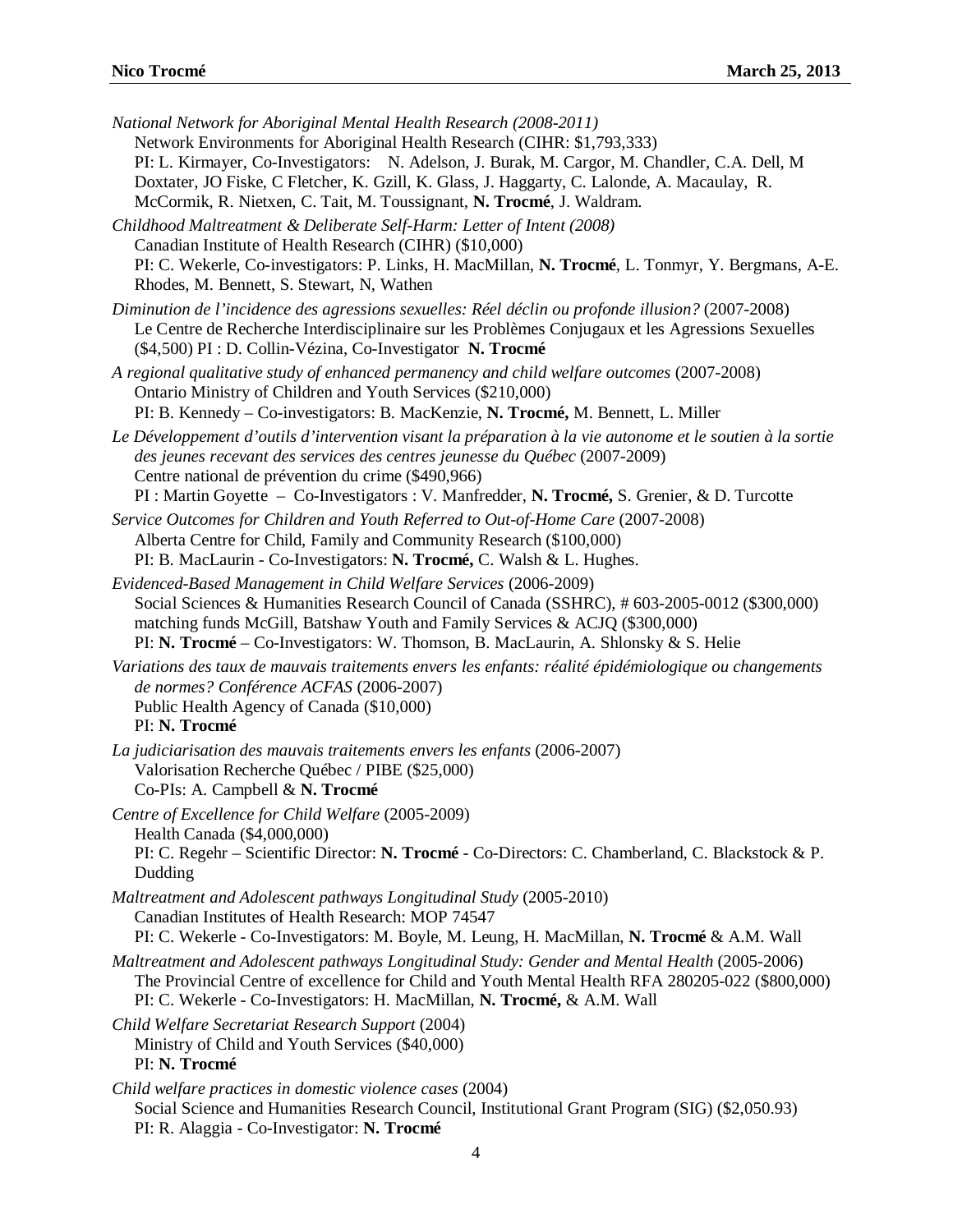| National Network for Aboriginal Mental Health Research (2008-2011)<br>Network Environments for Aboriginal Health Research (CIHR: \$1,793,333)<br>PI: L. Kirmayer, Co-Investigators: N. Adelson, J. Burak, M. Cargor, M. Chandler, C.A. Dell, M<br>Doxtater, JO Fiske, C Fletcher, K. Gzill, K. Glass, J. Haggarty, C. Lalonde, A. Macaulay, R.<br>McCormik, R. Nietxen, C. Tait, M. Toussignant, N. Trocmé, J. Waldram. |
|-------------------------------------------------------------------------------------------------------------------------------------------------------------------------------------------------------------------------------------------------------------------------------------------------------------------------------------------------------------------------------------------------------------------------|
| Childhood Maltreatment & Deliberate Self-Harm: Letter of Intent (2008)<br>Canadian Institute of Health Research (CIHR) (\$10,000)<br>PI: C. Wekerle, Co-investigators: P. Links, H. MacMillan, N. Trocmé, L. Tonmyr, Y. Bergmans, A-E.<br>Rhodes, M. Bennett, S. Stewart, N, Wathen                                                                                                                                     |
| Diminution de l'incidence des agressions sexuelles: Réel déclin ou profonde illusion? (2007-2008)<br>Le Centre de Recherche Interdisciplinaire sur les Problèmes Conjugaux et les Agressions Sexuelles<br>(\$4,500) PI : D. Collin-Vézina, Co-Investigator N. Trocmé                                                                                                                                                    |
| A regional qualitative study of enhanced permanency and child welfare outcomes (2007-2008)<br>Ontario Ministry of Children and Youth Services (\$210,000)<br>PI: B. Kennedy - Co-investigators: B. MacKenzie, N. Trocmé, M. Bennett, L. Miller                                                                                                                                                                          |
| Le Développement d'outils d'intervention visant la préparation à la vie autonome et le soutien à la sortie<br>des jeunes recevant des services des centres jeunesse du Québec (2007-2009)<br>Centre national de prévention du crime (\$490,966)<br>PI : Martin Goyette - Co-Investigators : V. Manfredder, N. Trocmé, S. Grenier, & D. Turcotte                                                                         |
| Service Outcomes for Children and Youth Referred to Out-of-Home Care (2007-2008)<br>Alberta Centre for Child, Family and Community Research (\$100,000)<br>PI: B. MacLaurin - Co-Investigators: N. Trocmé, C. Walsh & L. Hughes.                                                                                                                                                                                        |
| Evidenced-Based Management in Child Welfare Services (2006-2009)<br>Social Sciences & Humanities Research Council of Canada (SSHRC), #603-2005-0012 (\$300,000)<br>matching funds McGill, Batshaw Youth and Family Services & ACJQ (\$300,000)<br>PI: N. Trocmé – Co-Investigators: W. Thomson, B. MacLaurin, A. Shlonsky & S. Helie                                                                                    |
| Variations des taux de mauvais traitements envers les enfants: réalité épidémiologique ou changements<br>de normes? Conférence ACFAS (2006-2007)<br>Public Health Agency of Canada (\$10,000)<br>PI: N. Trocmé                                                                                                                                                                                                          |
| La judiciarisation des mauvais traitements envers les enfants (2006-2007)<br>Valorisation Recherche Québec / PIBE (\$25,000)<br>Co-PIs: A. Campbell & N. Trocmé                                                                                                                                                                                                                                                         |
| Centre of Excellence for Child Welfare (2005-2009)<br>Health Canada (\$4,000,000)<br>PI: C. Regehr - Scientific Director: N. Trocmé - Co-Directors: C. Chamberland, C. Blackstock & P.<br>Dudding                                                                                                                                                                                                                       |
| Maltreatment and Adolescent pathways Longitudinal Study (2005-2010)<br>Canadian Institutes of Health Research: MOP 74547<br>PI: C. Wekerle - Co-Investigators: M. Boyle, M. Leung, H. MacMillan, N. Trocmé & A.M. Wall                                                                                                                                                                                                  |
| Maltreatment and Adolescent pathways Longitudinal Study: Gender and Mental Health (2005-2006)<br>The Provincial Centre of excellence for Child and Youth Mental Health RFA 280205-022 (\$800,000)<br>PI: C. Wekerle - Co-Investigators: H. MacMillan, N. Trocmé, & A.M. Wall                                                                                                                                            |
| Child Welfare Secretariat Research Support (2004)<br>Ministry of Child and Youth Services (\$40,000)<br>PI: N. Trocmé                                                                                                                                                                                                                                                                                                   |
| Child welfare practices in domestic violence cases (2004)<br>Social Science and Humanities Research Council, Institutional Grant Program (SIG) (\$2,050.93)<br>PI: R. Alaggia - Co-Investigator: N. Trocmé                                                                                                                                                                                                              |
|                                                                                                                                                                                                                                                                                                                                                                                                                         |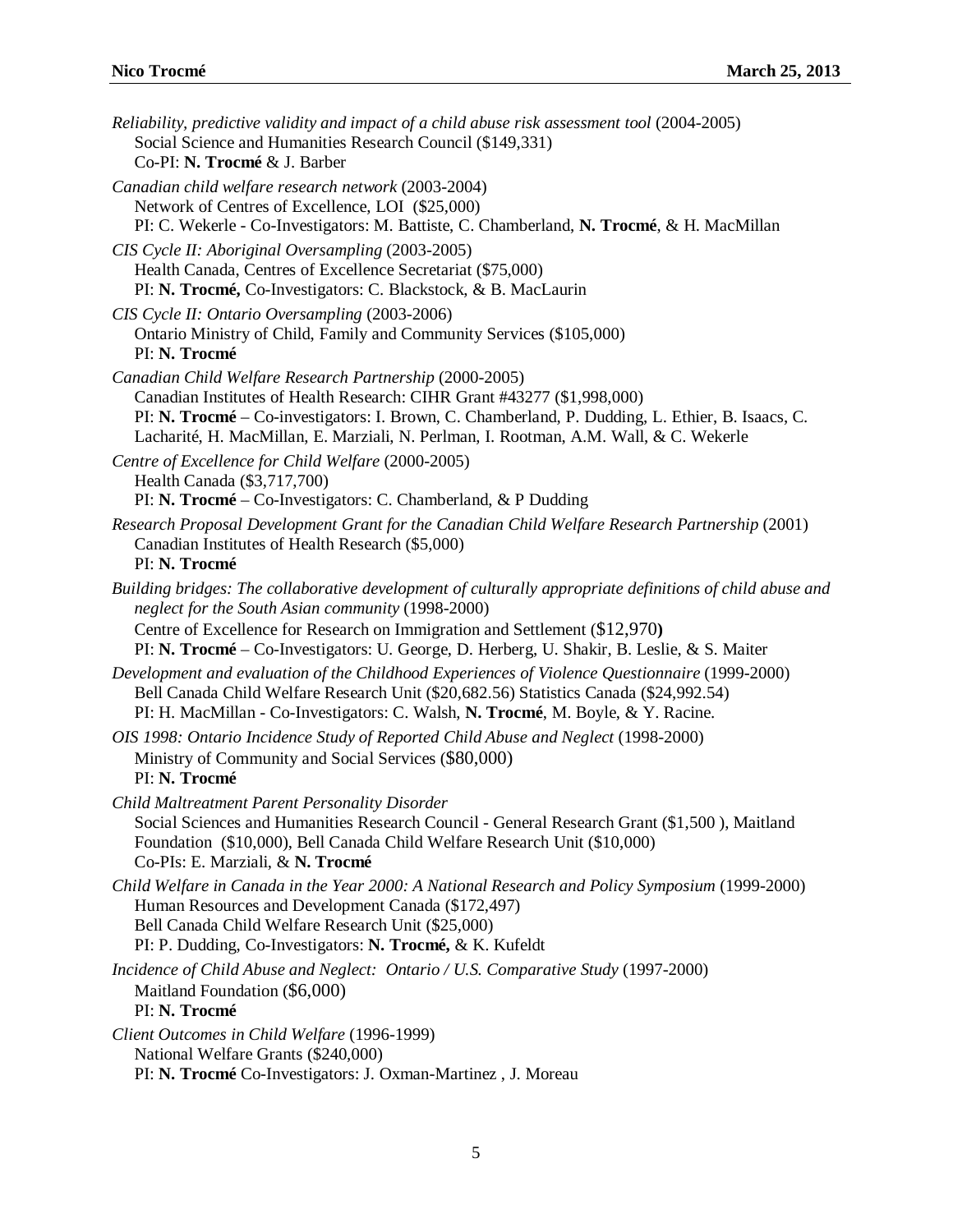| Reliability, predictive validity and impact of a child abuse risk assessment tool (2004-2005)<br>Social Science and Humanities Research Council (\$149,331)<br>Co-PI: N. Trocmé & J. Barber                                                                                                                                               |
|-------------------------------------------------------------------------------------------------------------------------------------------------------------------------------------------------------------------------------------------------------------------------------------------------------------------------------------------|
| Canadian child welfare research network (2003-2004)<br>Network of Centres of Excellence, LOI (\$25,000)<br>PI: C. Wekerle - Co-Investigators: M. Battiste, C. Chamberland, N. Trocmé, & H. MacMillan                                                                                                                                      |
| CIS Cycle II: Aboriginal Oversampling (2003-2005)<br>Health Canada, Centres of Excellence Secretariat (\$75,000)<br>PI: N. Trocmé, Co-Investigators: C. Blackstock, & B. MacLaurin                                                                                                                                                        |
| CIS Cycle II: Ontario Oversampling (2003-2006)<br>Ontario Ministry of Child, Family and Community Services (\$105,000)<br>PI: N. Trocmé                                                                                                                                                                                                   |
| Canadian Child Welfare Research Partnership (2000-2005)<br>Canadian Institutes of Health Research: CIHR Grant #43277 (\$1,998,000)<br>PI: N. Trocmé – Co-investigators: I. Brown, C. Chamberland, P. Dudding, L. Ethier, B. Isaacs, C.<br>Lacharité, H. MacMillan, E. Marziali, N. Perlman, I. Rootman, A.M. Wall, & C. Wekerle           |
| Centre of Excellence for Child Welfare (2000-2005)<br>Health Canada (\$3,717,700)<br>PI: N. Trocmé – Co-Investigators: C. Chamberland, & P Dudding                                                                                                                                                                                        |
| Research Proposal Development Grant for the Canadian Child Welfare Research Partnership (2001)<br>Canadian Institutes of Health Research (\$5,000)<br>PI: N. Trocmé                                                                                                                                                                       |
| Building bridges: The collaborative development of culturally appropriate definitions of child abuse and<br>neglect for the South Asian community (1998-2000)<br>Centre of Excellence for Research on Immigration and Settlement (\$12,970)<br>PI: N. Trocmé – Co-Investigators: U. George, D. Herberg, U. Shakir, B. Leslie, & S. Maiter |
| Development and evaluation of the Childhood Experiences of Violence Questionnaire (1999-2000)<br>Bell Canada Child Welfare Research Unit (\$20,682.56) Statistics Canada (\$24,992.54)<br>PI: H. MacMillan - Co-Investigators: C. Walsh, N. Trocmé, M. Boyle, & Y. Racine.                                                                |
| OIS 1998: Ontario Incidence Study of Reported Child Abuse and Neglect (1998-2000)<br>Ministry of Community and Social Services (\$80,000)<br>PI: N. Trocmé                                                                                                                                                                                |
| Child Maltreatment Parent Personality Disorder<br>Social Sciences and Humanities Research Council - General Research Grant (\$1,500), Maitland<br>Foundation (\$10,000), Bell Canada Child Welfare Research Unit (\$10,000)<br>Co-PIs: E. Marziali, & N. Trocmé                                                                           |
| Child Welfare in Canada in the Year 2000: A National Research and Policy Symposium (1999-2000)<br>Human Resources and Development Canada (\$172,497)<br>Bell Canada Child Welfare Research Unit (\$25,000)<br>PI: P. Dudding, Co-Investigators: N. Trocmé, & K. Kufeldt                                                                   |
| Incidence of Child Abuse and Neglect: Ontario / U.S. Comparative Study (1997-2000)<br>Maitland Foundation (\$6,000)<br>PI: N. Trocmé                                                                                                                                                                                                      |
| Client Outcomes in Child Welfare (1996-1999)<br>National Welfare Grants (\$240,000)<br>PI: N. Trocmé Co-Investigators: J. Oxman-Martinez, J. Moreau                                                                                                                                                                                       |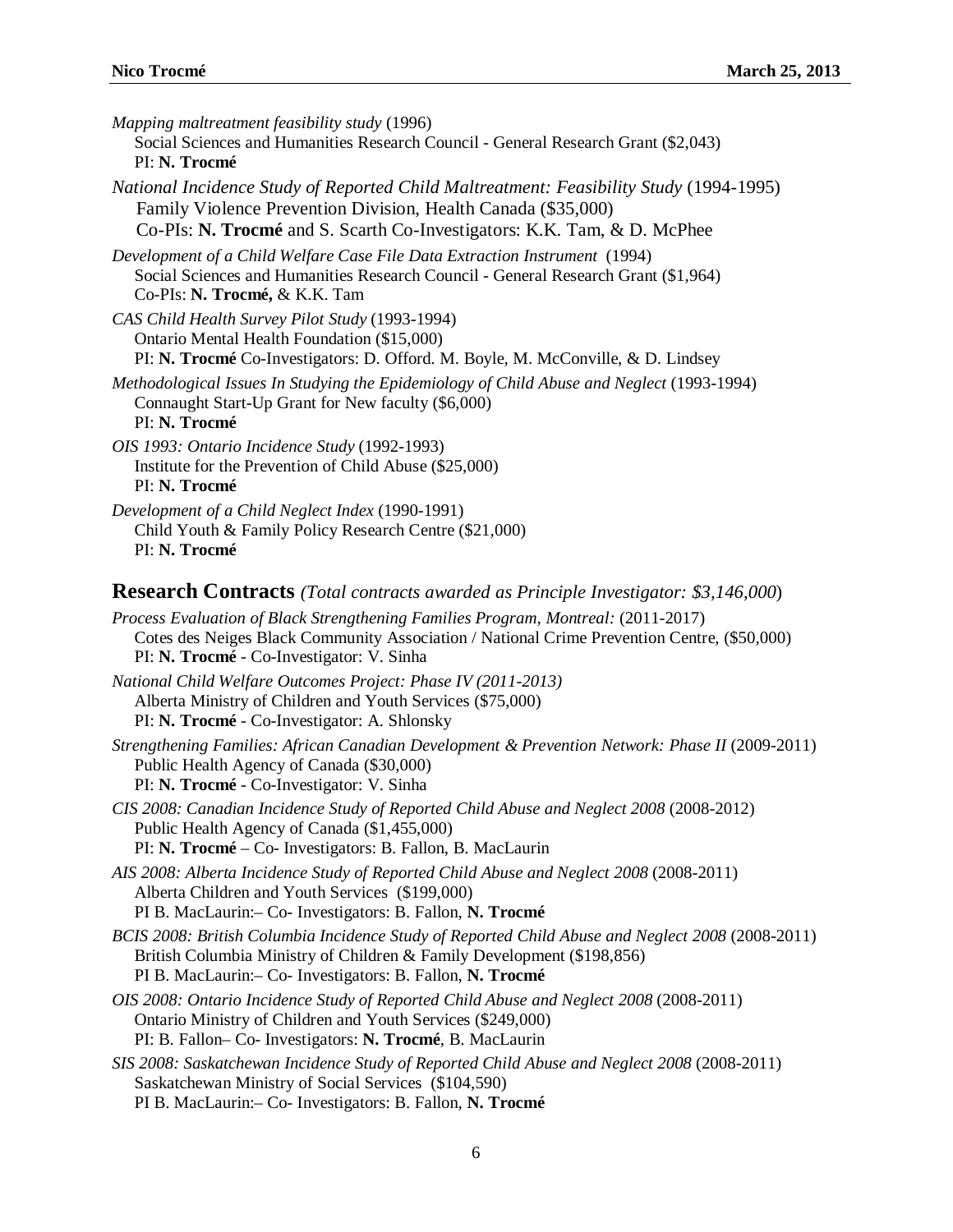| Mapping maltreatment feasibility study (1996)<br>Social Sciences and Humanities Research Council - General Research Grant (\$2,043)<br>PI: N. Trocmé                                                                                    |
|-----------------------------------------------------------------------------------------------------------------------------------------------------------------------------------------------------------------------------------------|
| National Incidence Study of Reported Child Maltreatment: Feasibility Study (1994-1995)<br>Family Violence Prevention Division, Health Canada (\$35,000)<br>Co-PIs: N. Trocmé and S. Scarth Co-Investigators: K.K. Tam, & D. McPhee      |
| Development of a Child Welfare Case File Data Extraction Instrument (1994)<br>Social Sciences and Humanities Research Council - General Research Grant (\$1,964)<br>Co-PIs: N. Trocmé, & K.K. Tam                                       |
| CAS Child Health Survey Pilot Study (1993-1994)<br>Ontario Mental Health Foundation (\$15,000)<br>PI: N. Trocmé Co-Investigators: D. Offord. M. Boyle, M. McConville, & D. Lindsey                                                      |
| Methodological Issues In Studying the Epidemiology of Child Abuse and Neglect (1993-1994)<br>Connaught Start-Up Grant for New faculty (\$6,000)<br>PI: N. Trocmé                                                                        |
| OIS 1993: Ontario Incidence Study (1992-1993)<br>Institute for the Prevention of Child Abuse (\$25,000)<br>PI: N. Trocmé                                                                                                                |
| Development of a Child Neglect Index (1990-1991)<br>Child Youth & Family Policy Research Centre (\$21,000)<br>PI: N. Trocmé                                                                                                             |
| <b>Research Contracts</b> (Total contracts awarded as Principle Investigator: \$3,146,000)                                                                                                                                              |
| Process Evaluation of Black Strengthening Families Program, Montreal: (2011-2017)<br>Cotes des Neiges Black Community Association / National Crime Prevention Centre, (\$50,000)<br>PI: N. Trocmé - Co-Investigator: V. Sinha           |
| National Child Welfare Outcomes Project: Phase IV (2011-2013)<br>Alberta Ministry of Children and Youth Services (\$75,000)<br>PI: N. Trocmé - Co-Investigator: A. Shlonsky                                                             |
| Strengthening Families: African Canadian Development & Prevention Network: Phase II (2009-2011)<br>Public Health Agency of Canada (\$30,000)<br>PI: N. Trocmé - Co-Investigator: V. Sinha                                               |
| CIS 2008: Canadian Incidence Study of Reported Child Abuse and Neglect 2008 (2008-2012)<br>Public Health Agency of Canada (\$1,455,000)<br>PI: N. Trocmé - Co- Investigators: B. Fallon, B. MacLaurin                                   |
| AIS 2008: Alberta Incidence Study of Reported Child Abuse and Neglect 2008 (2008-2011)<br>Alberta Children and Youth Services (\$199,000)<br>PI B. MacLaurin:- Co- Investigators: B. Fallon, N. Trocmé                                  |
| BCIS 2008: British Columbia Incidence Study of Reported Child Abuse and Neglect 2008 (2008-2011)<br>British Columbia Ministry of Children & Family Development (\$198,856)<br>PI B. MacLaurin:- Co- Investigators: B. Fallon, N. Trocmé |
| OIS 2008: Ontario Incidence Study of Reported Child Abuse and Neglect 2008 (2008-2011)<br>Ontario Ministry of Children and Youth Services (\$249,000)<br>PI: B. Fallon- Co- Investigators: N. Trocmé, B. MacLaurin                      |
| SIS 2008: Saskatchewan Incidence Study of Reported Child Abuse and Neglect 2008 (2008-2011)<br>Saskatchewan Ministry of Social Services (\$104,590)<br>PI B. MacLaurin:- Co- Investigators: B. Fallon, N. Trocmé                        |
|                                                                                                                                                                                                                                         |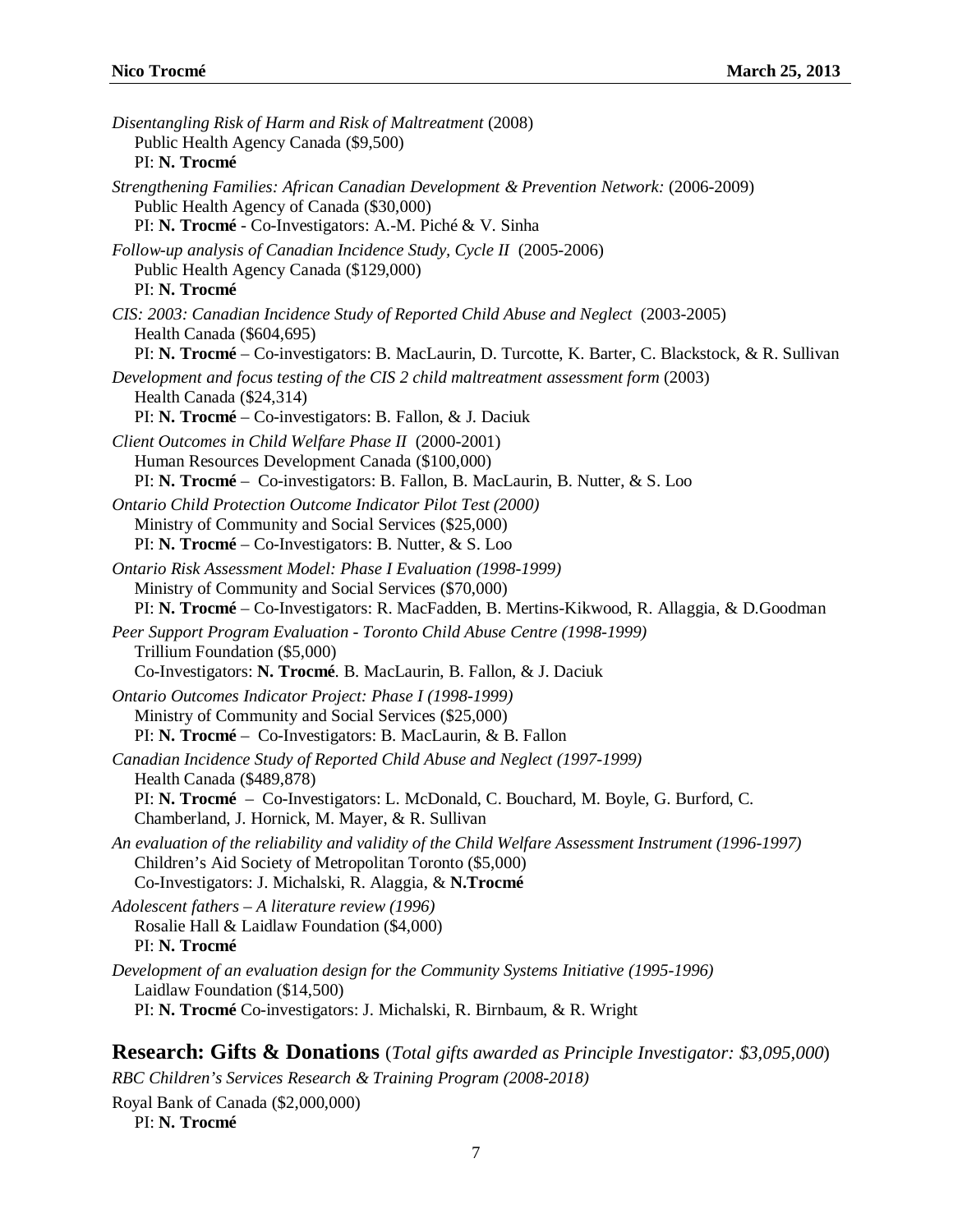| Disentangling Risk of Harm and Risk of Maltreatment (2008)<br>Public Health Agency Canada (\$9,500)<br>PI: N. Trocmé                                                                                                                              |
|---------------------------------------------------------------------------------------------------------------------------------------------------------------------------------------------------------------------------------------------------|
| Strengthening Families: African Canadian Development & Prevention Network: (2006-2009)<br>Public Health Agency of Canada (\$30,000)<br>PI: N. Trocmé - Co-Investigators: A.-M. Piché & V. Sinha                                                   |
| Follow-up analysis of Canadian Incidence Study, Cycle II (2005-2006)<br>Public Health Agency Canada (\$129,000)<br>PI: N. Trocmé                                                                                                                  |
| CIS: 2003: Canadian Incidence Study of Reported Child Abuse and Neglect (2003-2005)<br>Health Canada (\$604,695)<br>PI: N. Trocmé – Co-investigators: B. MacLaurin, D. Turcotte, K. Barter, C. Blackstock, & R. Sullivan                          |
| Development and focus testing of the CIS 2 child maltreatment assessment form (2003)<br>Health Canada (\$24,314)<br>PI: N. Trocmé – Co-investigators: B. Fallon, & J. Daciuk                                                                      |
| Client Outcomes in Child Welfare Phase II (2000-2001)<br>Human Resources Development Canada (\$100,000)<br>PI: N. Trocmé - Co-investigators: B. Fallon, B. MacLaurin, B. Nutter, & S. Loo                                                         |
| Ontario Child Protection Outcome Indicator Pilot Test (2000)<br>Ministry of Community and Social Services (\$25,000)<br>PI: N. Trocmé – Co-Investigators: B. Nutter, & S. Loo                                                                     |
| Ontario Risk Assessment Model: Phase I Evaluation (1998-1999)<br>Ministry of Community and Social Services (\$70,000)<br>PI: N. Trocmé – Co-Investigators: R. MacFadden, B. Mertins-Kikwood, R. Allaggia, & D. Goodman                            |
| Peer Support Program Evaluation - Toronto Child Abuse Centre (1998-1999)<br>Trillium Foundation (\$5,000)<br>Co-Investigators: N. Trocmé. B. MacLaurin, B. Fallon, & J. Daciuk                                                                    |
| Ontario Outcomes Indicator Project: Phase I (1998-1999)<br>Ministry of Community and Social Services (\$25,000)<br>PI: N. Trocmé – Co-Investigators: B. MacLaurin, & B. Fallon                                                                    |
| Canadian Incidence Study of Reported Child Abuse and Neglect (1997-1999)<br>Health Canada (\$489,878)<br>PI: N. Trocmé - Co-Investigators: L. McDonald, C. Bouchard, M. Boyle, G. Burford, C.<br>Chamberland, J. Hornick, M. Mayer, & R. Sullivan |
| An evaluation of the reliability and validity of the Child Welfare Assessment Instrument (1996-1997)<br>Children's Aid Society of Metropolitan Toronto (\$5,000)<br>Co-Investigators: J. Michalski, R. Alaggia, & N.Trocmé                        |
| Adolescent fathers - A literature review (1996)<br>Rosalie Hall & Laidlaw Foundation (\$4,000)<br>PI: N. Trocmé                                                                                                                                   |
| Development of an evaluation design for the Community Systems Initiative (1995-1996)<br>Laidlaw Foundation (\$14,500)<br>PI: N. Trocmé Co-investigators: J. Michalski, R. Birnbaum, & R. Wright                                                   |
|                                                                                                                                                                                                                                                   |

**Research: Gifts & Donations** (*Total gifts awarded as Principle Investigator: \$3,095,000*) *RBC Children's Services Research & Training Program (2008-2018)*

Royal Bank of Canada (\$2,000,000) PI: **N. Trocmé**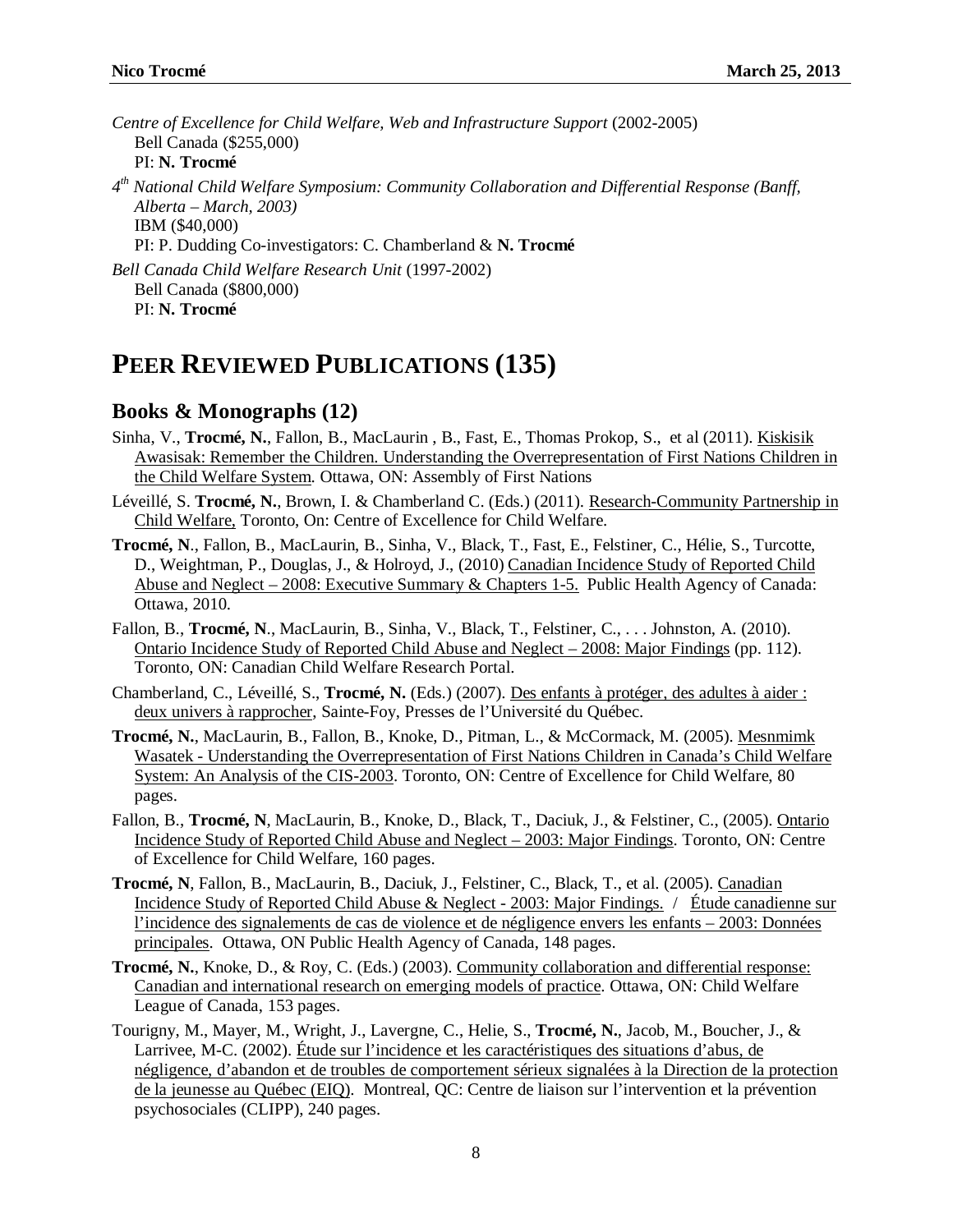*Centre of Excellence for Child Welfare, Web and Infrastructure Support* (2002-2005) Bell Canada (\$255,000) PI: **N. Trocmé** *4th National Child Welfare Symposium: Community Collaboration and Differential Response (Banff, Alberta – March, 2003)*  IBM (\$40,000) PI: P. Dudding Co-investigators: C. Chamberland & **N. Trocmé** *Bell Canada Child Welfare Research Unit* (1997-2002) Bell Canada (\$800,000) PI: **N. Trocmé**

# **PEER REVIEWED PUBLICATIONS (135)**

### **Books & Monographs (12)**

- Sinha, V., **Trocmé, N.**, Fallon, B., MacLaurin , B., Fast, E., Thomas Prokop, S., et al (2011). Kiskisik Awasisak: Remember the Children. Understanding the Overrepresentation of First Nations Children in the Child Welfare System. Ottawa, ON: Assembly of First Nations
- Léveillé, S. **Trocmé, N.**, Brown, I. & Chamberland C. (Eds.) (2011). Research-Community Partnership in Child Welfare, Toronto, On: Centre of Excellence for Child Welfare.
- **Trocmé, N**., Fallon, B., MacLaurin, B., Sinha, V., Black, T., Fast, E., Felstiner, C., Hélie, S., Turcotte, D., Weightman, P., Douglas, J., & Holroyd, J., (2010) Canadian Incidence Study of Reported Child Abuse and Neglect – 2008: Executive Summary & Chapters 1-5. Public Health Agency of Canada: Ottawa, 2010.
- Fallon, B., **Trocmé, N**., MacLaurin, B., Sinha, V., Black, T., Felstiner, C., . . . Johnston, A. (2010). Ontario Incidence Study of Reported Child Abuse and Neglect – 2008: Major Findings (pp. 112). Toronto, ON: Canadian Child Welfare Research Portal.
- Chamberland, C., Léveillé, S., **Trocmé, N.** (Eds.) (2007). Des enfants à protéger, des adultes à aider : deux univers à rapprocher, Sainte-Foy, Presses de l'Université du Québec.
- **Trocmé, N.**, MacLaurin, B., Fallon, B., Knoke, D., Pitman, L., & McCormack, M. (2005). Mesnmimk Wasatek - Understanding the Overrepresentation of First Nations Children in Canada's Child Welfare System: An Analysis of the CIS-2003. Toronto, ON: Centre of Excellence for Child Welfare, 80 pages.
- Fallon, B., **Trocmé, N**, MacLaurin, B., Knoke, D., Black, T., Daciuk, J., & Felstiner, C., (2005). Ontario Incidence Study of Reported Child Abuse and Neglect – 2003: Major Findings. Toronto, ON: Centre of Excellence for Child Welfare, 160 pages.
- **Trocmé, N**, Fallon, B., MacLaurin, B., Daciuk, J., Felstiner, C., Black, T., et al. (2005). Canadian Incidence Study of Reported Child Abuse & Neglect - 2003: Major Findings. / Étude canadienne sur l'incidence des signalements de cas de violence et de négligence envers les enfants – 2003: Données principales. Ottawa, ON Public Health Agency of Canada, 148 pages.
- **Trocmé, N.**, Knoke, D., & Roy, C. (Eds.) (2003). Community collaboration and differential response: Canadian and international research on emerging models of practice. Ottawa, ON: Child Welfare League of Canada, 153 pages.
- Tourigny, M., Mayer, M., Wright, J., Lavergne, C., Helie, S., **Trocmé, N.**, Jacob, M., Boucher, J., & Larrivee, M-C. (2002). Étude sur l'incidence et les caractéristiques des situations d'abus, de négligence, d'abandon et de troubles de comportement sérieux signalées à la Direction de la protection de la jeunesse au Québec (EIQ). Montreal, QC: Centre de liaison sur l'intervention et la prévention psychosociales (CLIPP), 240 pages.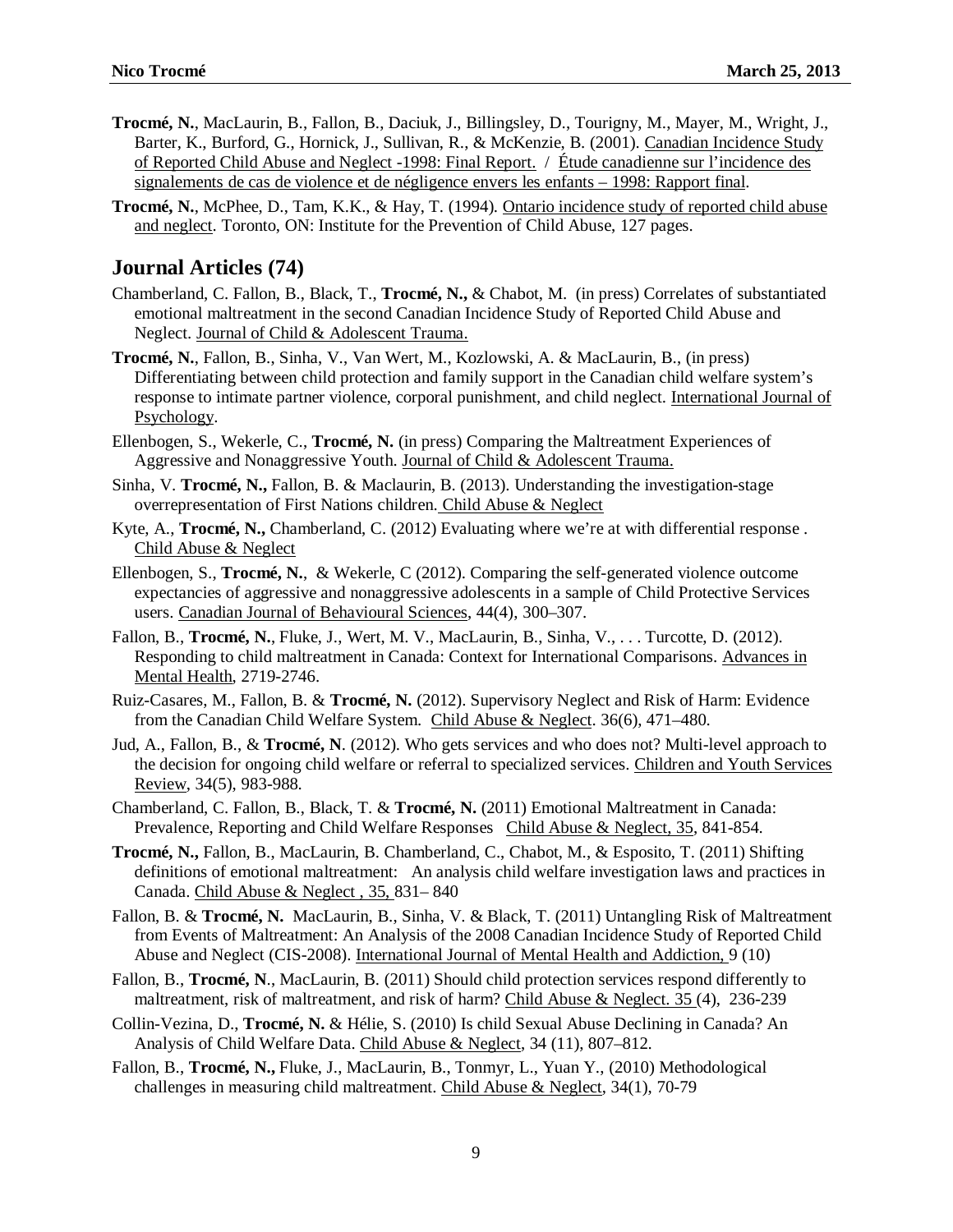- **Trocmé, N.**, MacLaurin, B., Fallon, B., Daciuk, J., Billingsley, D., Tourigny, M., Mayer, M., Wright, J., Barter, K., Burford, G., Hornick, J., Sullivan, R., & McKenzie, B. (2001). Canadian Incidence Study of Reported Child Abuse and Neglect -1998: Final Report. / Étude canadienne sur l'incidence des signalements de cas de violence et de négligence envers les enfants – 1998: Rapport final.
- **Trocmé, N.**, McPhee, D., Tam, K.K., & Hay, T. (1994). Ontario incidence study of reported child abuse and neglect. Toronto, ON: Institute for the Prevention of Child Abuse, 127 pages.

#### **Journal Articles (74)**

- Chamberland, C. Fallon, B., Black, T., **Trocmé, N.,** & Chabot, M. (in press) Correlates of substantiated emotional maltreatment in the second Canadian Incidence Study of Reported Child Abuse and Neglect. Journal of Child & Adolescent Trauma.
- **Trocmé, N.**, Fallon, B., Sinha, V., Van Wert, M., Kozlowski, A. & MacLaurin, B., (in press) Differentiating between child protection and family support in the Canadian child welfare system's response to intimate partner violence, corporal punishment, and child neglect. International Journal of Psychology.
- Ellenbogen, S., Wekerle, C., **Trocmé, N.** (in press) Comparing the Maltreatment Experiences of Aggressive and Nonaggressive Youth. Journal of Child & Adolescent Trauma.
- Sinha, V. **Trocmé, N.,** Fallon, B. & Maclaurin, B. (2013). Understanding the investigation-stage overrepresentation of First Nations children. Child Abuse & Neglect
- Kyte, A., **Trocmé, N.,** Chamberland, C. (2012) Evaluating where we're at with differential response . Child Abuse & Neglect
- Ellenbogen, S., **Trocmé, N.**, & Wekerle, C (2012). Comparing the self-generated violence outcome expectancies of aggressive and nonaggressive adolescents in a sample of Child Protective Services users. Canadian Journal of Behavioural Sciences, 44(4), 300–307.
- Fallon, B., **Trocmé, N.**, Fluke, J., Wert, M. V., MacLaurin, B., Sinha, V., . . . Turcotte, D. (2012). Responding to child maltreatment in Canada: Context for International Comparisons. Advances in Mental Health, 2719-2746.
- Ruiz-Casares, M., Fallon, B. & **Trocmé, N.** (2012). Supervisory Neglect and Risk of Harm: Evidence from the Canadian Child Welfare System. Child Abuse & Neglect. 36(6), 471–480.
- Jud, A., Fallon, B., & **Trocmé, N**. (2012). Who gets services and who does not? Multi-level approach to the decision for ongoing child welfare or referral to specialized services. Children and Youth Services Review, 34(5), 983-988.
- Chamberland, C. Fallon, B., Black, T. & **Trocmé, N.** (2011) Emotional Maltreatment in Canada: Prevalence, Reporting and Child Welfare Responses Child Abuse & Neglect, 35, 841-854.
- **Trocmé, N.,** Fallon, B., MacLaurin, B. Chamberland, C., Chabot, M., & Esposito, T. (2011) Shifting definitions of emotional maltreatment: An analysis child welfare investigation laws and practices in Canada. Child Abuse & Neglect , 35, 831– 840
- Fallon, B. & **Trocmé, N.** MacLaurin, B., Sinha, V. & Black, T. (2011) Untangling Risk of Maltreatment from Events of Maltreatment: An Analysis of the 2008 Canadian Incidence Study of Reported Child Abuse and Neglect (CIS-2008). International Journal of Mental Health and Addiction, 9 (10)
- Fallon, B., **Trocmé, N**., MacLaurin, B. (2011) Should child protection services respond differently to maltreatment, risk of maltreatment, and risk of harm? Child Abuse & Neglect. 35 (4), 236-239
- Collin-Vezina, D., **Trocmé, N.** & Hélie, S. (2010) Is child Sexual Abuse Declining in Canada? An Analysis of Child Welfare Data. Child Abuse & Neglect, 34 (11), 807–812.
- Fallon, B., **Trocmé, N.,** Fluke, J., MacLaurin, B., Tonmyr, L., Yuan Y., (2010) Methodological challenges in measuring child maltreatment. Child Abuse & Neglect, 34(1), 70-79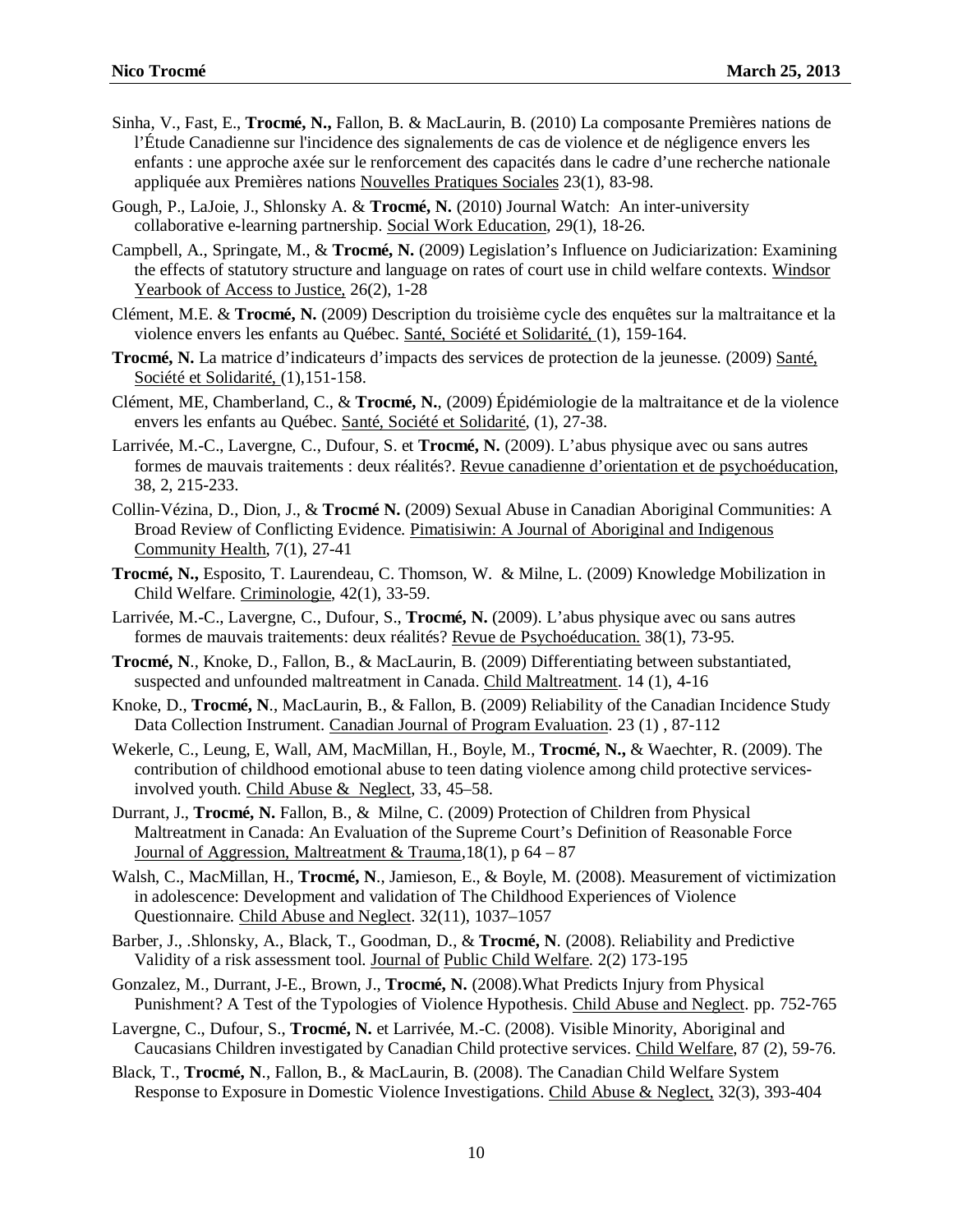- Sinha, V., Fast, E., **Trocmé, N.,** Fallon, B. & MacLaurin, B. (2010) La composante Premières nations de l'Étude Canadienne sur l'incidence des signalements de cas de violence et de négligence envers les enfants : une approche axée sur le renforcement des capacités dans le cadre d'une recherche nationale appliquée aux Premières nations Nouvelles Pratiques Sociales 23(1), 83-98.
- Gough, P., LaJoie, J., Shlonsky A. & **Trocmé, N.** (2010) Journal Watch: An inter-university collaborative e-learning partnership. Social Work Education, 29(1), 18-26.
- Campbell, A., Springate, M., & **Trocmé, N.** (2009) Legislation's Influence on Judiciarization: Examining the effects of statutory structure and language on rates of court use in child welfare contexts. Windsor Yearbook of Access to Justice, 26(2), 1-28
- Clément, M.E. & **Trocmé, N.** (2009) Description du troisième cycle des enquêtes sur la maltraitance et la violence envers les enfants au Québec. Santé, Société et Solidarité, (1), 159-164.
- **Trocmé, N.** La matrice d'indicateurs d'impacts des services de protection de la jeunesse. (2009) Santé, Société et Solidarité, (1),151-158.
- Clément, ME, Chamberland, C., & **Trocmé, N.**, (2009) Épidémiologie de la maltraitance et de la violence envers les enfants au Québec. Santé, Société et Solidarité, (1), 27-38.
- Larrivée, M.-C., Lavergne, C., Dufour, S. et **Trocmé, N.** (2009). L'abus physique avec ou sans autres formes de mauvais traitements : deux réalités?. Revue canadienne d'orientation et de psychoéducation, 38, 2, 215-233.
- Collin-Vézina, D., Dion, J., & **Trocmé N.** (2009) Sexual Abuse in Canadian Aboriginal Communities: A Broad Review of Conflicting Evidence. Pimatisiwin: A Journal of Aboriginal and Indigenous Community Health, 7(1), 27-41
- **Trocmé, N.,** Esposito, T. Laurendeau, C. Thomson, W. & Milne, L. (2009) Knowledge Mobilization in Child Welfare. Criminologie, 42(1), 33-59.
- Larrivée, M.-C., Lavergne, C., Dufour, S., **Trocmé, N.** (2009). L'abus physique avec ou sans autres formes de mauvais traitements: deux réalités? Revue de Psychoéducation. 38(1), 73-95.
- **Trocmé, N**., Knoke, D., Fallon, B., & MacLaurin, B. (2009) Differentiating between substantiated, suspected and unfounded maltreatment in Canada. Child Maltreatment. 14 (1), 4-16
- Knoke, D., **Trocmé, N**., MacLaurin, B., & Fallon, B. (2009) Reliability of the Canadian Incidence Study Data Collection Instrument. Canadian Journal of Program Evaluation. 23 (1) , 87-112
- Wekerle, C., Leung, E, Wall, AM, MacMillan, H., Boyle, M., **Trocmé, N.,** & Waechter, R. (2009). The contribution of childhood emotional abuse to teen dating violence among child protective servicesinvolved youth. Child Abuse & Neglect, 33, 45–58.
- Durrant, J., **Trocmé, N.** Fallon, B., & Milne, C. (2009) Protection of Children from Physical Maltreatment in Canada: An Evaluation of the Supreme Court's Definition of Reasonable Force Journal of Aggression, Maltreatment & Trauma,  $18(1)$ , p  $64 - 87$
- Walsh, C., MacMillan, H., **Trocmé, N**., Jamieson, E., & Boyle, M. (2008). Measurement of victimization in adolescence: Development and validation of The Childhood Experiences of Violence Questionnaire. Child Abuse and Neglect. 32(11), 1037–1057
- Barber, J., .Shlonsky, A., Black, T., Goodman, D., & **Trocmé, N**. (2008). Reliability and Predictive Validity of a risk assessment tool. Journal of Public Child Welfare. 2(2) 173-195
- Gonzalez, M., Durrant, J-E., Brown, J., **Trocmé, N.** (2008).What Predicts Injury from Physical Punishment? A Test of the Typologies of Violence Hypothesis. Child Abuse and Neglect. pp. 752-765
- Lavergne, C., Dufour, S., **Trocmé, N.** et Larrivée, M.-C. (2008). Visible Minority, Aboriginal and Caucasians Children investigated by Canadian Child protective services. Child Welfare, 87 (2), 59-76.
- Black, T., **Trocmé, N**., Fallon, B., & MacLaurin, B. (2008). The Canadian Child Welfare System Response to Exposure in Domestic Violence Investigations. Child Abuse & Neglect, 32(3), 393-404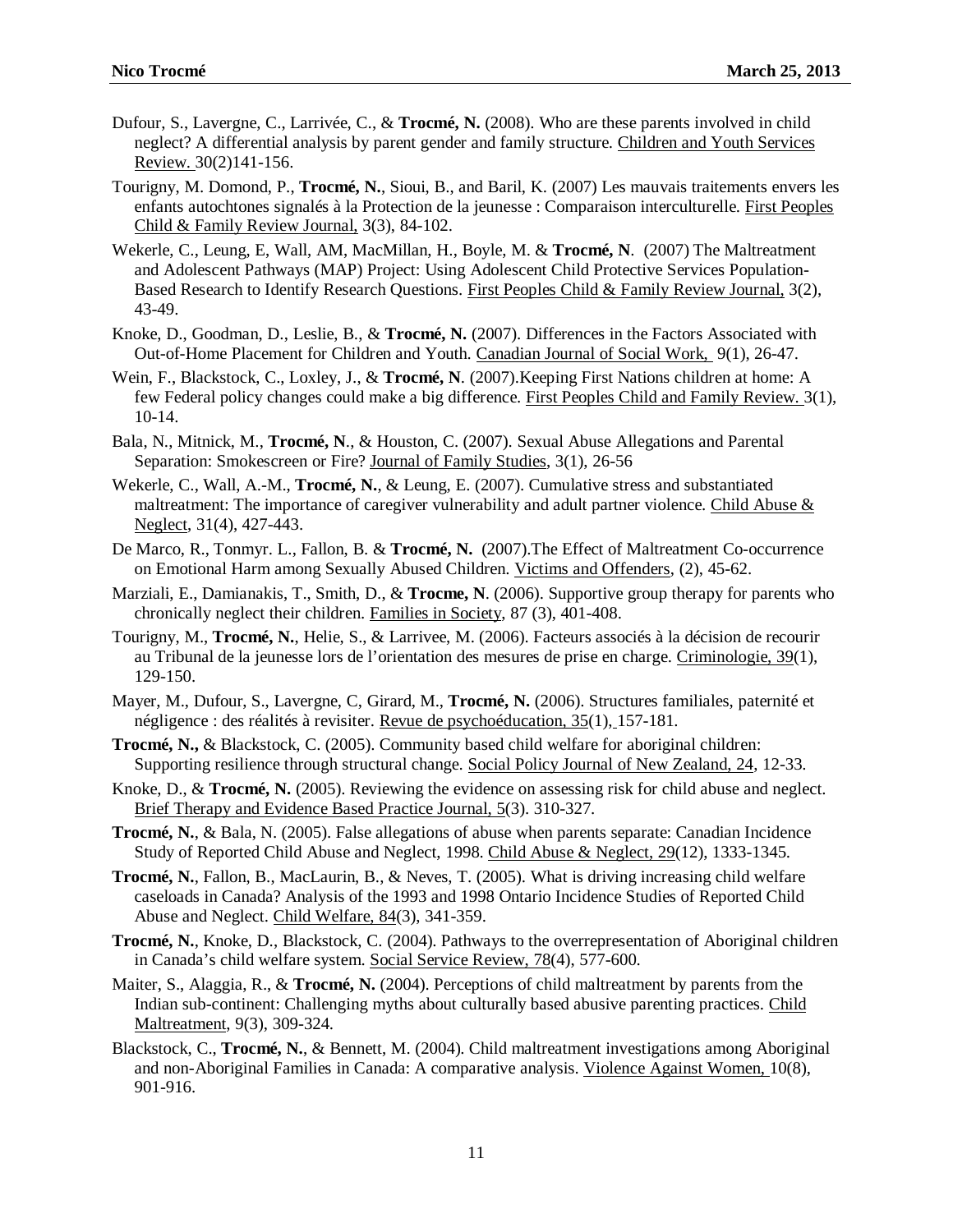- Dufour, S., Lavergne, C., Larrivée, C., & **Trocmé, N.** (2008). Who are these parents involved in child neglect? A differential analysis by parent gender and family structure. Children and Youth Services Review. 30(2)141-156.
- Tourigny, M. Domond, P., **Trocmé, N.**, Sioui, B., and Baril, K. (2007) Les mauvais traitements envers les enfants autochtones signalés à la Protection de la jeunesse : Comparaison interculturelle. First Peoples Child & Family Review Journal, 3(3), 84-102.
- Wekerle, C., Leung, E, Wall, AM, MacMillan, H., Boyle, M. & **Trocmé, N**. (2007) The Maltreatment and Adolescent Pathways (MAP) Project: Using Adolescent Child Protective Services Population-Based Research to Identify Research Questions. First Peoples Child & Family Review Journal, 3(2), 43-49.
- Knoke, D., Goodman, D., Leslie, B., & **Trocmé, N.** (2007). Differences in the Factors Associated with Out-of-Home Placement for Children and Youth. Canadian Journal of Social Work, 9(1), 26-47.
- Wein, F., Blackstock, C., Loxley, J., & **Trocmé, N**. (2007).Keeping First Nations children at home: A few Federal policy changes could make a big difference. First Peoples Child and Family Review. 3(1), 10-14.
- Bala, N., Mitnick, M., **Trocmé, N**., & Houston, C. (2007). Sexual Abuse Allegations and Parental Separation: Smokescreen or Fire? Journal of Family Studies, 3(1), 26-56
- Wekerle, C., Wall, A.-M., **Trocmé, N.**, & Leung, E. (2007). Cumulative stress and substantiated maltreatment: The importance of caregiver vulnerability and adult partner violence. Child Abuse  $\&$ Neglect, 31(4), 427-443.
- De Marco, R., Tonmyr. L., Fallon, B. & **Trocmé, N.** (2007).The Effect of Maltreatment Co-occurrence on Emotional Harm among Sexually Abused Children. Victims and Offenders, (2), 45-62.
- Marziali, E., Damianakis, T., Smith, D., & **Trocme, N**. (2006). Supportive group therapy for parents who chronically neglect their children. Families in Society, 87 (3), 401-408.
- Tourigny, M., **Trocmé, N.**, Helie, S., & Larrivee, M. (2006). Facteurs associés à la décision de recourir au Tribunal de la jeunesse lors de l'orientation des mesures de prise en charge. Criminologie, 39(1), 129-150.
- Mayer, M., Dufour, S., Lavergne, C, Girard, M., **Trocmé, N.** (2006). Structures familiales, paternité et négligence : des réalités à revisiter. Revue de psychoéducation, 35(1), 157-181.
- **Trocmé, N.,** & Blackstock, C. (2005). Community based child welfare for aboriginal children: Supporting resilience through structural change. Social Policy Journal of New Zealand, 24, 12-33.
- Knoke, D., & **Trocmé, N.** (2005). Reviewing the evidence on assessing risk for child abuse and neglect. Brief Therapy and Evidence Based Practice Journal, 5(3). 310-327.
- **Trocmé, N.**, & Bala, N. (2005). False allegations of abuse when parents separate: Canadian Incidence Study of Reported Child Abuse and Neglect, 1998. Child Abuse & Neglect, 29(12), 1333-1345.
- **Trocmé, N.**, Fallon, B., MacLaurin, B., & Neves, T. (2005). What is driving increasing child welfare caseloads in Canada? Analysis of the 1993 and 1998 Ontario Incidence Studies of Reported Child Abuse and Neglect. Child Welfare, 84(3), 341-359.
- **Trocmé, N.**, Knoke, D., Blackstock, C. (2004). Pathways to the overrepresentation of Aboriginal children in Canada's child welfare system. Social Service Review, 78(4), 577-600.
- Maiter, S., Alaggia, R., & **Trocmé, N.** (2004). Perceptions of child maltreatment by parents from the Indian sub-continent: Challenging myths about culturally based abusive parenting practices. Child Maltreatment, 9(3), 309-324.
- Blackstock, C., **Trocmé, N.**, & Bennett, M. (2004). Child maltreatment investigations among Aboriginal and non-Aboriginal Families in Canada: A comparative analysis. Violence Against Women, 10(8), 901-916.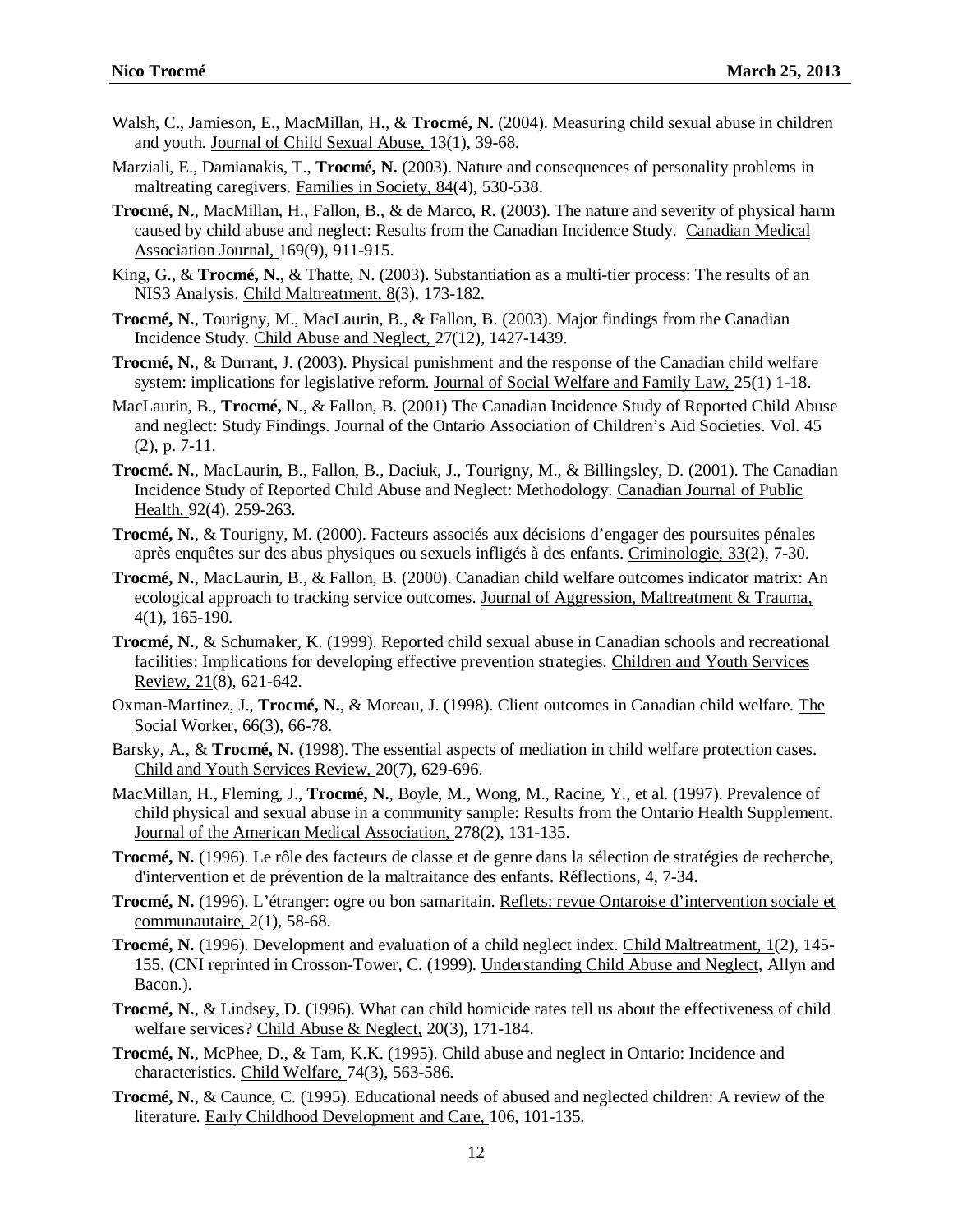- Walsh, C., Jamieson, E., MacMillan, H., & **Trocmé, N.** (2004). Measuring child sexual abuse in children and youth. Journal of Child Sexual Abuse, 13(1), 39-68.
- Marziali, E., Damianakis, T., **Trocmé, N.** (2003). Nature and consequences of personality problems in maltreating caregivers. Families in Society, 84(4), 530-538.
- **Trocmé, N.**, MacMillan, H., Fallon, B., & de Marco, R. (2003). The nature and severity of physical harm caused by child abuse and neglect: Results from the Canadian Incidence Study. Canadian Medical Association Journal, 169(9), 911-915.
- King, G., & **Trocmé, N.**, & Thatte, N. (2003). Substantiation as a multi-tier process: The results of an NIS3 Analysis. Child Maltreatment, 8(3), 173-182.
- **Trocmé, N.**, Tourigny, M., MacLaurin, B., & Fallon, B. (2003). Major findings from the Canadian Incidence Study. Child Abuse and Neglect, 27(12), 1427-1439.
- **Trocmé, N.**, & Durrant, J. (2003). Physical punishment and the response of the Canadian child welfare system: implications for legislative reform. Journal of Social Welfare and Family Law, 25(1) 1-18.
- MacLaurin, B., **Trocmé, N**., & Fallon, B. (2001) The Canadian Incidence Study of Reported Child Abuse and neglect: Study Findings. Journal of the Ontario Association of Children's Aid Societies. Vol. 45 (2), p. 7-11.
- **Trocmé. N.**, MacLaurin, B., Fallon, B., Daciuk, J., Tourigny, M., & Billingsley, D. (2001). The Canadian Incidence Study of Reported Child Abuse and Neglect: Methodology. Canadian Journal of Public Health, 92(4), 259-263.
- **Trocmé, N.**, & Tourigny, M. (2000). Facteurs associés aux décisions d'engager des poursuites pénales après enquêtes sur des abus physiques ou sexuels infligés à des enfants. Criminologie, 33(2), 7-30.
- **Trocmé, N.**, MacLaurin, B., & Fallon, B. (2000). Canadian child welfare outcomes indicator matrix: An ecological approach to tracking service outcomes. Journal of Aggression, Maltreatment & Trauma, 4(1), 165-190.
- **Trocmé, N.**, & Schumaker, K. (1999). Reported child sexual abuse in Canadian schools and recreational facilities: Implications for developing effective prevention strategies. Children and Youth Services Review, 21(8), 621-642.
- Oxman-Martinez, J., **Trocmé, N.**, & Moreau, J. (1998). Client outcomes in Canadian child welfare. The Social Worker, 66(3), 66-78.
- Barsky, A., & **Trocmé, N.** (1998). The essential aspects of mediation in child welfare protection cases. Child and Youth Services Review, 20(7), 629-696.
- MacMillan, H., Fleming, J., **Trocmé, N.**, Boyle, M., Wong, M., Racine, Y., et al. (1997). Prevalence of child physical and sexual abuse in a community sample: Results from the Ontario Health Supplement. Journal of the American Medical Association, 278(2), 131-135.
- **Trocmé, N.** (1996). Le rôle des facteurs de classe et de genre dans la sélection de stratégies de recherche, d'intervention et de prévention de la maltraitance des enfants. Réflections, 4, 7-34.
- **Trocmé, N.** (1996). L'étranger: ogre ou bon samaritain. Reflets: revue Ontaroise d'intervention sociale et communautaire, 2(1)*,* 58-68.
- **Trocmé, N.** (1996). Development and evaluation of a child neglect index. Child Maltreatment, 1(2), 145- 155. (CNI reprinted in Crosson-Tower, C. (1999). Understanding Child Abuse and Neglect, Allyn and Bacon.).
- **Trocmé, N.**, & Lindsey, D. (1996). What can child homicide rates tell us about the effectiveness of child welfare services? Child Abuse & Neglect, 20(3), 171-184.
- **Trocmé, N.**, McPhee, D., & Tam, K.K. (1995). Child abuse and neglect in Ontario: Incidence and characteristics. Child Welfare, 74(3), 563-586.
- **Trocmé, N.**, & Caunce, C. (1995). Educational needs of abused and neglected children: A review of the literature. Early Childhood Development and Care, 106, 101-135.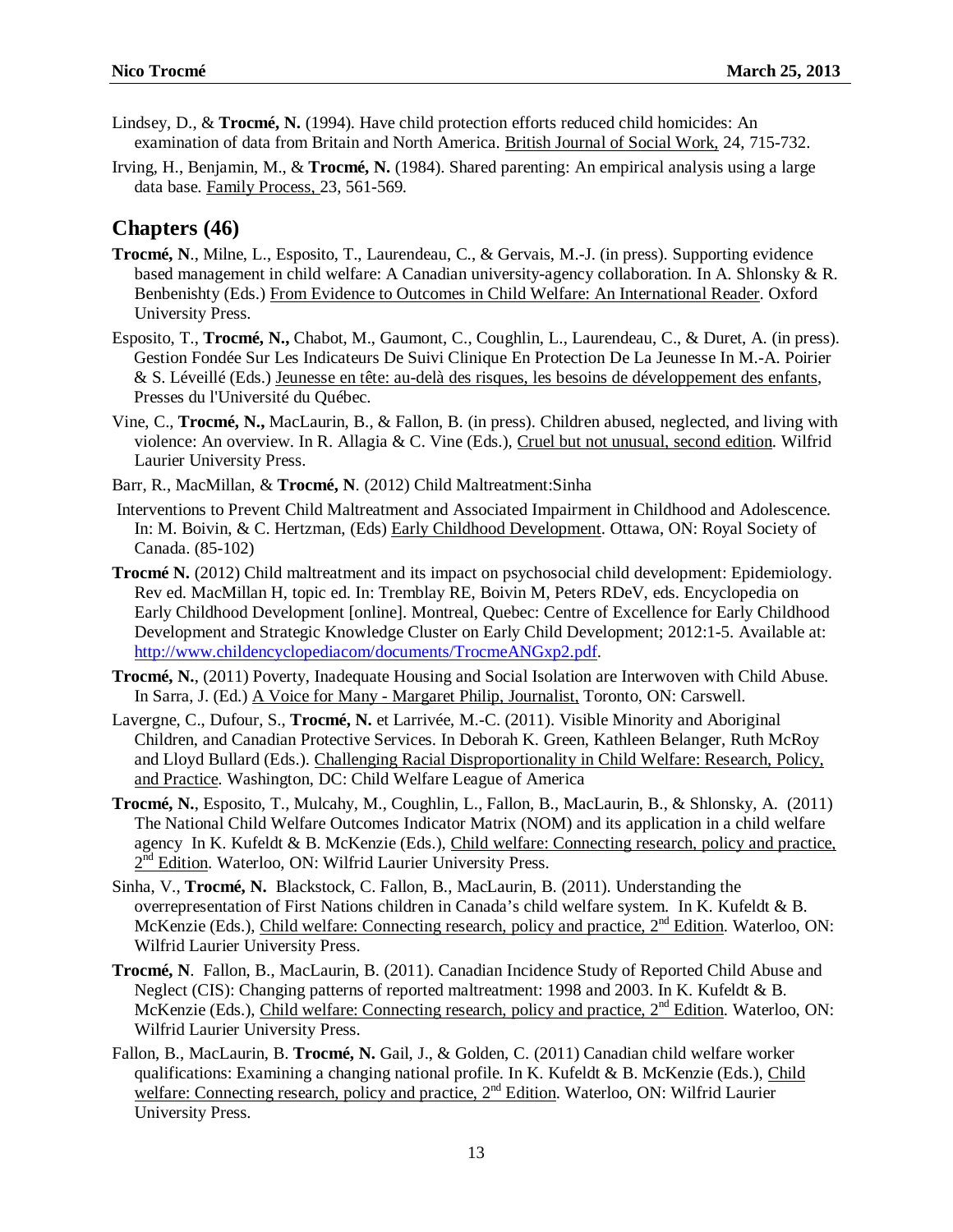- Lindsey, D., & **Trocmé, N.** (1994). Have child protection efforts reduced child homicides: An examination of data from Britain and North America. British Journal of Social Work, 24, 715-732.
- Irving, H., Benjamin, M., & **Trocmé, N.** (1984). Shared parenting: An empirical analysis using a large data base. Family Process, 23, 561-569.

### **Chapters (46)**

- **Trocmé, N**., Milne, L., Esposito, T., Laurendeau, C., & Gervais, M.-J. (in press). Supporting evidence based management in child welfare: A Canadian university-agency collaboration. In A. Shlonsky & R. Benbenishty (Eds.) From Evidence to Outcomes in Child Welfare: An International Reader. Oxford University Press.
- Esposito, T., **Trocmé, N.,** Chabot, M., Gaumont, C., Coughlin, L., Laurendeau, C., & Duret, A. (in press). Gestion Fondée Sur Les Indicateurs De Suivi Clinique En Protection De La Jeunesse In M.-A. Poirier & S. Léveillé (Eds.) Jeunesse en tête: au-delà des risques, les besoins de développement des enfants, Presses du l'Université du Québec.
- Vine, C., **Trocmé, N.,** MacLaurin, B., & Fallon, B. (in press). Children abused, neglected, and living with violence: An overview. In R. Allagia & C. Vine (Eds.), Cruel but not unusual, second edition. Wilfrid Laurier University Press.
- Barr, R., MacMillan, & **Trocmé, N**. (2012) Child Maltreatment:Sinha
- Interventions to Prevent Child Maltreatment and Associated Impairment in Childhood and Adolescence. In: M. Boivin, & C. Hertzman, (Eds) Early Childhood Development. Ottawa, ON: Royal Society of Canada. (85-102)
- **Trocmé N.** (2012) Child maltreatment and its impact on psychosocial child development: Epidemiology. Rev ed. MacMillan H, topic ed. In: Tremblay RE, Boivin M, Peters RDeV, eds. Encyclopedia on Early Childhood Development [online]. Montreal, Quebec: Centre of Excellence for Early Childhood Development and Strategic Knowledge Cluster on Early Child Development; 2012:1-5. Available at: [http://www.childencyclopediacom/documents/TrocmeANGxp2.pdf.](http://www.childencyclopediacom/documents/TrocmeANGxp2.pdf)
- **Trocmé, N.**, (2011) Poverty, Inadequate Housing and Social Isolation are Interwoven with Child Abuse. In Sarra, J. (Ed.) A Voice for Many - Margaret Philip, Journalist, Toronto, ON: Carswell.
- Lavergne, C., Dufour, S., **Trocmé, N.** et Larrivée, M.-C. (2011). Visible Minority and Aboriginal Children, and Canadian Protective Services. In Deborah K. Green, Kathleen Belanger, Ruth McRoy and Lloyd Bullard (Eds.). Challenging Racial Disproportionality in Child Welfare: Research, Policy, and Practice. Washington, DC: Child Welfare League of America
- **Trocmé, N.**, Esposito, T., Mulcahy, M., Coughlin, L., Fallon, B., MacLaurin, B., & Shlonsky, A. (2011) The National Child Welfare Outcomes Indicator Matrix (NOM) and its application in a child welfare agency In K. Kufeldt & B. McKenzie (Eds.), Child welfare: Connecting research, policy and practice, 2<sup>nd</sup> Edition. Waterloo, ON: Wilfrid Laurier University Press.
- Sinha, V., **Trocmé, N.** Blackstock, C. Fallon, B., MacLaurin, B. (2011). Understanding the overrepresentation of First Nations children in Canada's child welfare system. In K. Kufeldt & B. McKenzie (Eds.), Child welfare: Connecting research, policy and practice, 2<sup>nd</sup> Edition. Waterloo, ON: Wilfrid Laurier University Press.
- **Trocmé, N**. Fallon, B., MacLaurin, B. (2011). Canadian Incidence Study of Reported Child Abuse and Neglect (CIS): Changing patterns of reported maltreatment: 1998 and 2003. In K. Kufeldt & B. McKenzie (Eds.), Child welfare: Connecting research, policy and practice, 2<sup>nd</sup> Edition. Waterloo, ON: Wilfrid Laurier University Press.
- Fallon, B., MacLaurin, B. **Trocmé, N.** Gail, J., & Golden, C. (2011) Canadian child welfare worker qualifications: Examining a changing national profile. In K. Kufeldt & B. McKenzie (Eds.), Child welfare: Connecting research, policy and practice, 2<sup>nd</sup> Edition. Waterloo, ON: Wilfrid Laurier University Press.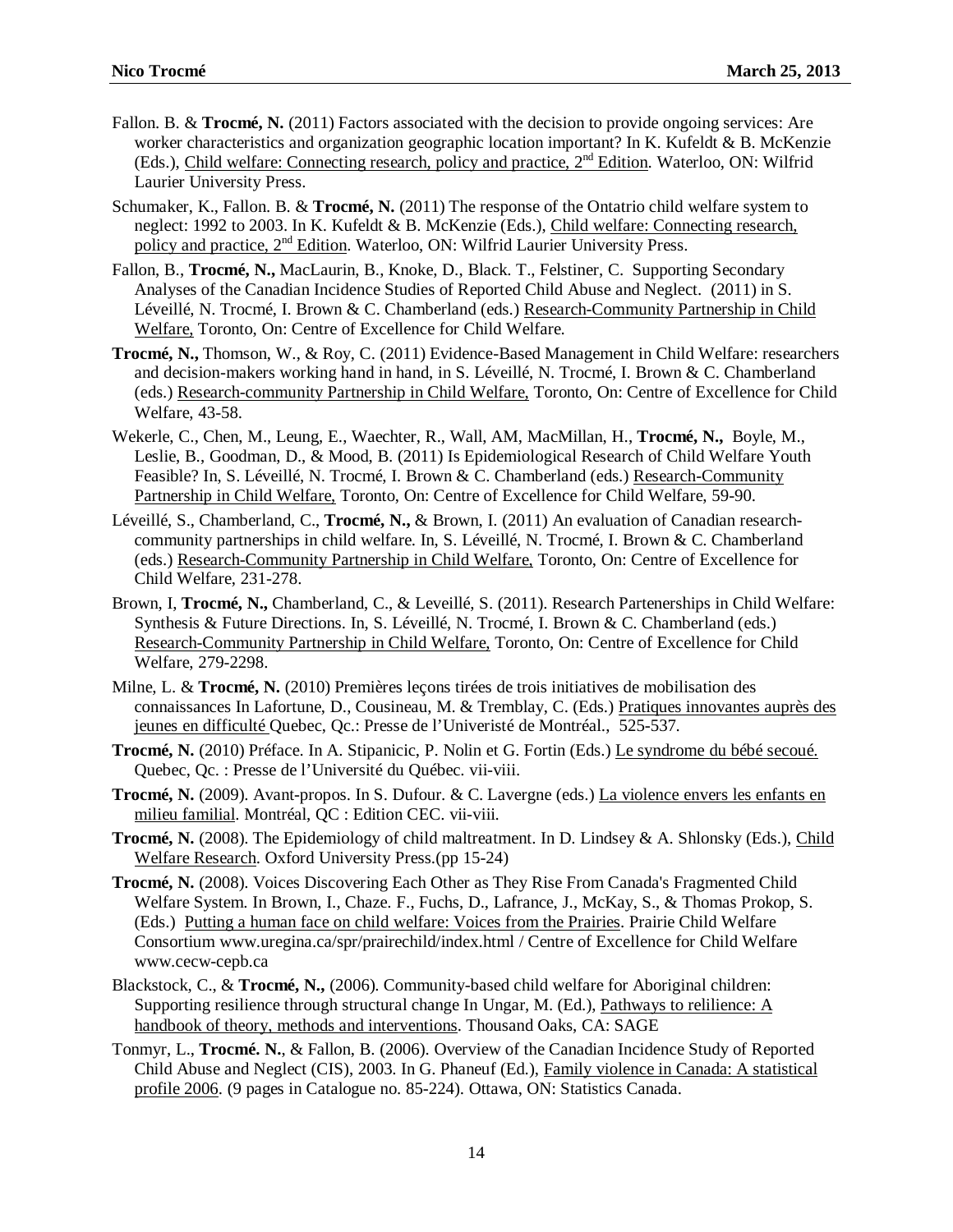- Fallon. B. & **Trocmé, N.** (2011) Factors associated with the decision to provide ongoing services: Are worker characteristics and organization geographic location important? In K. Kufeldt & B. McKenzie (Eds.), Child welfare: Connecting research, policy and practice, 2nd Edition. Waterloo, ON: Wilfrid Laurier University Press.
- Schumaker, K., Fallon. B. & **Trocmé, N.** (2011) The response of the Ontatrio child welfare system to neglect: 1992 to 2003. In K. Kufeldt & B. McKenzie (Eds.), Child welfare: Connecting research, policy and practice,  $2<sup>nd</sup>$  Edition. Waterloo, ON: Wilfrid Laurier University Press.
- Fallon, B., **Trocmé, N.,** MacLaurin, B., Knoke, D., Black. T., Felstiner, C. Supporting Secondary Analyses of the Canadian Incidence Studies of Reported Child Abuse and Neglect. (2011) in S. Léveillé, N. Trocmé, I. Brown & C. Chamberland (eds.) Research-Community Partnership in Child Welfare, Toronto, On: Centre of Excellence for Child Welfare.
- **Trocmé, N.,** Thomson, W., & Roy, C. (2011) Evidence-Based Management in Child Welfare: researchers and decision-makers working hand in hand, in S. Léveillé, N. Trocmé, I. Brown & C. Chamberland (eds.) Research-community Partnership in Child Welfare, Toronto, On: Centre of Excellence for Child Welfare, 43-58.
- Wekerle, C., Chen, M., Leung, E., Waechter, R., Wall, AM, MacMillan, H., **Trocmé, N.,** Boyle, M., Leslie, B., Goodman, D., & Mood, B. (2011) Is Epidemiological Research of Child Welfare Youth Feasible? In, S. Léveillé, N. Trocmé, I. Brown & C. Chamberland (eds.) Research-Community Partnership in Child Welfare, Toronto, On: Centre of Excellence for Child Welfare, 59-90.
- Léveillé, S., Chamberland, C., **Trocmé, N.,** & Brown, I. (2011) An evaluation of Canadian researchcommunity partnerships in child welfare. In, S. Léveillé, N. Trocmé, I. Brown & C. Chamberland (eds.) Research-Community Partnership in Child Welfare, Toronto, On: Centre of Excellence for Child Welfare, 231-278.
- Brown, I, **Trocmé, N.,** Chamberland, C., & Leveillé, S. (2011). Research Partenerships in Child Welfare: Synthesis & Future Directions. In, S. Léveillé, N. Trocmé, I. Brown & C. Chamberland (eds.) Research-Community Partnership in Child Welfare, Toronto, On: Centre of Excellence for Child Welfare, 279-2298.
- Milne, L. & **Trocmé, N.** (2010) Premières leçons tirées de trois initiatives de mobilisation des connaissances In Lafortune, D., Cousineau, M. & Tremblay, C. (Eds.) Pratiques innovantes auprès des jeunes en difficulté Quebec, Qc.: Presse de l'Univeristé de Montréal., 525-537.
- **Trocmé, N.** (2010) Préface. In A. Stipanicic, P. Nolin et G. Fortin (Eds.) Le syndrome du bébé secoué. Quebec, Qc. : Presse de l'Université du Québec. vii-viii.
- **Trocmé, N.** (2009). Avant-propos. In S. Dufour. & C. Lavergne (eds.) La violence envers les enfants en milieu familial. Montréal, QC : Edition CEC. vii-viii.
- **Trocmé, N.** (2008). The Epidemiology of child maltreatment. In D. Lindsey & A. Shlonsky (Eds.), Child Welfare Research. Oxford University Press.(pp 15-24)
- **Trocmé, N.** (2008). Voices Discovering Each Other as They Rise From Canada's Fragmented Child Welfare System. In Brown, I., Chaze. F., Fuchs, D., Lafrance, J., McKay, S., & Thomas Prokop, S. (Eds.) Putting a human face on child welfare: Voices from the Prairies. Prairie Child Welfare Consortium www.uregina.ca/spr/prairechild/index.html / Centre of Excellence for Child Welfare www.cecw-cepb.ca
- Blackstock, C., & **Trocmé, N.,** (2006). Community-based child welfare for Aboriginal children: Supporting resilience through structural change In Ungar, M. (Ed.), Pathways to relilience: A handbook of theory, methods and interventions. Thousand Oaks, CA: SAGE
- Tonmyr, L., **Trocmé. N.**, & Fallon, B. (2006). Overview of the Canadian Incidence Study of Reported Child Abuse and Neglect (CIS), 2003. In G. Phaneuf (Ed.), Family violence in Canada: A statistical profile 2006. (9 pages in Catalogue no. 85-224). Ottawa, ON: Statistics Canada.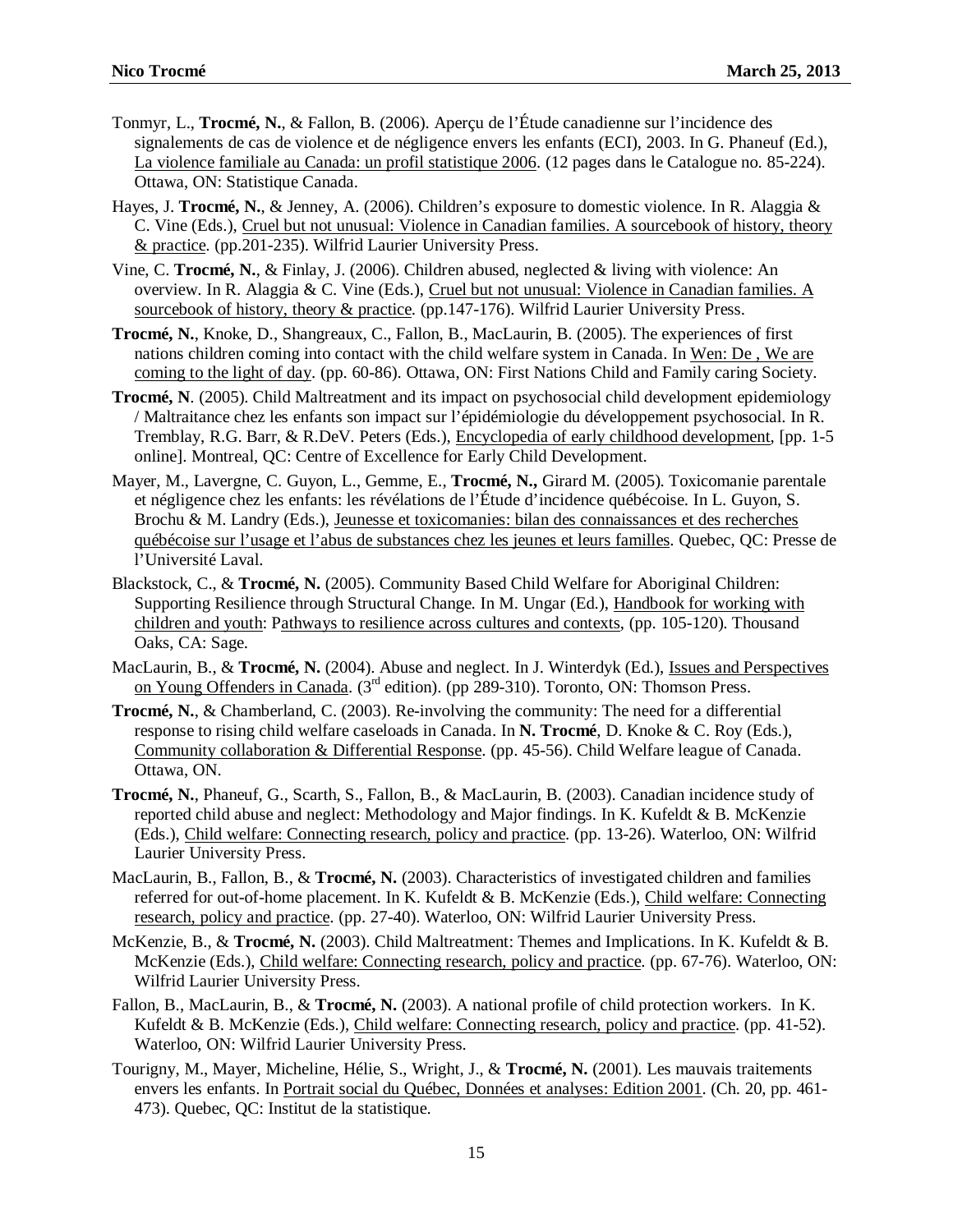- Tonmyr, L., **Trocmé, N.**, & Fallon, B. (2006). Aperçu de l'Étude canadienne sur l'incidence des signalements de cas de violence et de négligence envers les enfants (ECI), 2003. In G. Phaneuf (Ed.), La violence familiale au Canada: un profil statistique 2006. (12 pages dans le Catalogue no. 85-224). Ottawa, ON: Statistique Canada.
- Hayes, J. **Trocmé, N.**, & Jenney, A. (2006). Children's exposure to domestic violence. In R. Alaggia & C. Vine (Eds.), Cruel but not unusual: Violence in Canadian families. A sourcebook of history, theory & practice. (pp.201-235). Wilfrid Laurier University Press.
- Vine, C. **Trocmé, N.**, & Finlay, J. (2006). Children abused, neglected & living with violence: An overview. In R. Alaggia & C. Vine (Eds.), Cruel but not unusual: Violence in Canadian families. A sourcebook of history, theory & practice. (pp.147-176). Wilfrid Laurier University Press.
- **Trocmé, N.**, Knoke, D., Shangreaux, C., Fallon, B., MacLaurin, B. (2005). The experiences of first nations children coming into contact with the child welfare system in Canada. In Wen: De , We are coming to the light of day. (pp. 60-86). Ottawa, ON: First Nations Child and Family caring Society.
- **Trocmé, N**. (2005). Child Maltreatment and its impact on psychosocial child development epidemiology / Maltraitance chez les enfants son impact sur l'épidémiologie du développement psychosocial. In R. Tremblay, R.G. Barr, & R.DeV. Peters (Eds.), Encyclopedia of early childhood development, [pp. 1-5 online]. Montreal, QC: Centre of Excellence for Early Child Development.
- Mayer, M., Lavergne, C. Guyon, L., Gemme, E., **Trocmé, N.,** Girard M. (2005). Toxicomanie parentale et négligence chez les enfants: les révélations de l'Étude d'incidence québécoise. In L. Guyon, S. Brochu & M. Landry (Eds.), Jeunesse et toxicomanies: bilan des connaissances et des recherches québécoise sur l'usage et l'abus de substances chez les jeunes et leurs familles. Quebec, QC: Presse de l'Université Laval.
- Blackstock, C., & **Trocmé, N.** (2005). Community Based Child Welfare for Aboriginal Children: Supporting Resilience through Structural Change. In M. Ungar (Ed.), Handbook for working with children and youth: Pathways to resilience across cultures and contexts, (pp. 105-120). Thousand Oaks, CA: Sage.
- MacLaurin, B., & **Trocmé, N.** (2004). Abuse and neglect. In J. Winterdyk (Ed.), Issues and Perspectives on Young Offenders in Canada. (3rd edition). (pp 289-310). Toronto, ON: Thomson Press.
- **Trocmé, N.**, & Chamberland, C. (2003). Re-involving the community: The need for a differential response to rising child welfare caseloads in Canada. In **N. Trocmé**, D. Knoke & C. Roy (Eds.), Community collaboration & Differential Response. (pp. 45-56). Child Welfare league of Canada. Ottawa, ON.
- **Trocmé, N.**, Phaneuf, G., Scarth, S., Fallon, B., & MacLaurin, B. (2003). Canadian incidence study of reported child abuse and neglect: Methodology and Major findings. In K. Kufeldt & B. McKenzie (Eds.), Child welfare: Connecting research, policy and practice. (pp. 13-26). Waterloo, ON: Wilfrid Laurier University Press.
- MacLaurin, B., Fallon, B., & **Trocmé, N.** (2003). Characteristics of investigated children and families referred for out-of-home placement. In K. Kufeldt & B. McKenzie (Eds.), Child welfare: Connecting research, policy and practice. (pp. 27-40). Waterloo, ON: Wilfrid Laurier University Press.
- McKenzie, B., & **Trocmé, N.** (2003). Child Maltreatment: Themes and Implications. In K. Kufeldt & B. McKenzie (Eds.), Child welfare: Connecting research, policy and practice. (pp. 67-76). Waterloo, ON: Wilfrid Laurier University Press.
- Fallon, B., MacLaurin, B., & **Trocmé, N.** (2003). A national profile of child protection workers. In K. Kufeldt & B. McKenzie (Eds.), Child welfare: Connecting research, policy and practice. (pp. 41-52). Waterloo, ON: Wilfrid Laurier University Press.
- Tourigny, M., Mayer, Micheline, Hélie, S., Wright, J., & **Trocmé, N.** (2001). Les mauvais traitements envers les enfants. In Portrait social du Québec, Données et analyses: Edition 2001. (Ch. 20, pp. 461- 473). Quebec, QC: Institut de la statistique.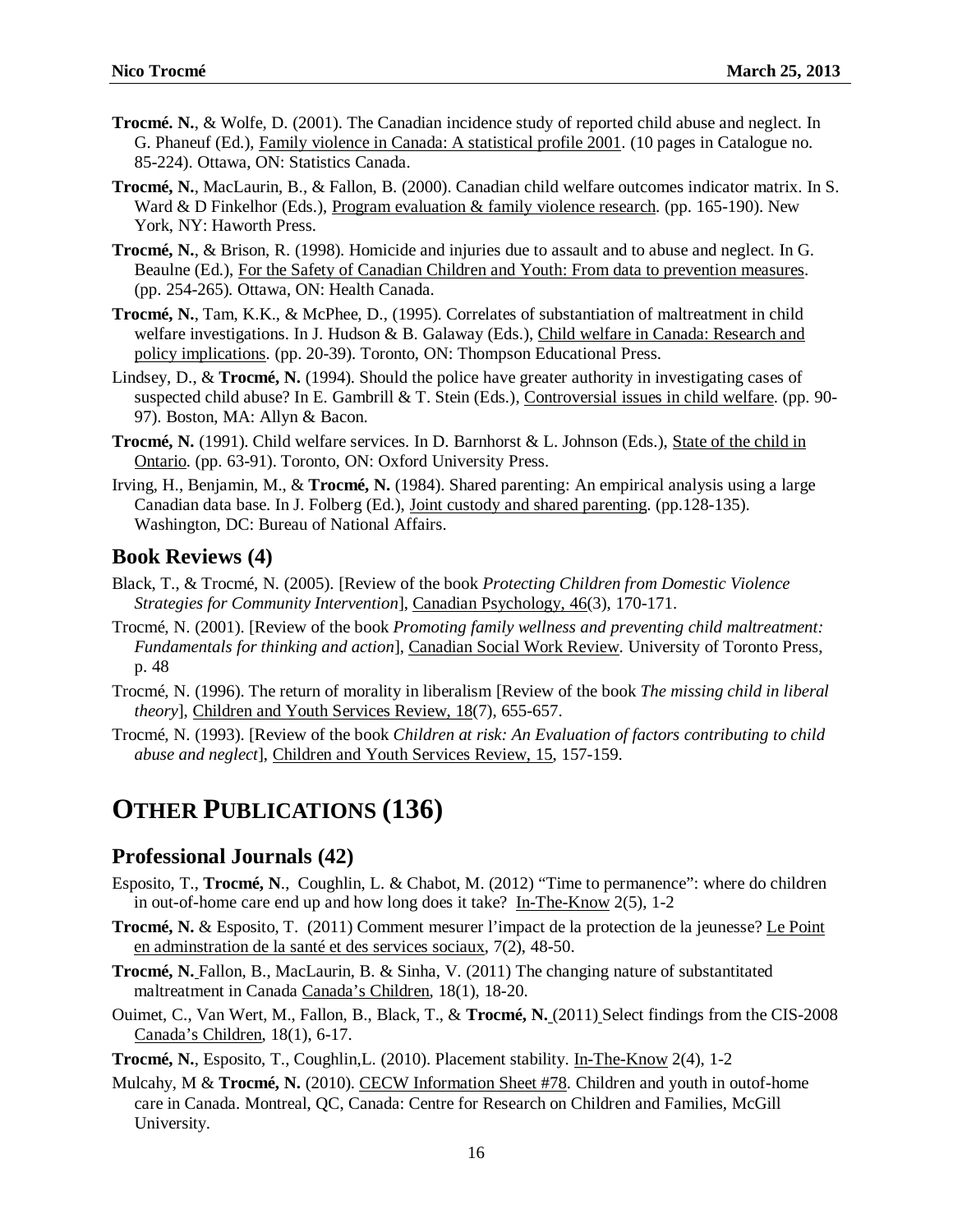- **Trocmé. N.**, & Wolfe, D. (2001). The Canadian incidence study of reported child abuse and neglect. In G. Phaneuf (Ed.), Family violence in Canada: A statistical profile 2001. (10 pages in Catalogue no. 85-224). Ottawa, ON: Statistics Canada.
- **Trocmé, N.**, MacLaurin, B., & Fallon, B. (2000). Canadian child welfare outcomes indicator matrix. In S. Ward & D Finkelhor (Eds.), Program evaluation & family violence research. (pp. 165-190). New York, NY: Haworth Press.
- **Trocmé, N.**, & Brison, R. (1998). Homicide and injuries due to assault and to abuse and neglect. In G. Beaulne (Ed.), For the Safety of Canadian Children and Youth: From data to prevention measures. (pp. 254-265). Ottawa, ON: Health Canada.
- **Trocmé, N.**, Tam, K.K., & McPhee, D., (1995). Correlates of substantiation of maltreatment in child welfare investigations. In J. Hudson & B. Galaway (Eds.), Child welfare in Canada: Research and policy implications. (pp. 20-39). Toronto, ON: Thompson Educational Press.
- Lindsey, D., & **Trocmé, N.** (1994). Should the police have greater authority in investigating cases of suspected child abuse? In E. Gambrill & T. Stein (Eds.), Controversial issues in child welfare. (pp. 90- 97). Boston, MA: Allyn & Bacon.
- **Trocmé, N.** (1991). Child welfare services. In D. Barnhorst & L. Johnson (Eds.), State of the child in Ontario. (pp. 63-91). Toronto, ON: Oxford University Press.
- Irving, H., Benjamin, M., & **Trocmé, N.** (1984). Shared parenting: An empirical analysis using a large Canadian data base. In J. Folberg (Ed.), Joint custody and shared parenting. (pp.128-135). Washington, DC: Bureau of National Affairs.

#### **Book Reviews (4)**

- Black, T., & Trocmé, N. (2005). [Review of the book *Protecting Children from Domestic Violence Strategies for Community Intervention*], Canadian Psychology, 46(3), 170-171.
- Trocmé, N. (2001). [Review of the book *Promoting family wellness and preventing child maltreatment: Fundamentals for thinking and action*], Canadian Social Work Review. University of Toronto Press, p. 48
- Trocmé, N. (1996). The return of morality in liberalism [Review of the book *The missing child in liberal theory*], Children and Youth Services Review, 18(7), 655-657.
- Trocmé, N. (1993). [Review of the book *Children at risk: An Evaluation of factors contributing to child abuse and neglect*], Children and Youth Services Review, 15, 157-159.

# **OTHER PUBLICATIONS (136)**

#### **Professional Journals (42)**

- Esposito, T., **Trocmé, N**., Coughlin, L. & Chabot, M. (2012) "Time to permanence": where do children in out-of-home care end up and how long does it take? In-The-Know 2(5), 1-2
- **Trocmé, N.** & Esposito, T. (2011) Comment mesurer l'impact de la protection de la jeunesse? Le Point en adminstration de la santé et des services sociaux, 7(2), 48-50.
- **Trocmé, N.** Fallon, B., MacLaurin, B. & Sinha, V. (2011) The changing nature of substantitated maltreatment in Canada Canada's Children, 18(1), 18-20.
- Ouimet, C., Van Wert, M., Fallon, B., Black, T., & **Trocmé, N.** (2011) Select findings from the CIS-2008 Canada's Children, 18(1), 6-17.
- **Trocmé, N.**, Esposito, T., Coughlin,L. (2010). Placement stability. In-The-Know 2(4), 1-2
- Mulcahy, M & **Trocmé, N.** (2010). CECW Information Sheet #78. Children and youth in outof-home care in Canada. Montreal, QC, Canada: Centre for Research on Children and Families, McGill University.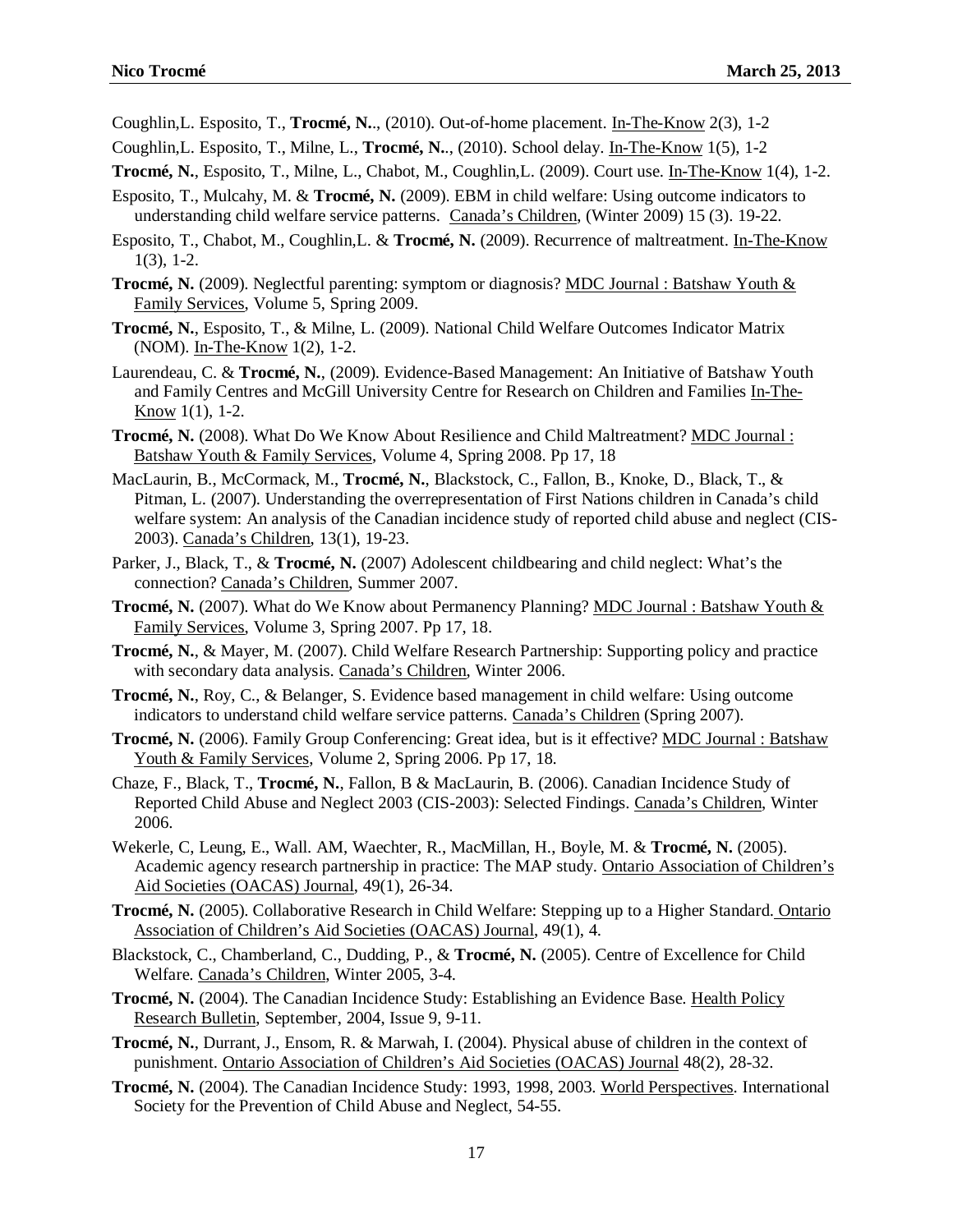Coughlin,L. Esposito, T., **Trocmé, N.**., (2010). Out-of-home placement. In-The-Know 2(3), 1-2

- Coughlin,L. Esposito, T., Milne, L., **Trocmé, N.**., (2010). School delay. In-The-Know 1(5), 1-2
- **Trocmé, N.**, Esposito, T., Milne, L., Chabot, M., Coughlin,L. (2009). Court use. In-The-Know 1(4), 1-2.
- Esposito, T., Mulcahy, M. & **Trocmé, N.** (2009). EBM in child welfare: Using outcome indicators to understanding child welfare service patterns. Canada's Children, (Winter 2009) 15 (3). 19-22.
- Esposito, T., Chabot, M., Coughlin,L. & **Trocmé, N.** (2009). Recurrence of maltreatment. In-The-Know  $1(3)$ , 1-2.
- **Trocmé, N.** (2009). Neglectful parenting: symptom or diagnosis? MDC Journal : Batshaw Youth & Family Services, Volume 5, Spring 2009.
- **Trocmé, N.**, Esposito, T., & Milne, L. (2009). National Child Welfare Outcomes Indicator Matrix (NOM). In-The-Know 1(2), 1-2.
- Laurendeau, C. & **Trocmé, N.**, (2009). Evidence-Based Management: An Initiative of Batshaw Youth and Family Centres and McGill University Centre for Research on Children and Families In-The-Know 1(1), 1-2.
- **Trocmé, N.** (2008). What Do We Know About Resilience and Child Maltreatment? MDC Journal : Batshaw Youth & Family Services, Volume 4, Spring 2008. Pp 17, 18
- MacLaurin, B., McCormack, M., **Trocmé, N.**, Blackstock, C., Fallon, B., Knoke, D., Black, T., & Pitman, L. (2007). Understanding the overrepresentation of First Nations children in Canada's child welfare system: An analysis of the Canadian incidence study of reported child abuse and neglect (CIS-2003). Canada's Children, 13(1), 19-23.
- Parker, J., Black, T., & **Trocmé, N.** (2007) Adolescent childbearing and child neglect: What's the connection? Canada's Children, Summer 2007.
- Trocmé, N. (2007). What do We Know about Permanency Planning? MDC Journal : Batshaw Youth & Family Services, Volume 3, Spring 2007. Pp 17, 18.
- **Trocmé, N.**, & Mayer, M. (2007). Child Welfare Research Partnership: Supporting policy and practice with secondary data analysis. Canada's Children, Winter 2006.
- **Trocmé, N.**, Roy, C., & Belanger, S. Evidence based management in child welfare: Using outcome indicators to understand child welfare service patterns. Canada's Children (Spring 2007).
- **Trocmé, N.** (2006). Family Group Conferencing: Great idea, but is it effective? MDC Journal : Batshaw Youth & Family Services, Volume 2, Spring 2006. Pp 17, 18.
- Chaze, F., Black, T., **Trocmé, N.**, Fallon, B & MacLaurin, B. (2006). Canadian Incidence Study of Reported Child Abuse and Neglect 2003 (CIS-2003): Selected Findings. Canada's Children, Winter 2006.
- Wekerle, C, Leung, E., Wall. AM, Waechter, R., MacMillan, H., Boyle, M. & **Trocmé, N.** (2005). Academic agency research partnership in practice: The MAP study. Ontario Association of Children's Aid Societies (OACAS) Journal, 49(1), 26-34.
- **Trocmé, N.** (2005). Collaborative Research in Child Welfare: Stepping up to a Higher Standard. Ontario Association of Children's Aid Societies (OACAS) Journal, 49(1), 4.
- Blackstock, C., Chamberland, C., Dudding, P., & **Trocmé, N.** (2005). Centre of Excellence for Child Welfare. Canada's Children, Winter 2005, 3-4.
- **Trocmé, N.** (2004). The Canadian Incidence Study: Establishing an Evidence Base. Health Policy Research Bulletin, September, 2004, Issue 9, 9-11.
- **Trocmé, N.**, Durrant, J., Ensom, R. & Marwah, I. (2004). Physical abuse of children in the context of punishment. Ontario Association of Children's Aid Societies (OACAS) Journal 48(2), 28-32.
- **Trocmé, N.** (2004). The Canadian Incidence Study: 1993, 1998, 2003. World Perspectives. International Society for the Prevention of Child Abuse and Neglect, 54-55.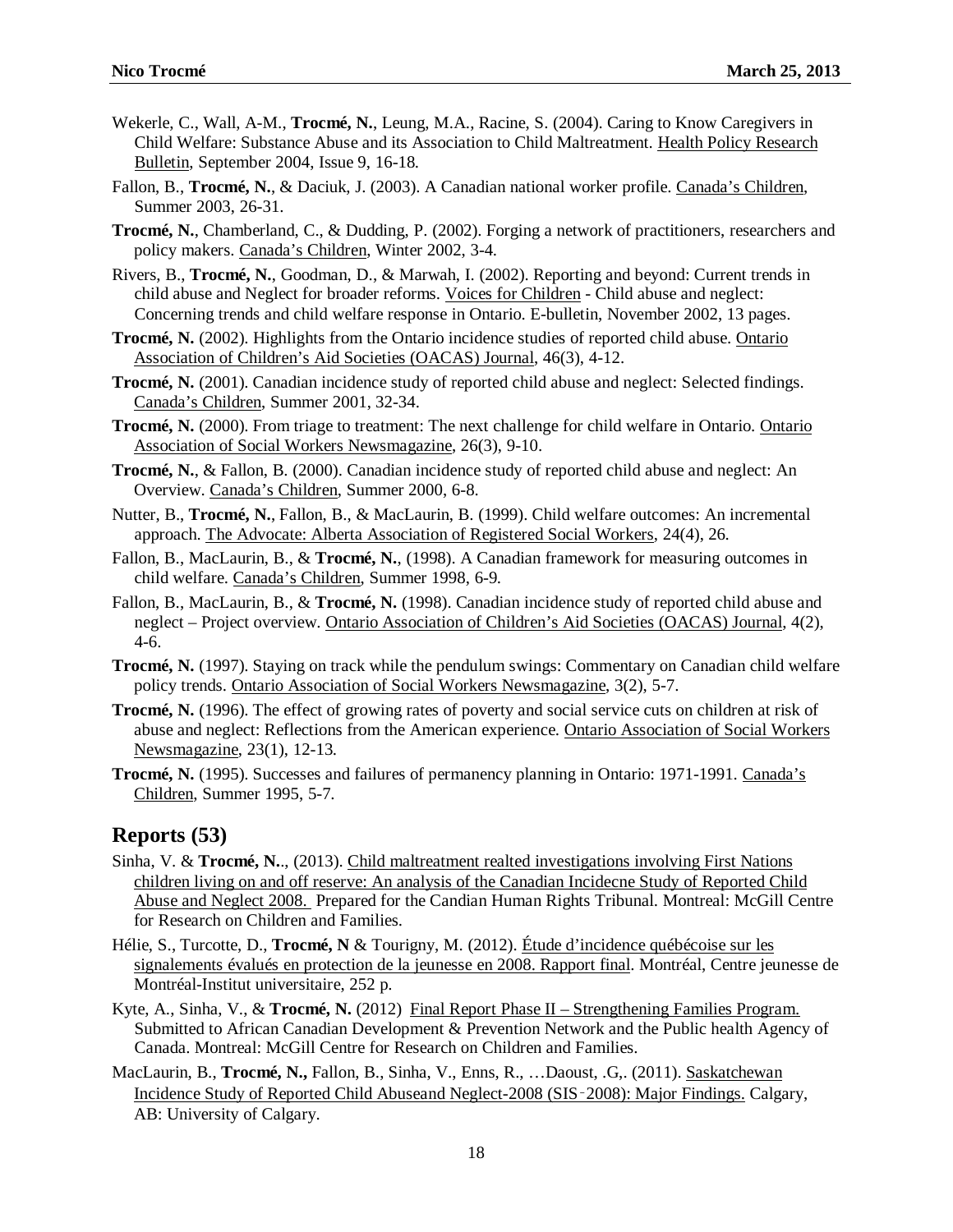- Wekerle, C., Wall, A-M., **Trocmé, N.**, Leung, M.A., Racine, S. (2004). Caring to Know Caregivers in Child Welfare: Substance Abuse and its Association to Child Maltreatment. Health Policy Research Bulletin, September 2004, Issue 9, 16-18.
- Fallon, B., **Trocmé, N.**, & Daciuk, J. (2003). A Canadian national worker profile. Canada's Children, Summer 2003, 26-31.
- **Trocmé, N.**, Chamberland, C., & Dudding, P. (2002). Forging a network of practitioners, researchers and policy makers. Canada's Children, Winter 2002, 3-4.
- Rivers, B., **Trocmé, N.**, Goodman, D., & Marwah, I. (2002). Reporting and beyond: Current trends in child abuse and Neglect for broader reforms. Voices for Children - Child abuse and neglect: Concerning trends and child welfare response in Ontario. E-bulletin, November 2002, 13 pages.
- **Trocmé, N.** (2002). Highlights from the Ontario incidence studies of reported child abuse. Ontario Association of Children's Aid Societies (OACAS) Journal, 46(3), 4-12.
- **Trocmé, N.** (2001). Canadian incidence study of reported child abuse and neglect: Selected findings. Canada's Children, Summer 2001, 32-34.
- **Trocmé, N.** (2000). From triage to treatment: The next challenge for child welfare in Ontario. Ontario Association of Social Workers Newsmagazine, 26(3), 9-10.
- **Trocmé, N.**, & Fallon, B. (2000). Canadian incidence study of reported child abuse and neglect: An Overview. Canada's Children, Summer 2000, 6-8.
- Nutter, B., **Trocmé, N.**, Fallon, B., & MacLaurin, B. (1999). Child welfare outcomes: An incremental approach. The Advocate: Alberta Association of Registered Social Workers, 24(4), 26.
- Fallon, B., MacLaurin, B., & **Trocmé, N.**, (1998). A Canadian framework for measuring outcomes in child welfare. Canada's Children, Summer 1998, 6-9.
- Fallon, B., MacLaurin, B., & **Trocmé, N.** (1998). Canadian incidence study of reported child abuse and neglect – Project overview. Ontario Association of Children's Aid Societies (OACAS) Journal, 4(2), 4-6.
- **Trocmé, N.** (1997). Staying on track while the pendulum swings: Commentary on Canadian child welfare policy trends. Ontario Association of Social Workers Newsmagazine, 3(2), 5-7.
- **Trocmé, N.** (1996). The effect of growing rates of poverty and social service cuts on children at risk of abuse and neglect: Reflections from the American experience. Ontario Association of Social Workers Newsmagazine, 23(1), 12-13.
- **Trocmé, N.** (1995). Successes and failures of permanency planning in Ontario: 1971-1991. Canada's Children, Summer 1995, 5-7.

### **Reports (53)**

- Sinha, V. & **Trocmé, N.**., (2013). Child maltreatment realted investigations involving First Nations children living on and off reserve: An analysis of the Canadian Incidecne Study of Reported Child Abuse and Neglect 2008. Prepared for the Candian Human Rights Tribunal. Montreal: McGill Centre for Research on Children and Families.
- Hélie, S., Turcotte, D., **Trocmé, N** & Tourigny, M. (2012). Étude d'incidence québécoise sur les signalements évalués en protection de la jeunesse en 2008. Rapport final. Montréal, Centre jeunesse de Montréal-Institut universitaire, 252 p.
- Kyte, A., Sinha, V., & **Trocmé, N.** (2012) Final Report Phase II Strengthening Families Program. Submitted to African Canadian Development & Prevention Network and the Public health Agency of Canada. Montreal: McGill Centre for Research on Children and Families.
- MacLaurin, B., Trocmé, N., Fallon, B., Sinha, V., Enns, R., ...Daoust, .G. (2011). Saskatchewan Incidence Study of Reported Child Abuseand Neglect-2008 (SIS‑2008): Major Findings. Calgary, AB: University of Calgary.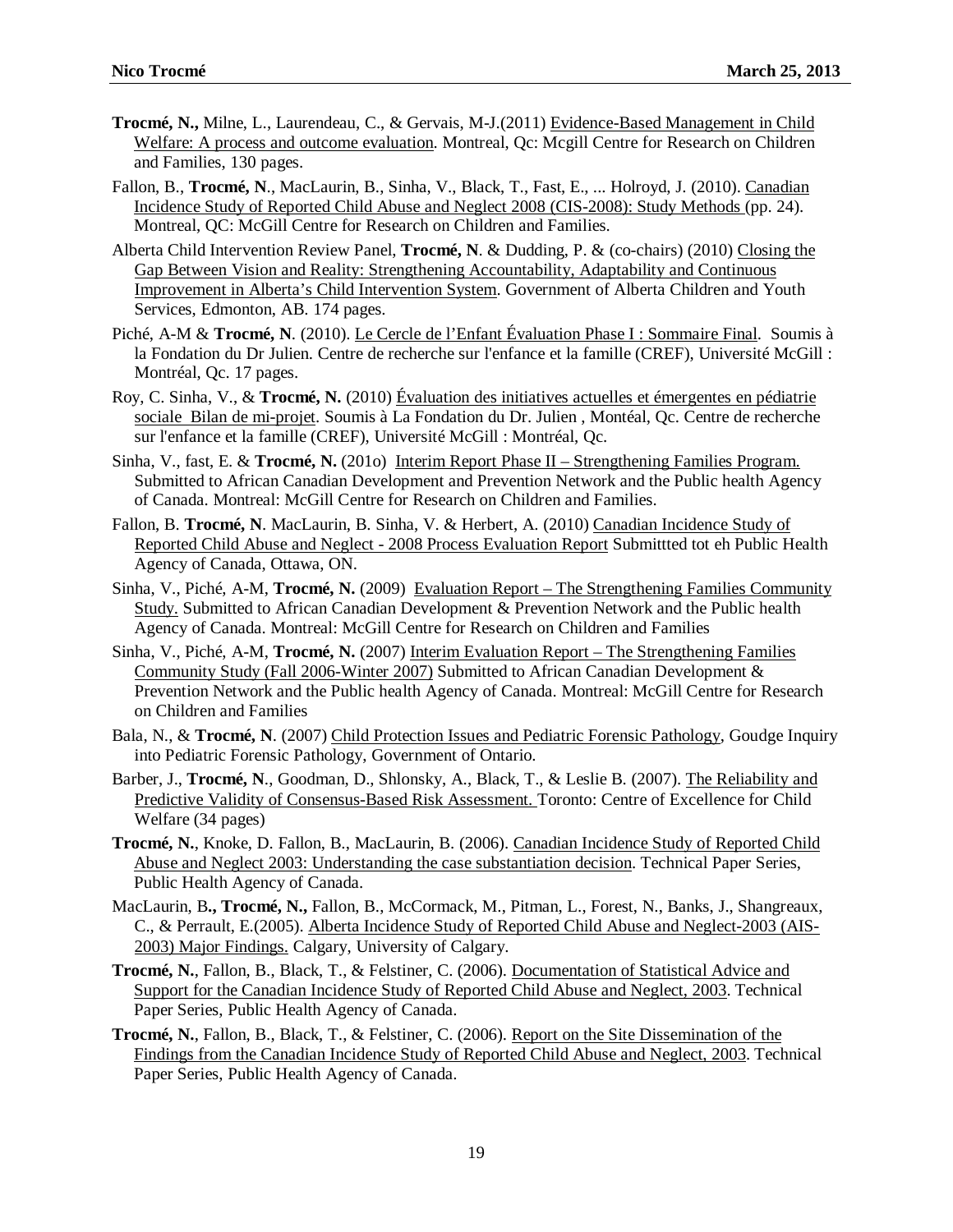- **Trocmé, N.,** Milne, L., Laurendeau, C., & Gervais, M-J.(2011) Evidence-Based Management in Child Welfare: A process and outcome evaluation. Montreal, Qc: Mcgill Centre for Research on Children and Families, 130 pages.
- Fallon, B., **Trocmé, N**., MacLaurin, B., Sinha, V., Black, T., Fast, E., ... Holroyd, J. (2010). Canadian Incidence Study of Reported Child Abuse and Neglect 2008 (CIS-2008): Study Methods (pp. 24). Montreal, QC: McGill Centre for Research on Children and Families.
- Alberta Child Intervention Review Panel, **Trocmé, N**. & Dudding, P. & (co-chairs) (2010) Closing the Gap Between Vision and Reality: Strengthening Accountability, Adaptability and Continuous Improvement in Alberta's Child Intervention System. Government of Alberta Children and Youth Services, Edmonton, AB. 174 pages.
- Piché, A-M & **Trocmé, N**. (2010). Le Cercle de l'Enfant Évaluation Phase I : Sommaire Final. Soumis à la Fondation du Dr Julien. Centre de recherche sur l'enfance et la famille (CREF), Université McGill : Montréal, Qc. 17 pages.
- Roy, C. Sinha, V., & **Trocmé, N.** (2010) Évaluation des initiatives actuelles et émergentes en pédiatrie sociale Bilan de mi-projet. Soumis à La Fondation du Dr. Julien , Montéal, Qc. Centre de recherche sur l'enfance et la famille (CREF), Université McGill : Montréal, Qc.
- Sinha, V., fast, E. & **Trocmé, N.** (2010) Interim Report Phase II Strengthening Families Program. Submitted to African Canadian Development and Prevention Network and the Public health Agency of Canada. Montreal: McGill Centre for Research on Children and Families.
- Fallon, B. **Trocmé, N**. MacLaurin, B. Sinha, V. & Herbert, A. (2010) Canadian Incidence Study of Reported Child Abuse and Neglect - 2008 Process Evaluation Report Submittted tot eh Public Health Agency of Canada, Ottawa, ON.
- Sinha, V., Piché, A-M, **Trocmé, N.** (2009) Evaluation Report The Strengthening Families Community Study. Submitted to African Canadian Development & Prevention Network and the Public health Agency of Canada. Montreal: McGill Centre for Research on Children and Families
- Sinha, V., Piché, A-M, **Trocmé, N.** (2007) Interim Evaluation Report The Strengthening Families Community Study (Fall 2006-Winter 2007) Submitted to African Canadian Development & Prevention Network and the Public health Agency of Canada. Montreal: McGill Centre for Research on Children and Families
- Bala, N., & **Trocmé, N**. (2007) Child Protection Issues and Pediatric Forensic Pathology, Goudge Inquiry into Pediatric Forensic Pathology, Government of Ontario.
- Barber, J., **Trocmé, N**., Goodman, D., Shlonsky, A., Black, T., & Leslie B. (2007). The Reliability and Predictive Validity of Consensus-Based Risk Assessment. Toronto: Centre of Excellence for Child Welfare (34 pages)
- **Trocmé, N.**, Knoke, D. Fallon, B., MacLaurin, B. (2006). Canadian Incidence Study of Reported Child Abuse and Neglect 2003: Understanding the case substantiation decision. Technical Paper Series, Public Health Agency of Canada.
- MacLaurin, B**., Trocmé, N.,** Fallon, B., McCormack, M., Pitman, L., Forest, N., Banks, J., Shangreaux, C., & Perrault, E.(2005). Alberta Incidence Study of Reported Child Abuse and Neglect-2003 (AIS-2003) Major Findings. Calgary, University of Calgary.
- **Trocmé, N.**, Fallon, B., Black, T., & Felstiner, C. (2006). Documentation of Statistical Advice and Support for the Canadian Incidence Study of Reported Child Abuse and Neglect, 2003. Technical Paper Series, Public Health Agency of Canada.
- **Trocmé, N.**, Fallon, B., Black, T., & Felstiner, C. (2006). Report on the Site Dissemination of the Findings from the Canadian Incidence Study of Reported Child Abuse and Neglect, 2003. Technical Paper Series, Public Health Agency of Canada.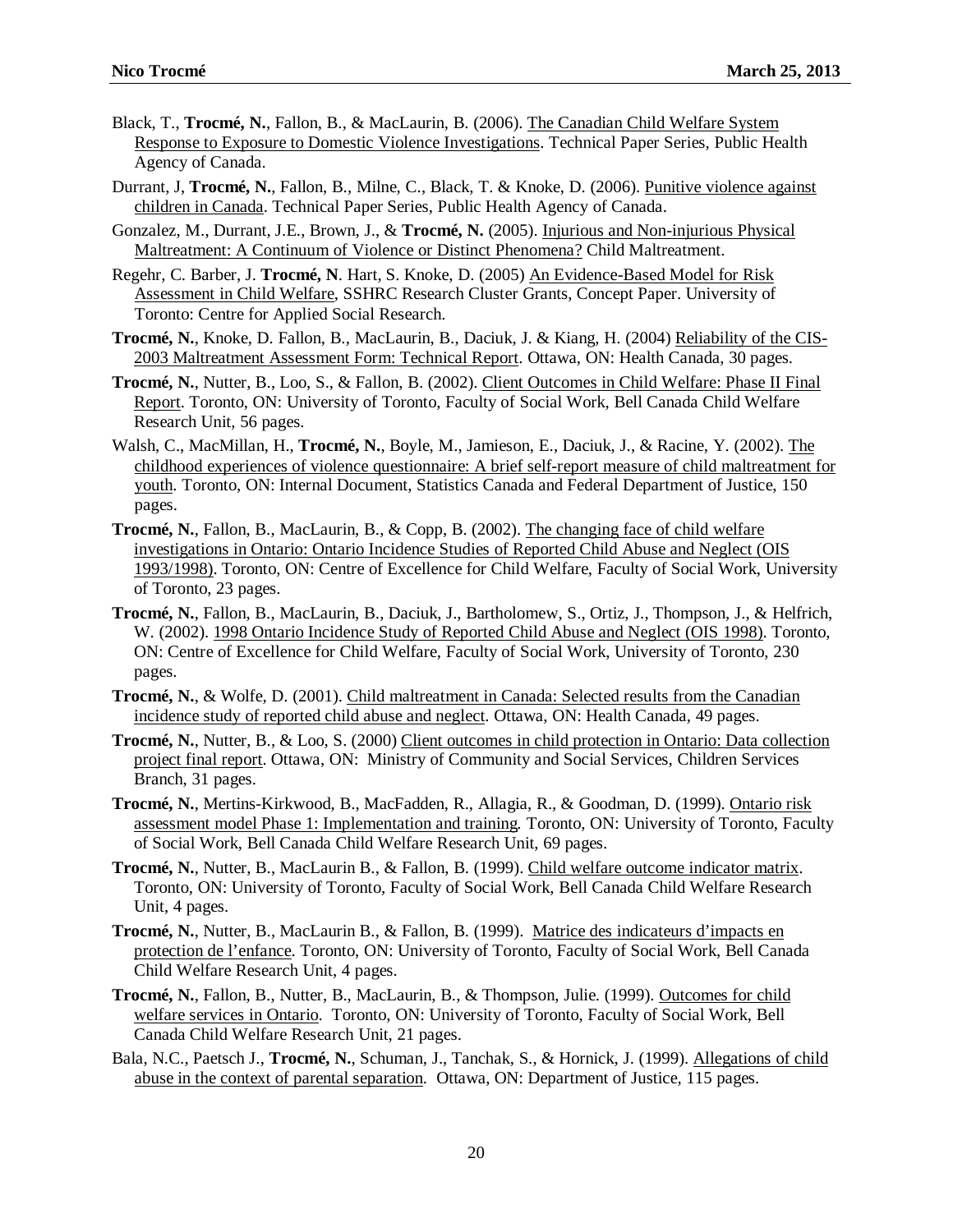- Black, T., **Trocmé, N.**, Fallon, B., & MacLaurin, B. (2006). The Canadian Child Welfare System Response to Exposure to Domestic Violence Investigations. Technical Paper Series, Public Health Agency of Canada.
- Durrant, J, **Trocmé, N.**, Fallon, B., Milne, C., Black, T. & Knoke, D. (2006). Punitive violence against children in Canada. Technical Paper Series, Public Health Agency of Canada.
- Gonzalez, M., Durrant, J.E., Brown, J., & **Trocmé, N.** (2005). Injurious and Non-injurious Physical Maltreatment: A Continuum of Violence or Distinct Phenomena? Child Maltreatment.
- Regehr, C. Barber, J. **Trocmé, N**. Hart, S. Knoke, D. (2005) An Evidence-Based Model for Risk Assessment in Child Welfare, SSHRC Research Cluster Grants, Concept Paper. University of Toronto: Centre for Applied Social Research.
- **Trocmé, N.**, Knoke, D. Fallon, B., MacLaurin, B., Daciuk, J. & Kiang, H. (2004) Reliability of the CIS-2003 Maltreatment Assessment Form: Technical Report. Ottawa, ON: Health Canada, 30 pages.
- **Trocmé, N.**, Nutter, B., Loo, S., & Fallon, B. (2002). Client Outcomes in Child Welfare: Phase II Final Report. Toronto, ON: University of Toronto, Faculty of Social Work, Bell Canada Child Welfare Research Unit, 56 pages.
- Walsh, C., MacMillan, H., **Trocmé, N.**, Boyle, M., Jamieson, E., Daciuk, J., & Racine, Y. (2002). The childhood experiences of violence questionnaire: A brief self-report measure of child maltreatment for youth. Toronto, ON: Internal Document, Statistics Canada and Federal Department of Justice, 150 pages.
- **Trocmé, N.**, Fallon, B., MacLaurin, B., & Copp, B. (2002). The changing face of child welfare investigations in Ontario: Ontario Incidence Studies of Reported Child Abuse and Neglect (OIS 1993/1998). Toronto, ON: Centre of Excellence for Child Welfare, Faculty of Social Work, University of Toronto, 23 pages.
- **Trocmé, N.**, Fallon, B., MacLaurin, B., Daciuk, J., Bartholomew, S., Ortiz, J., Thompson, J., & Helfrich, W. (2002). 1998 Ontario Incidence Study of Reported Child Abuse and Neglect (OIS 1998). Toronto, ON: Centre of Excellence for Child Welfare, Faculty of Social Work, University of Toronto, 230 pages.
- **Trocmé, N.**, & Wolfe, D. (2001). Child maltreatment in Canada: Selected results from the Canadian incidence study of reported child abuse and neglect. Ottawa, ON: Health Canada, 49 pages.
- **Trocmé, N.**, Nutter, B., & Loo, S. (2000) Client outcomes in child protection in Ontario: Data collection project final report. Ottawa, ON: Ministry of Community and Social Services, Children Services Branch, 31 pages.
- **Trocmé, N.**, Mertins-Kirkwood, B., MacFadden, R., Allagia, R., & Goodman, D. (1999). Ontario risk assessment model Phase 1: Implementation and training*.* Toronto, ON: University of Toronto, Faculty of Social Work, Bell Canada Child Welfare Research Unit, 69 pages.
- **Trocmé, N.**, Nutter, B., MacLaurin B., & Fallon, B. (1999). Child welfare outcome indicator matrix. Toronto, ON: University of Toronto, Faculty of Social Work, Bell Canada Child Welfare Research Unit, 4 pages.
- **Trocmé, N.**, Nutter, B., MacLaurin B., & Fallon, B. (1999). Matrice des indicateurs d'impacts en protection de l'enfance. Toronto, ON: University of Toronto, Faculty of Social Work, Bell Canada Child Welfare Research Unit, 4 pages.
- **Trocmé, N.**, Fallon, B., Nutter, B., MacLaurin, B., & Thompson, Julie. (1999). Outcomes for child welfare services in Ontario. Toronto, ON: University of Toronto, Faculty of Social Work, Bell Canada Child Welfare Research Unit, 21 pages.
- Bala, N.C., Paetsch J., **Trocmé, N.**, Schuman, J., Tanchak, S., & Hornick, J. (1999). Allegations of child abuse in the context of parental separation. Ottawa, ON: Department of Justice, 115 pages.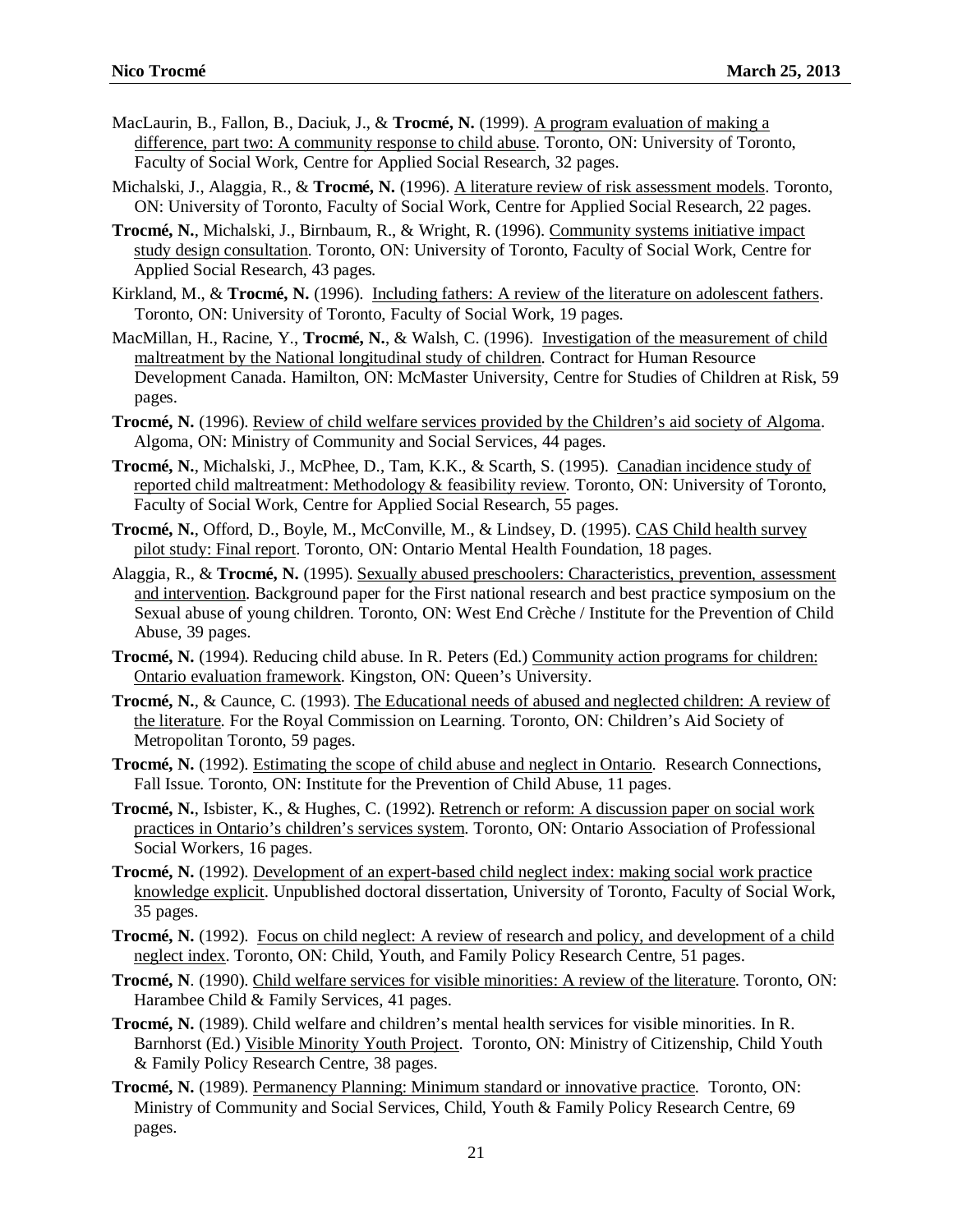- MacLaurin, B., Fallon, B., Daciuk, J., & **Trocmé, N.** (1999). A program evaluation of making a difference, part two: A community response to child abuse. Toronto, ON: University of Toronto, Faculty of Social Work, Centre for Applied Social Research, 32 pages.
- Michalski, J., Alaggia, R., & **Trocmé, N.** (1996). A literature review of risk assessment models. Toronto, ON: University of Toronto, Faculty of Social Work, Centre for Applied Social Research, 22 pages.
- **Trocmé, N.**, Michalski, J., Birnbaum, R., & Wright, R. (1996). Community systems initiative impact study design consultation. Toronto, ON: University of Toronto, Faculty of Social Work, Centre for Applied Social Research, 43 pages*.*
- Kirkland, M., & **Trocmé, N.** (1996). Including fathers: A review of the literature on adolescent fathers. Toronto, ON: University of Toronto, Faculty of Social Work, 19 pages*.*
- MacMillan, H., Racine, Y., **Trocmé, N.**, & Walsh, C. (1996). Investigation of the measurement of child maltreatment by the National longitudinal study of children. Contract for Human Resource Development Canada. Hamilton, ON: McMaster University, Centre for Studies of Children at Risk, 59 pages.
- **Trocmé, N.** (1996). Review of child welfare services provided by the Children's aid society of Algoma. Algoma, ON: Ministry of Community and Social Services, 44 pages.
- **Trocmé, N.**, Michalski, J., McPhee, D., Tam, K.K., & Scarth, S. (1995). Canadian incidence study of reported child maltreatment: Methodology & feasibility review*.* Toronto, ON: University of Toronto, Faculty of Social Work, Centre for Applied Social Research, 55 pages.
- **Trocmé, N.**, Offord, D., Boyle, M., McConville, M., & Lindsey, D. (1995). CAS Child health survey pilot study: Final report. Toronto, ON: Ontario Mental Health Foundation, 18 pages.
- Alaggia, R., & **Trocmé, N.** (1995). Sexually abused preschoolers: Characteristics, prevention, assessment and intervention. Background paper for the First national research and best practice symposium on the Sexual abuse of young children. Toronto, ON: West End Crèche / Institute for the Prevention of Child Abuse, 39 pages.
- **Trocmé, N.** (1994). Reducing child abuse. In R. Peters (Ed.) Community action programs for children: Ontario evaluation framework. Kingston, ON: Queen's University.
- **Trocmé, N.**, & Caunce, C. (1993). The Educational needs of abused and neglected children: A review of the literature. For the Royal Commission on Learning. Toronto, ON: Children's Aid Society of Metropolitan Toronto, 59 pages.
- **Trocmé, N.** (1992). Estimating the scope of child abuse and neglect in Ontario. Research Connections, Fall Issue. Toronto, ON: Institute for the Prevention of Child Abuse, 11 pages.
- **Trocmé, N.**, Isbister, K., & Hughes, C. (1992). Retrench or reform: A discussion paper on social work practices in Ontario's children's services system. Toronto, ON: Ontario Association of Professional Social Workers, 16 pages.
- **Trocmé, N.** (1992). Development of an expert-based child neglect index: making social work practice knowledge explicit. Unpublished doctoral dissertation, University of Toronto, Faculty of Social Work, 35 pages.
- **Trocmé, N.** (1992). Focus on child neglect: A review of research and policy, and development of a child neglect index. Toronto, ON: Child, Youth, and Family Policy Research Centre, 51 pages.
- **Trocmé, N**. (1990). Child welfare services for visible minorities: A review of the literature. Toronto, ON: Harambee Child & Family Services, 41 pages.
- **Trocmé, N.** (1989). Child welfare and children's mental health services for visible minorities. In R. Barnhorst (Ed.) Visible Minority Youth Project. Toronto, ON: Ministry of Citizenship, Child Youth & Family Policy Research Centre, 38 pages.
- **Trocmé, N.** (1989). Permanency Planning: Minimum standard or innovative practice. Toronto, ON: Ministry of Community and Social Services, Child, Youth & Family Policy Research Centre, 69 pages.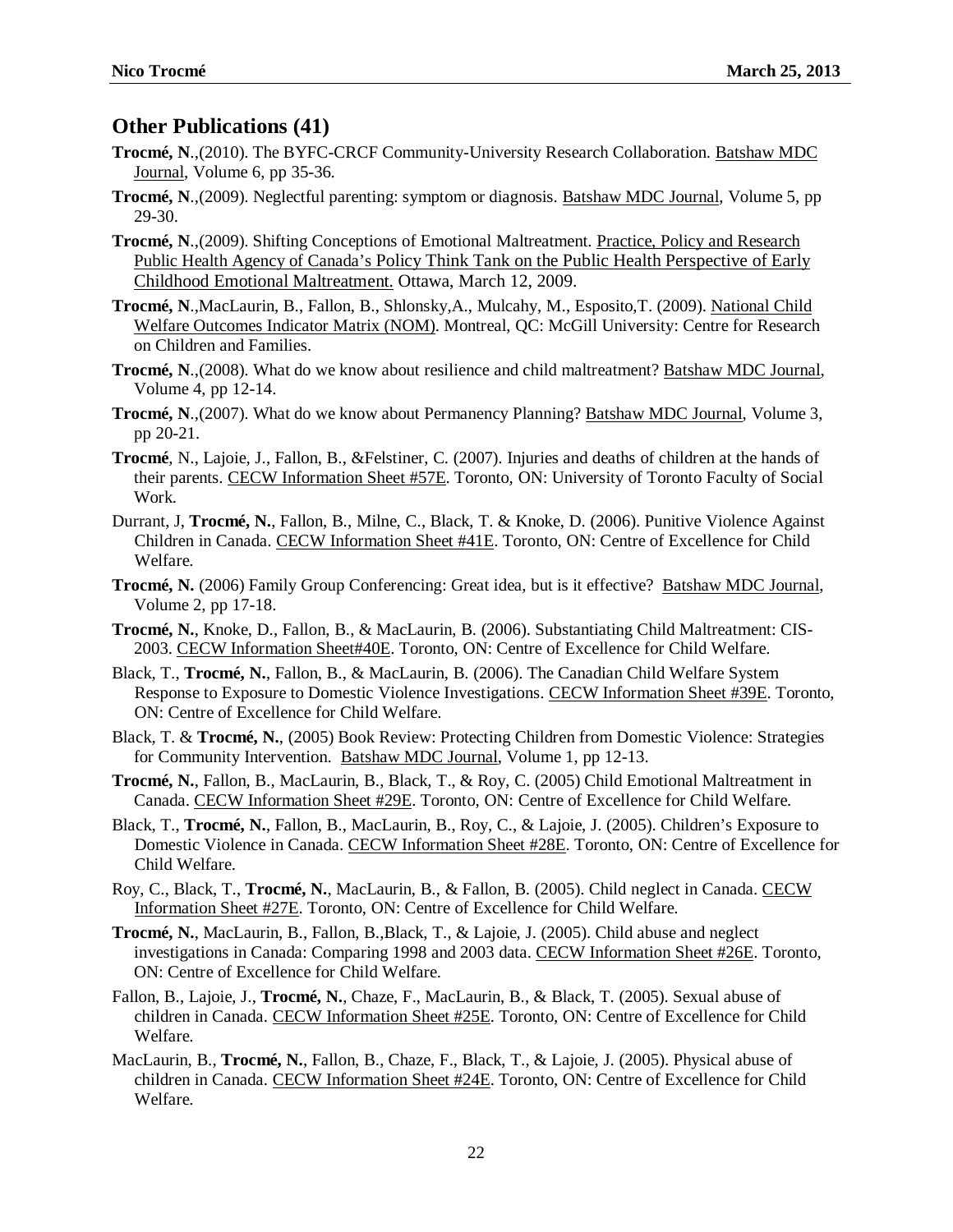### **Other Publications (41)**

- **Trocmé, N**.,(2010). The BYFC-CRCF Community-University Research Collaboration. Batshaw MDC Journal, Volume 6, pp 35-36.
- **Trocmé, N**.,(2009). Neglectful parenting: symptom or diagnosis. Batshaw MDC Journal, Volume 5, pp 29-30.
- **Trocmé, N**.,(2009). Shifting Conceptions of Emotional Maltreatment. Practice, Policy and Research Public Health Agency of Canada's Policy Think Tank on the Public Health Perspective of Early Childhood Emotional Maltreatment. Ottawa, March 12, 2009.
- **Trocmé, N**.,MacLaurin, B., Fallon, B., Shlonsky,A., Mulcahy, M., Esposito,T. (2009). National Child Welfare Outcomes Indicator Matrix (NOM). Montreal, QC: McGill University: Centre for Research on Children and Families.
- **Trocmé, N**.,(2008). What do we know about resilience and child maltreatment? Batshaw MDC Journal, Volume 4, pp 12-14.
- **Trocmé, N**.,(2007). What do we know about Permanency Planning? Batshaw MDC Journal, Volume 3, pp 20-21.
- **Trocmé**, N., Lajoie, J., Fallon, B., &Felstiner, C. (2007). Injuries and deaths of children at the hands of their parents. CECW Information Sheet #57E. Toronto, ON: University of Toronto Faculty of Social Work.
- Durrant, J, **Trocmé, N.**, Fallon, B., Milne, C., Black, T. & Knoke, D. (2006). Punitive Violence Against Children in Canada. CECW Information Sheet #41E. Toronto, ON: Centre of Excellence for Child Welfare.
- **Trocmé, N.** (2006) Family Group Conferencing: Great idea, but is it effective? Batshaw MDC Journal, Volume 2, pp 17-18.
- **Trocmé, N.**, Knoke, D., Fallon, B., & MacLaurin, B. (2006). Substantiating Child Maltreatment: CIS-2003. CECW Information Sheet#40E. Toronto, ON: Centre of Excellence for Child Welfare.
- Black, T., **Trocmé, N.**, Fallon, B., & MacLaurin, B. (2006). The Canadian Child Welfare System Response to Exposure to Domestic Violence Investigations. CECW Information Sheet #39E. Toronto, ON: Centre of Excellence for Child Welfare.
- Black, T. & **Trocmé, N.**, (2005) Book Review: Protecting Children from Domestic Violence: Strategies for Community Intervention. Batshaw MDC Journal, Volume 1, pp 12-13.
- **Trocmé, N.**, Fallon, B., MacLaurin, B., Black, T., & Roy, C. (2005) Child Emotional Maltreatment in Canada. CECW Information Sheet #29E. Toronto, ON: Centre of Excellence for Child Welfare.
- Black, T., **Trocmé, N.**, Fallon, B., MacLaurin, B., Roy, C., & Lajoie, J. (2005). [Children's Exposure to](http://www.cecw-cepb.ca/DocsEng/CISDomesticViolence28E.pdf)  [Domestic Violence in Canada.](http://www.cecw-cepb.ca/DocsEng/CISDomesticViolence28E.pdf) CECW Information Sheet #28E. Toronto, ON: Centre of Excellence for Child Welfare.
- Roy, C., Black, T., **Trocmé, N.**, MacLaurin, B., & Fallon, B. (2005). Child neglect in Canada. CECW Information Sheet #27E. Toronto, ON: Centre of Excellence for Child Welfare.
- **Trocmé, N.**, MacLaurin, B., Fallon, B.,Black, T., & Lajoie, J. (2005). [Child abuse and neglect](http://www.cecw-cepb.ca/DocsEng/CISComparisons26E.pdf)  [investigations in Canada: Comparing 1998 and 2003 data. C](http://www.cecw-cepb.ca/DocsEng/CISComparisons26E.pdf)ECW Information Sheet #26E. Toronto, ON: Centre of Excellence for Child Welfare.
- Fallon, B., Lajoie, J., **Trocmé, N.**, Chaze, F., MacLaurin, B., & Black, T. (2005). Sexual abuse of children in Canada. CECW Information Sheet #25E. Toronto, ON: Centre of Excellence for Child Welfare.
- MacLaurin, B., **Trocmé, N.**, Fallon, B., Chaze, F., Black, T., & Lajoie, J. (2005). Physical abuse of children in Canada. CECW Information Sheet #24E. Toronto, ON: Centre of Excellence for Child Welfare.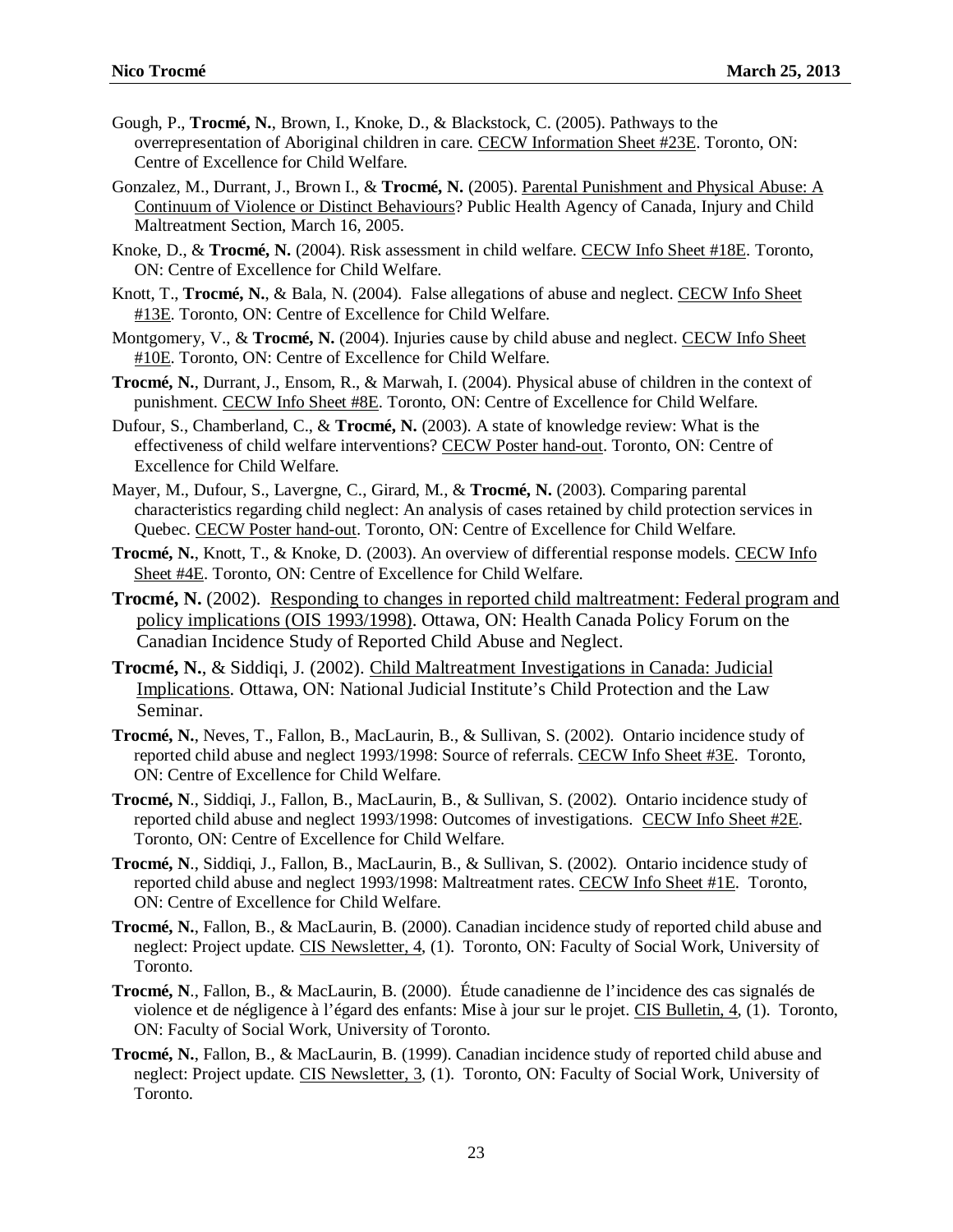- Gough, P., **Trocmé, N.**, Brown, I., Knoke, D., & Blackstock, C. (2005). [Pathways to the](http://www.cecw-cepb.ca/DocsEng/AboriginalChildren23E.pdf)  [overrepresentation of Aboriginal children in care.](http://www.cecw-cepb.ca/DocsEng/AboriginalChildren23E.pdf) CECW Information Sheet #23E. Toronto, ON: Centre of Excellence for Child Welfare.
- Gonzalez, M., Durrant, J., Brown I., & **Trocmé, N.** (2005). Parental Punishment and Physical Abuse: A Continuum of Violence or Distinct Behaviours? Public Health Agency of Canada, Injury and Child Maltreatment Section, March 16, 2005.
- Knoke, D., & **Trocmé, N.** (2004). Risk assessment in child welfare. CECW Info Sheet #18E. Toronto, ON: Centre of Excellence for Child Welfare.
- Knott, T., **Trocmé, N.**, & Bala, N. (2004). False allegations of abuse and neglect. CECW Info Sheet #13E. Toronto, ON: Centre of Excellence for Child Welfare.
- Montgomery, V., & **Trocmé, N.** (2004). Injuries cause by child abuse and neglect. CECW Info Sheet #10E. Toronto, ON: Centre of Excellence for Child Welfare.
- **Trocmé, N.**, Durrant, J., Ensom, R., & Marwah, I. (2004). Physical abuse of children in the context of punishment. CECW Info Sheet #8E. Toronto, ON: Centre of Excellence for Child Welfare.
- Dufour, S., Chamberland, C., & **Trocmé, N.** (2003). A state of knowledge review: What is the effectiveness of child welfare interventions? CECW Poster hand-out. Toronto, ON: Centre of Excellence for Child Welfare.
- Mayer, M., Dufour, S., Lavergne, C., Girard, M., & **Trocmé, N.** (2003). Comparing parental characteristics regarding child neglect: An analysis of cases retained by child protection services in Quebec. CECW Poster hand-out. Toronto, ON: Centre of Excellence for Child Welfare.
- **Trocmé, N.**, Knott, T., & Knoke, D. (2003). An overview of differential response models. CECW Info Sheet #4E. Toronto, ON: Centre of Excellence for Child Welfare.
- Trocmé, N. (2002). Responding to changes in reported child maltreatment: Federal program and policy implications (OIS 1993/1998). Ottawa, ON: Health Canada Policy Forum on the Canadian Incidence Study of Reported Child Abuse and Neglect.
- **Trocmé, N.**, & Siddiqi, J. (2002). Child Maltreatment Investigations in Canada: Judicial Implications. Ottawa, ON: National Judicial Institute's Child Protection and the Law Seminar.
- **Trocmé, N.**, Neves, T., Fallon, B., MacLaurin, B., & Sullivan, S. (2002). Ontario incidence study of reported child abuse and neglect 1993/1998: Source of referrals. CECW Info Sheet #3E. Toronto, ON: Centre of Excellence for Child Welfare.
- **Trocmé, N**., Siddiqi, J., Fallon, B., MacLaurin, B., & Sullivan, S. (2002). Ontario incidence study of reported child abuse and neglect 1993/1998: Outcomes of investigations. CECW Info Sheet #2E. Toronto, ON: Centre of Excellence for Child Welfare.
- **Trocmé, N**., Siddiqi, J., Fallon, B., MacLaurin, B., & Sullivan, S. (2002). Ontario incidence study of reported child abuse and neglect 1993/1998: Maltreatment rates. CECW Info Sheet #1E. Toronto, ON: Centre of Excellence for Child Welfare.
- **Trocmé, N.**, Fallon, B., & MacLaurin, B. (2000). Canadian incidence study of reported child abuse and neglect: Project update. CIS Newsletter, 4, (1). Toronto, ON: Faculty of Social Work, University of Toronto.
- **Trocmé, N**., Fallon, B., & MacLaurin, B. (2000). Étude canadienne de l'incidence des cas signalés de violence et de négligence à l'égard des enfants: Mise à jour sur le projet. CIS Bulletin, 4, (1). Toronto, ON: Faculty of Social Work, University of Toronto.
- **Trocmé, N.**, Fallon, B., & MacLaurin, B. (1999). Canadian incidence study of reported child abuse and neglect: Project update. CIS Newsletter, 3, (1). Toronto, ON: Faculty of Social Work, University of Toronto.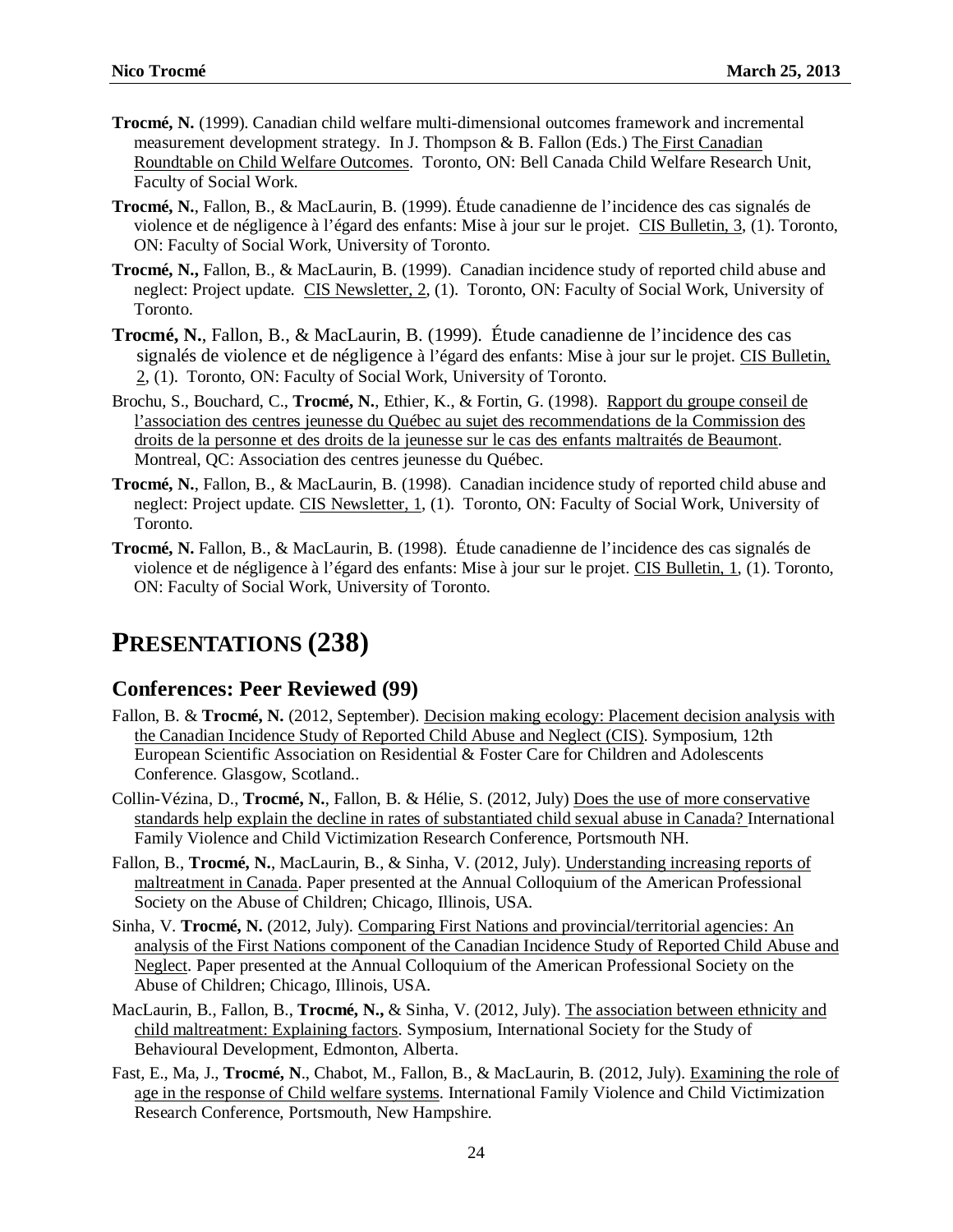- **Trocmé, N.** (1999). Canadian child welfare multi-dimensional outcomes framework and incremental measurement development strategy. In J. Thompson & B. Fallon (Eds.) The First Canadian Roundtable on Child Welfare Outcomes. Toronto, ON: Bell Canada Child Welfare Research Unit, Faculty of Social Work.
- **Trocmé, N.**, Fallon, B., & MacLaurin, B. (1999). Étude canadienne de l'incidence des cas signalés de violence et de négligence à l'égard des enfants: Mise à jour sur le projet. CIS Bulletin, 3, (1). Toronto, ON: Faculty of Social Work, University of Toronto.
- **Trocmé, N.,** Fallon, B., & MacLaurin, B. (1999). Canadian incidence study of reported child abuse and neglect: Project update. CIS Newsletter, 2, (1). Toronto, ON: Faculty of Social Work, University of Toronto.
- **Trocmé, N.**, Fallon, B., & MacLaurin, B. (1999). Étude canadienne de l'incidence des cas signalés de violence et de négligence à l'égard des enfants: Mise à jour sur le projet. CIS Bulletin, 2, (1). Toronto, ON: Faculty of Social Work, University of Toronto.
- Brochu, S., Bouchard, C., **Trocmé, N.**, Ethier, K., & Fortin, G. (1998). Rapport du groupe conseil de l'association des centres jeunesse du Québec au sujet des recommendations de la Commission des droits de la personne et des droits de la jeunesse sur le cas des enfants maltraités de Beaumont. Montreal, QC: Association des centres jeunesse du Québec.
- **Trocmé, N.**, Fallon, B., & MacLaurin, B. (1998). Canadian incidence study of reported child abuse and neglect: Project update. CIS Newsletter, 1, (1). Toronto, ON: Faculty of Social Work, University of Toronto.
- **Trocmé, N.** Fallon, B., & MacLaurin, B. (1998). Étude canadienne de l'incidence des cas signalés de violence et de négligence à l'égard des enfants: Mise à jour sur le projet. CIS Bulletin, 1, (1). Toronto, ON: Faculty of Social Work, University of Toronto.

# **PRESENTATIONS (238)**

#### **Conferences: Peer Reviewed (99)**

- Fallon, B. & **Trocmé, N.** (2012, September). Decision making ecology: Placement decision analysis with the Canadian Incidence Study of Reported Child Abuse and Neglect (CIS). Symposium, 12th European Scientific Association on Residential & Foster Care for Children and Adolescents Conference. Glasgow, Scotland..
- Collin-Vézina, D., **Trocmé, N.**, Fallon, B. & Hélie, S. (2012, July) Does the use of more conservative standards help explain the decline in rates of substantiated child sexual abuse in Canada? International Family Violence and Child Victimization Research Conference, Portsmouth NH.
- Fallon, B., **Trocmé, N.**, MacLaurin, B., & Sinha, V. (2012, July). Understanding increasing reports of maltreatment in Canada. Paper presented at the Annual Colloquium of the American Professional Society on the Abuse of Children; Chicago, Illinois, USA.
- Sinha, V. **Trocmé, N.** (2012, July). Comparing First Nations and provincial/territorial agencies: An analysis of the First Nations component of the Canadian Incidence Study of Reported Child Abuse and Neglect. Paper presented at the Annual Colloquium of the American Professional Society on the Abuse of Children; Chicago, Illinois, USA.
- MacLaurin, B., Fallon, B., **Trocmé, N.,** & Sinha, V. (2012, July). The association between ethnicity and child maltreatment: Explaining factors. Symposium, International Society for the Study of Behavioural Development, Edmonton, Alberta.
- Fast, E., Ma, J., **Trocmé, N**., Chabot, M., Fallon, B., & MacLaurin, B. (2012, July). Examining the role of age in the response of Child welfare systems. International Family Violence and Child Victimization Research Conference, Portsmouth, New Hampshire.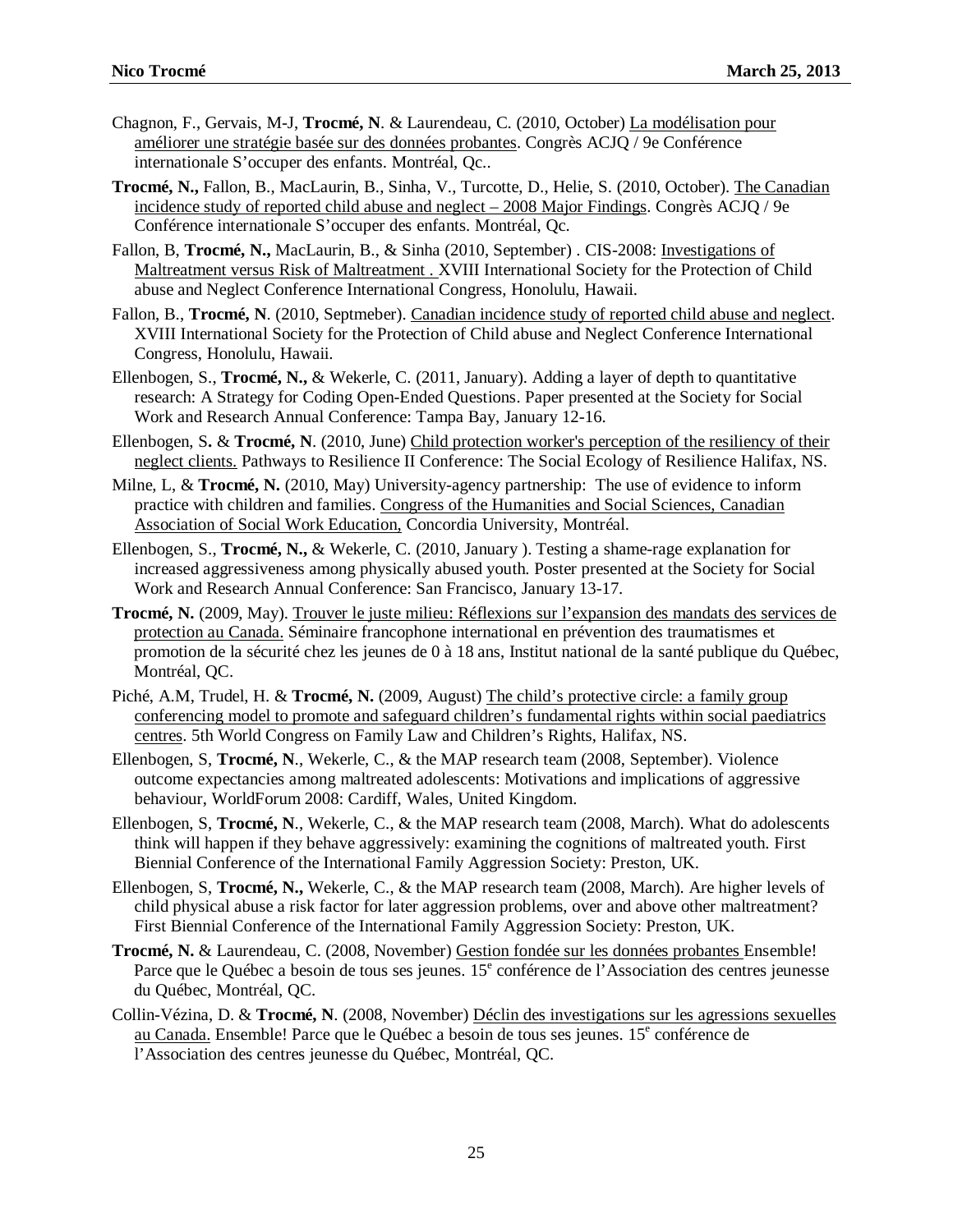- Chagnon, F., Gervais, M-J, **Trocmé, N**. & Laurendeau, C. (2010, October) La modélisation pour améliorer une stratégie basée sur des données probantes. Congrès ACJQ / 9e Conférence internationale S'occuper des enfants. Montréal, Qc..
- **Trocmé, N.,** Fallon, B., MacLaurin, B., Sinha, V., Turcotte, D., Helie, S. (2010, October). The Canadian incidence study of reported child abuse and neglect – 2008 Major Findings. Congrès ACJQ / 9e Conférence internationale S'occuper des enfants. Montréal, Qc.
- Fallon, B, **Trocmé, N.,** MacLaurin, B., & Sinha (2010, September) . CIS-2008: Investigations of Maltreatment versus Risk of Maltreatment . XVIII International Society for the Protection of Child abuse and Neglect Conference International Congress, Honolulu, Hawaii.
- Fallon, B., **Trocmé, N**. (2010, Septmeber). Canadian incidence study of reported child abuse and neglect. XVIII International Society for the Protection of Child abuse and Neglect Conference International Congress, Honolulu, Hawaii.
- Ellenbogen, S., **Trocmé, N.,** & Wekerle, C. (2011, January). Adding a layer of depth to quantitative research: A Strategy for Coding Open-Ended Questions. Paper presented at the Society for Social Work and Research Annual Conference: Tampa Bay, January 12-16.
- Ellenbogen, S**.** & **Trocmé, N**. (2010, June) Child protection worker's perception of the resiliency of their neglect clients. Pathways to Resilience II Conference: The Social Ecology of Resilience Halifax, NS.
- Milne, L, & **Trocmé, N.** (2010, May) University-agency partnership: The use of evidence to inform practice with children and families. Congress of the Humanities and Social Sciences, Canadian Association of Social Work Education, Concordia University, Montréal.
- Ellenbogen, S., **Trocmé, N.,** & Wekerle, C. (2010, January ). Testing a shame-rage explanation for increased aggressiveness among physically abused youth. Poster presented at the Society for Social Work and Research Annual Conference: San Francisco, January 13-17.
- **Trocmé, N.** (2009, May). Trouver le juste milieu: Réflexions sur l'expansion des mandats des services de protection au Canada. Séminaire francophone international en prévention des traumatismes et promotion de la sécurité chez les jeunes de 0 à 18 ans, Institut national de la santé publique du Québec, Montréal, QC.
- Piché, A.M, Trudel, H. & **Trocmé, N.** (2009, August) The child's protective circle: a family group conferencing model to promote and safeguard children's fundamental rights within social paediatrics centres. 5th World Congress on Family Law and Children's Rights, Halifax, NS.
- Ellenbogen, S, **Trocmé, N**., Wekerle, C., & the MAP research team (2008, September). Violence outcome expectancies among maltreated adolescents: Motivations and implications of aggressive behaviour, WorldForum 2008: Cardiff, Wales, United Kingdom.
- Ellenbogen, S, **Trocmé, N**., Wekerle, C., & the MAP research team (2008, March). What do adolescents think will happen if they behave aggressively: examining the cognitions of maltreated youth. First Biennial Conference of the International Family Aggression Society: Preston, UK.
- Ellenbogen, S, **Trocmé, N.,** Wekerle, C., & the MAP research team (2008, March). Are higher levels of child physical abuse a risk factor for later aggression problems, over and above other maltreatment? First Biennial Conference of the International Family Aggression Society: Preston, UK.
- **Trocmé, N.** & Laurendeau, C. (2008, November) Gestion fondée sur les données probantes Ensemble! Parce que le Québec a besoin de tous ses jeunes.  $15<sup>e</sup>$  conférence de l'Association des centres jeunesse du Québec, Montréal, QC.
- Collin-Vézina, D. & **Trocmé, N**. (2008, November) Déclin des investigations sur les agressions sexuelles au Canada. Ensemble! Parce que le Québec a besoin de tous ses jeunes.  $15<sup>e</sup>$  conférence de l'Association des centres jeunesse du Québec, Montréal, QC.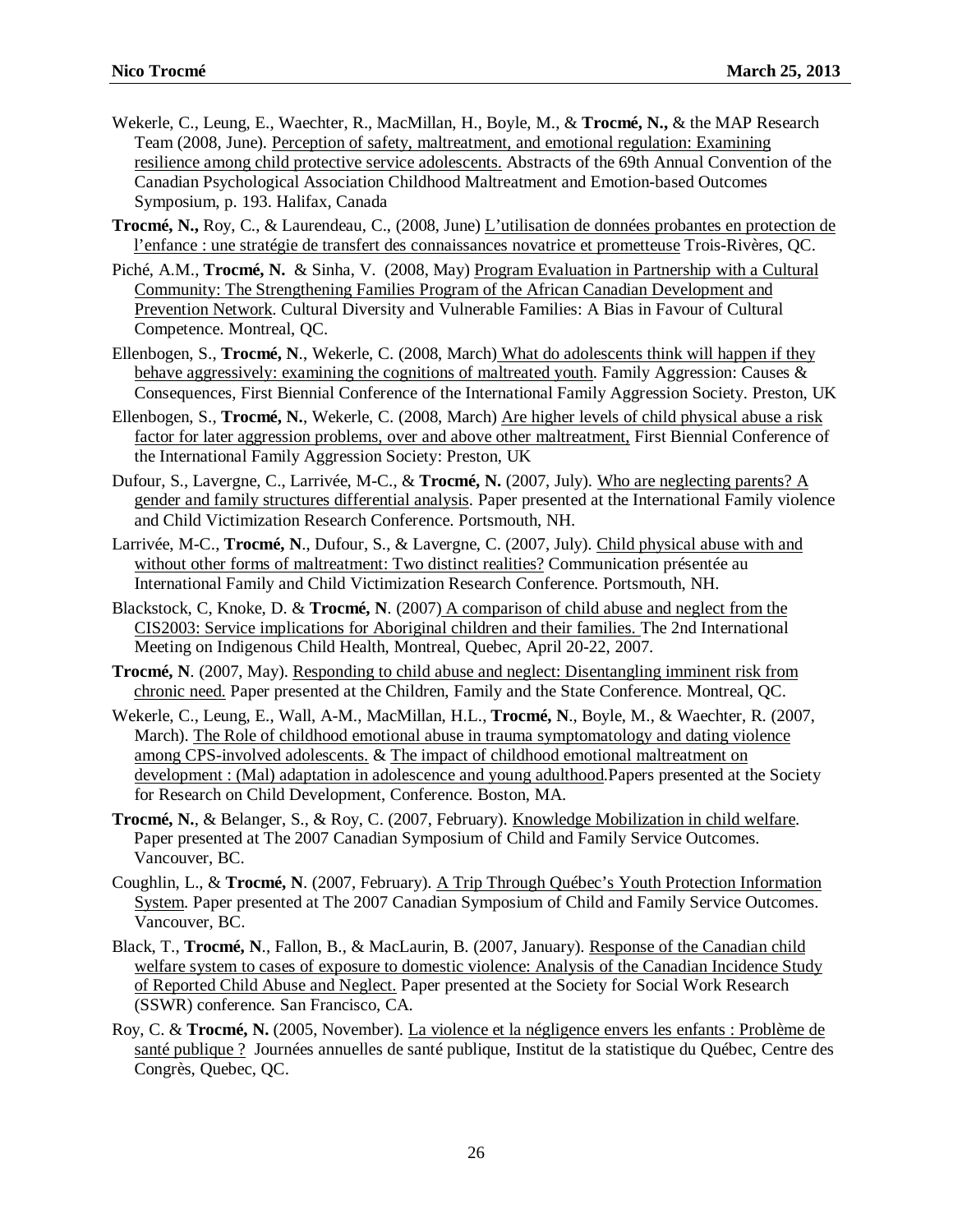- Wekerle, C., Leung, E., Waechter, R., MacMillan, H., Boyle, M., & **Trocmé, N.,** & the MAP Research Team (2008, June). Perception of safety, maltreatment, and emotional regulation: Examining resilience among child protective service adolescents. Abstracts of the 69th Annual Convention of the Canadian Psychological Association Childhood Maltreatment and Emotion-based Outcomes Symposium, p. 193. Halifax, Canada
- **Trocmé, N.,** Roy, C., & Laurendeau, C., (2008, June) L'utilisation de données probantes en protection de l'enfance : une stratégie de transfert des connaissances novatrice et prometteuse Trois-Rivères, QC.
- Piché, A.M., **Trocmé, N.** & Sinha, V. (2008, May) Program Evaluation in Partnership with a Cultural Community: The Strengthening Families Program of the African Canadian Development and Prevention Network. Cultural Diversity and Vulnerable Families: A Bias in Favour of Cultural Competence. Montreal, QC.
- Ellenbogen, S., **Trocmé, N**., Wekerle, C. (2008, March) What do adolescents think will happen if they behave aggressively: examining the cognitions of maltreated youth. Family Aggression: Causes & Consequences, First Biennial Conference of the International Family Aggression Society. Preston, UK
- Ellenbogen, S., **Trocmé, N.**, Wekerle, C. (2008, March) Are higher levels of child physical abuse a risk factor for later aggression problems, over and above other maltreatment, First Biennial Conference of the International Family Aggression Society: Preston, UK
- Dufour, S., Lavergne, C., Larrivée, M-C., & **Trocmé, N.** (2007, July). Who are neglecting parents? A gender and family structures differential analysis. Paper presented at the International Family violence and Child Victimization Research Conference. Portsmouth, NH.
- Larrivée, M-C., **Trocmé, N**., Dufour, S., & Lavergne, C. (2007, July). Child physical abuse with and without other forms of maltreatment: Two distinct realities? Communication présentée au International Family and Child Victimization Research Conference. Portsmouth, NH.
- Blackstock, C, Knoke, D. & **Trocmé, N**. (2007) A comparison of child abuse and neglect from the CIS2003: Service implications for Aboriginal children and their families. The 2nd International Meeting on Indigenous Child Health, Montreal, Quebec, April 20-22, 2007.
- **Trocmé, N**. (2007, May). Responding to child abuse and neglect: Disentangling imminent risk from chronic need. Paper presented at the Children, Family and the State Conference. Montreal, QC.
- Wekerle, C., Leung, E., Wall, A-M., MacMillan, H.L., **Trocmé, N**., Boyle, M., & Waechter, R. (2007, March). The Role of childhood emotional abuse in trauma symptomatology and dating violence among CPS-involved adolescents. & The impact of childhood emotional maltreatment on development : (Mal) adaptation in adolescence and young adulthood.Papers presented at the Society for Research on Child Development, Conference. Boston, MA.
- **Trocmé, N.**, & Belanger, S., & Roy, C. (2007, February). Knowledge Mobilization in child welfare. Paper presented at The 2007 Canadian Symposium of Child and Family Service Outcomes. Vancouver, BC.
- Coughlin, L., & **Trocmé, N**. (2007, February). A Trip Through Québec's Youth Protection Information System. Paper presented at The 2007 Canadian Symposium of Child and Family Service Outcomes. Vancouver, BC.
- Black, T., **Trocmé, N**., Fallon, B., & MacLaurin, B. (2007, January). Response of the Canadian child welfare system to cases of exposure to domestic violence: Analysis of the Canadian Incidence Study of Reported Child Abuse and Neglect. Paper presented at the Society for Social Work Research (SSWR) conference. San Francisco, CA.
- Roy, C. & **Trocmé, N.** (2005, November). La violence et la négligence envers les enfants : Problème de santé publique ? Journées annuelles de santé publique, Institut de la statistique du Québec, Centre des Congrès, Quebec, QC.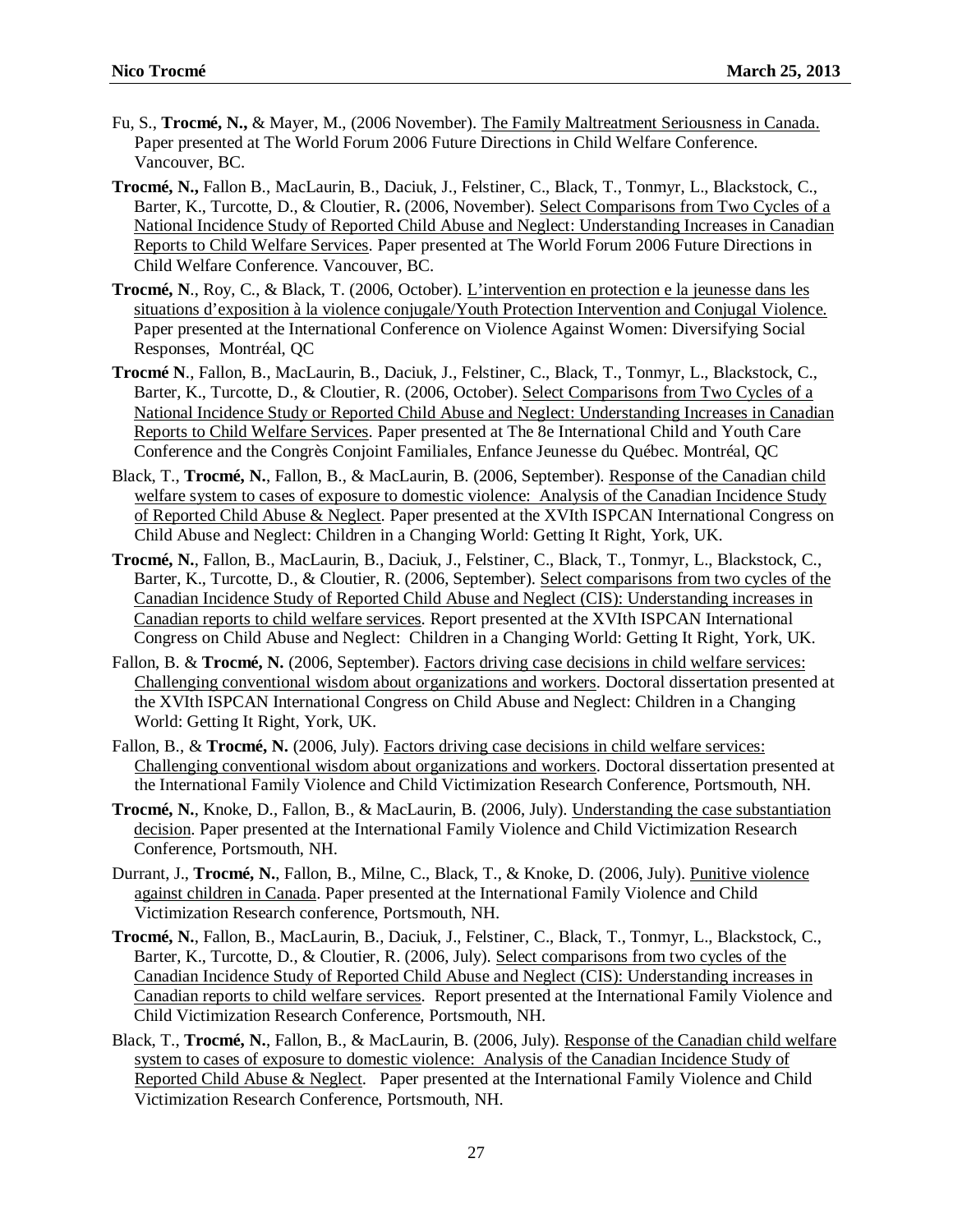- Fu, S., **Trocmé, N.,** & Mayer, M., (2006 November). The Family Maltreatment Seriousness in Canada. Paper presented at The World Forum 2006 Future Directions in Child Welfare Conference. Vancouver, BC.
- **Trocmé, N.,** Fallon B., MacLaurin, B., Daciuk, J., Felstiner, C., Black, T., Tonmyr, L., Blackstock, C., Barter, K., Turcotte, D., & Cloutier, R**.** (2006, November). Select Comparisons from Two Cycles of a National Incidence Study of Reported Child Abuse and Neglect: Understanding Increases in Canadian Reports to Child Welfare Services. Paper presented at The World Forum 2006 Future Directions in Child Welfare Conference. Vancouver, BC.
- **Trocmé, N**., Roy, C., & Black, T. (2006, October). L'intervention en protection e la jeunesse dans les situations d'exposition à la violence conjugale/Youth Protection Intervention and Conjugal Violence. Paper presented at the International Conference on Violence Against Women: Diversifying Social Responses, Montréal, QC
- **Trocmé N**., Fallon, B., MacLaurin, B., Daciuk, J., Felstiner, C., Black, T., Tonmyr, L., Blackstock, C., Barter, K., Turcotte, D., & Cloutier, R. (2006, October). Select Comparisons from Two Cycles of a National Incidence Study or Reported Child Abuse and Neglect: Understanding Increases in Canadian Reports to Child Welfare Services. Paper presented at The 8e International Child and Youth Care Conference and the Congrès Conjoint Familiales, Enfance Jeunesse du Québec. Montréal, QC
- Black, T., **Trocmé, N.**, Fallon, B., & MacLaurin, B. (2006, September). Response of the Canadian child welfare system to cases of exposure to domestic violence: Analysis of the Canadian Incidence Study of Reported Child Abuse & Neglect. Paper presented at the XVIth ISPCAN International Congress on Child Abuse and Neglect: Children in a Changing World: Getting It Right, York, UK.
- **Trocmé, N.**, Fallon, B., MacLaurin, B., Daciuk, J., Felstiner, C., Black, T., Tonmyr, L., Blackstock, C., Barter, K., Turcotte, D., & Cloutier, R. (2006, September). Select comparisons from two cycles of the Canadian Incidence Study of Reported Child Abuse and Neglect (CIS): Understanding increases in Canadian reports to child welfare services. Report presented at the XVIth ISPCAN International Congress on Child Abuse and Neglect: Children in a Changing World: Getting It Right, York, UK.
- Fallon, B. & **Trocmé, N.** (2006, September). Factors driving case decisions in child welfare services: Challenging conventional wisdom about organizations and workers. Doctoral dissertation presented at the XVIth ISPCAN International Congress on Child Abuse and Neglect: Children in a Changing World: Getting It Right, York, UK.
- Fallon, B., & **Trocmé, N.** (2006, July). Factors driving case decisions in child welfare services: Challenging conventional wisdom about organizations and workers. Doctoral dissertation presented at the International Family Violence and Child Victimization Research Conference, Portsmouth, NH.
- **Trocmé, N.**, Knoke, D., Fallon, B., & MacLaurin, B. (2006, July). Understanding the case substantiation decision. Paper presented at the International Family Violence and Child Victimization Research Conference, Portsmouth, NH.
- Durrant, J., **Trocmé, N.**, Fallon, B., Milne, C., Black, T., & Knoke, D. (2006, July). Punitive violence against children in Canada. Paper presented at the International Family Violence and Child Victimization Research conference, Portsmouth, NH.
- **Trocmé, N.**, Fallon, B., MacLaurin, B., Daciuk, J., Felstiner, C., Black, T., Tonmyr, L., Blackstock, C., Barter, K., Turcotte, D., & Cloutier, R. (2006, July). Select comparisons from two cycles of the Canadian Incidence Study of Reported Child Abuse and Neglect (CIS): Understanding increases in Canadian reports to child welfare services. Report presented at the International Family Violence and Child Victimization Research Conference, Portsmouth, NH.
- Black, T., **Trocmé, N.**, Fallon, B., & MacLaurin, B. (2006, July). Response of the Canadian child welfare system to cases of exposure to domestic violence: Analysis of the Canadian Incidence Study of Reported Child Abuse & Neglect. Paper presented at the International Family Violence and Child Victimization Research Conference, Portsmouth, NH.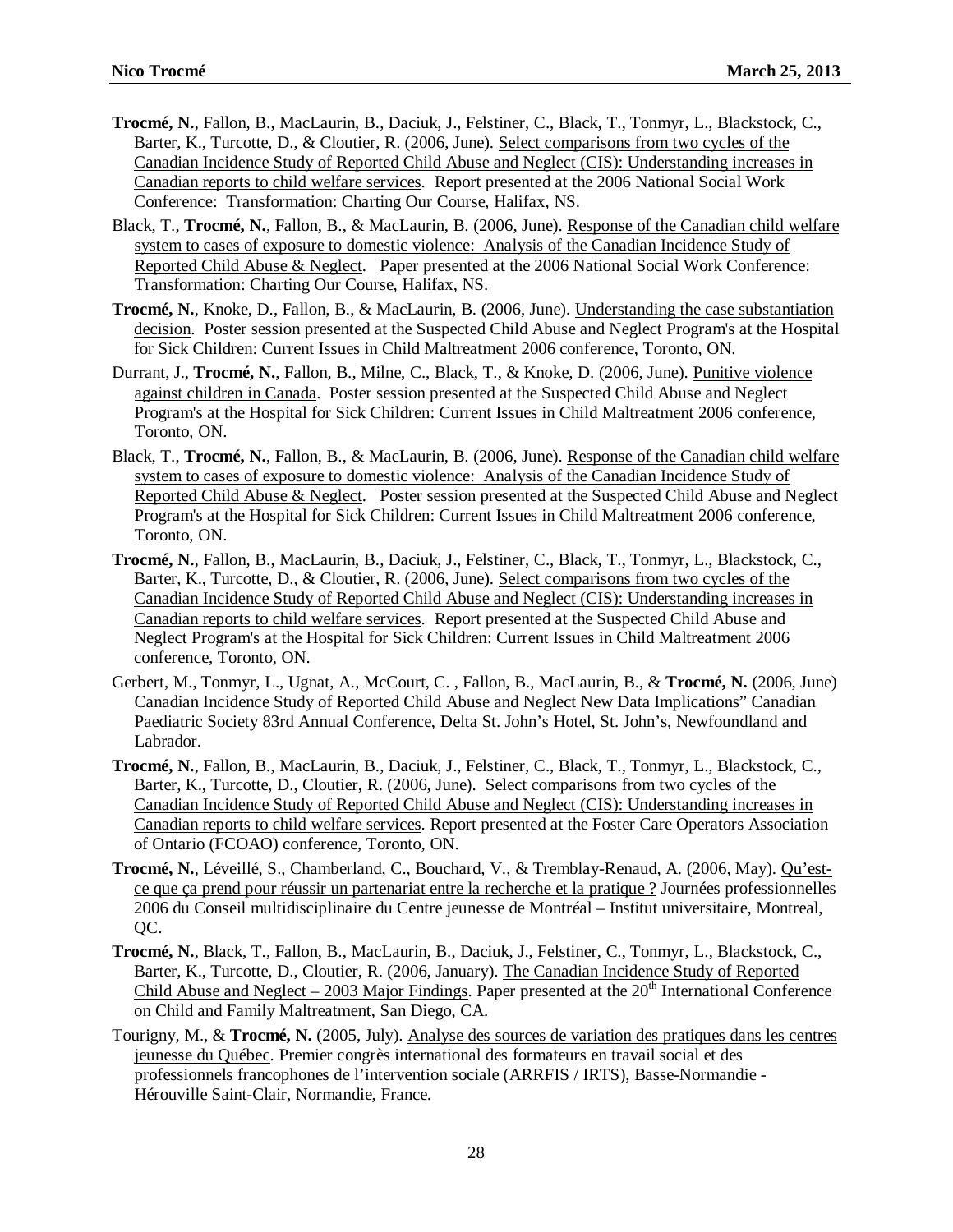- **Trocmé, N.**, Fallon, B., MacLaurin, B., Daciuk, J., Felstiner, C., Black, T., Tonmyr, L., Blackstock, C., Barter, K., Turcotte, D., & Cloutier, R. (2006, June). Select comparisons from two cycles of the Canadian Incidence Study of Reported Child Abuse and Neglect (CIS): Understanding increases in Canadian reports to child welfare services. Report presented at the 2006 National Social Work Conference: Transformation: Charting Our Course, Halifax, NS.
- Black, T., **Trocmé, N.**, Fallon, B., & MacLaurin, B. (2006, June). Response of the Canadian child welfare system to cases of exposure to domestic violence: Analysis of the Canadian Incidence Study of Reported Child Abuse & Neglect. Paper presented at the 2006 National Social Work Conference: Transformation: Charting Our Course, Halifax, NS.
- **Trocmé, N.**, Knoke, D., Fallon, B., & MacLaurin, B. (2006, June). Understanding the case substantiation decision. Poster session presented at the Suspected Child Abuse and Neglect Program's at the Hospital for Sick Children: Current Issues in Child Maltreatment 2006 conference, Toronto, ON.
- Durrant, J., **Trocmé, N.**, Fallon, B., Milne, C., Black, T., & Knoke, D. (2006, June). Punitive violence against children in Canada. Poster session presented at the Suspected Child Abuse and Neglect Program's at the Hospital for Sick Children: Current Issues in Child Maltreatment 2006 conference, Toronto, ON.
- Black, T., **Trocmé, N.**, Fallon, B., & MacLaurin, B. (2006, June). Response of the Canadian child welfare system to cases of exposure to domestic violence: Analysis of the Canadian Incidence Study of Reported Child Abuse & Neglect. Poster session presented at the Suspected Child Abuse and Neglect Program's at the Hospital for Sick Children: Current Issues in Child Maltreatment 2006 conference, Toronto, ON.
- **Trocmé, N.**, Fallon, B., MacLaurin, B., Daciuk, J., Felstiner, C., Black, T., Tonmyr, L., Blackstock, C., Barter, K., Turcotte, D., & Cloutier, R. (2006, June). Select comparisons from two cycles of the Canadian Incidence Study of Reported Child Abuse and Neglect (CIS): Understanding increases in Canadian reports to child welfare services. Report presented at the Suspected Child Abuse and Neglect Program's at the Hospital for Sick Children: Current Issues in Child Maltreatment 2006 conference, Toronto, ON.
- Gerbert, M., Tonmyr, L., Ugnat, A., McCourt, C. , Fallon, B., MacLaurin, B., & **Trocmé, N.** (2006, June) Canadian Incidence Study of Reported Child Abuse and Neglect New Data Implications" Canadian Paediatric Society 83rd Annual Conference, Delta St. John's Hotel, St. John's, Newfoundland and Labrador.
- **Trocmé, N.**, Fallon, B., MacLaurin, B., Daciuk, J., Felstiner, C., Black, T., Tonmyr, L., Blackstock, C., Barter, K., Turcotte, D., Cloutier, R. (2006, June). Select comparisons from two cycles of the Canadian Incidence Study of Reported Child Abuse and Neglect (CIS): Understanding increases in Canadian reports to child welfare services. Report presented at the Foster Care Operators Association of Ontario (FCOAO) conference, Toronto, ON.
- **Trocmé, N.**, Léveillé, S., Chamberland, C., Bouchard, V., & Tremblay-Renaud, A. (2006, May). Qu'estce que ça prend pour réussir un partenariat entre la recherche et la pratique ? Journées professionnelles 2006 du Conseil multidisciplinaire du Centre jeunesse de Montréal – Institut universitaire, Montreal, QC.
- **Trocmé, N.**, Black, T., Fallon, B., MacLaurin, B., Daciuk, J., Felstiner, C., Tonmyr, L., Blackstock, C., Barter, K., Turcotte, D., Cloutier, R. (2006, January). The Canadian Incidence Study of Reported Child Abuse and Neglect – 2003 Major Findings. Paper presented at the  $20<sup>th</sup>$  International Conference on Child and Family Maltreatment, San Diego, CA.
- Tourigny, M., & **Trocmé, N.** (2005, July). Analyse des sources de variation des pratiques dans les centres jeunesse du Québec. Premier congrès international des formateurs en travail social et des professionnels francophones de l'intervention sociale (ARRFIS / IRTS), Basse-Normandie - Hérouville Saint-Clair, Normandie, France.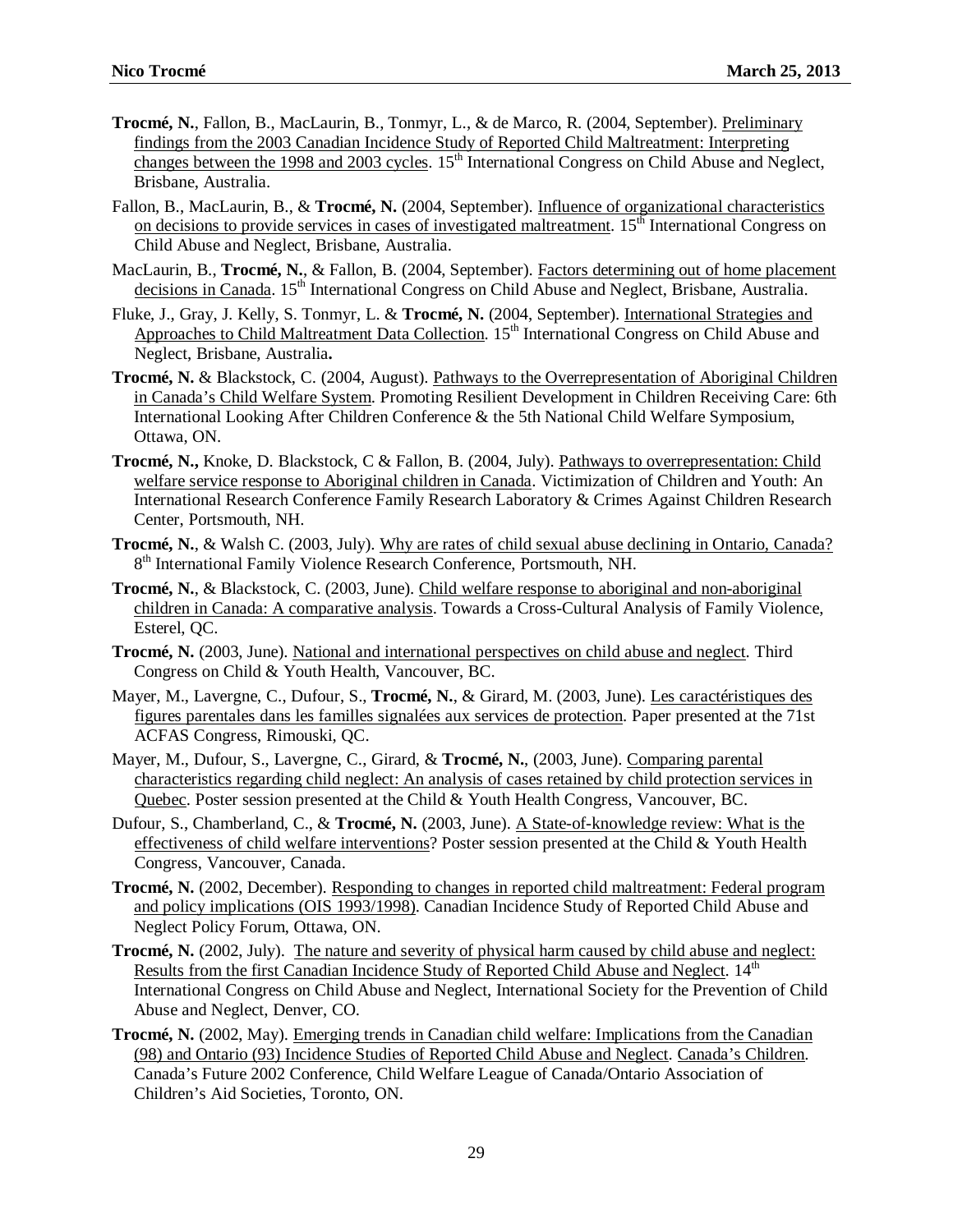- **Trocmé, N.**, Fallon, B., MacLaurin, B., Tonmyr, L., & de Marco, R. (2004, September). Preliminary findings from the 2003 Canadian Incidence Study of Reported Child Maltreatment: Interpreting changes between the 1998 and 2003 cycles. 15<sup>th</sup> International Congress on Child Abuse and Neglect, Brisbane, Australia.
- Fallon, B., MacLaurin, B., & **Trocmé, N.** (2004, September). Influence of organizational characteristics on decisions to provide services in cases of investigated maltreatment. 15<sup>th</sup> International Congress on Child Abuse and Neglect, Brisbane, Australia.
- MacLaurin, B., **Trocmé, N.**, & Fallon, B. (2004, September). Factors determining out of home placement decisions in Canada. 15<sup>th</sup> International Congress on Child Abuse and Neglect, Brisbane, Australia.
- Fluke, J., Gray, J. Kelly, S. Tonmyr, L. & **Trocmé, N.** (2004, September). International Strategies and Approaches to Child Maltreatment Data Collection. 15<sup>th</sup> International Congress on Child Abuse and Neglect, Brisbane, Australia**.**
- **Trocmé, N.** & Blackstock, C. (2004, August). Pathways to the Overrepresentation of Aboriginal Children in Canada's Child Welfare System. Promoting Resilient Development in Children Receiving Care: 6th International Looking After Children Conference & the 5th National Child Welfare Symposium, Ottawa, ON.
- **Trocmé, N.,** Knoke, D. Blackstock, C & Fallon, B. (2004, July). Pathways to overrepresentation: Child welfare service response to Aboriginal children in Canada. Victimization of Children and Youth: An International Research Conference Family Research Laboratory & Crimes Against Children Research Center, Portsmouth, NH.
- **Trocmé, N.**, & Walsh C. (2003, July). Why are rates of child sexual abuse declining in Ontario, Canada? 8<sup>th</sup> International Family Violence Research Conference, Portsmouth, NH.
- **Trocmé, N.**, & Blackstock, C. (2003, June). Child welfare response to aboriginal and non-aboriginal children in Canada: A comparative analysis. Towards a Cross-Cultural Analysis of Family Violence, Esterel, QC.
- **Trocmé, N.** (2003, June). National and international perspectives on child abuse and neglect. Third Congress on Child & Youth Health, Vancouver, BC.
- Mayer, M., Lavergne, C., Dufour, S., **Trocmé, N.**, & Girard, M. (2003, June). Les caractéristiques des figures parentales dans les familles signalées aux services de protection. Paper presented at the 71st ACFAS Congress, Rimouski, QC.
- Mayer, M., Dufour, S., Lavergne, C., Girard, & **Trocmé, N.**, (2003, June). Comparing parental characteristics regarding child neglect: An analysis of cases retained by child protection services in Quebec. Poster session presented at the Child & Youth Health Congress, Vancouver, BC.
- Dufour, S., Chamberland, C., & **Trocmé, N.** (2003, June). A State-of-knowledge review: What is the effectiveness of child welfare interventions? Poster session presented at the Child & Youth Health Congress, Vancouver, Canada.
- **Trocmé, N.** (2002, December). Responding to changes in reported child maltreatment: Federal program and policy implications (OIS 1993/1998). Canadian Incidence Study of Reported Child Abuse and Neglect Policy Forum, Ottawa, ON.
- **Trocmé, N.** (2002, July). The nature and severity of physical harm caused by child abuse and neglect: Results from the first Canadian Incidence Study of Reported Child Abuse and Neglect. 14<sup>th</sup> International Congress on Child Abuse and Neglect, International Society for the Prevention of Child Abuse and Neglect, Denver, CO.
- **Trocmé, N.** (2002, May). Emerging trends in Canadian child welfare: Implications from the Canadian (98) and Ontario (93) Incidence Studies of Reported Child Abuse and Neglect. Canada's Children. Canada's Future 2002 Conference, Child Welfare League of Canada/Ontario Association of Children's Aid Societies, Toronto, ON.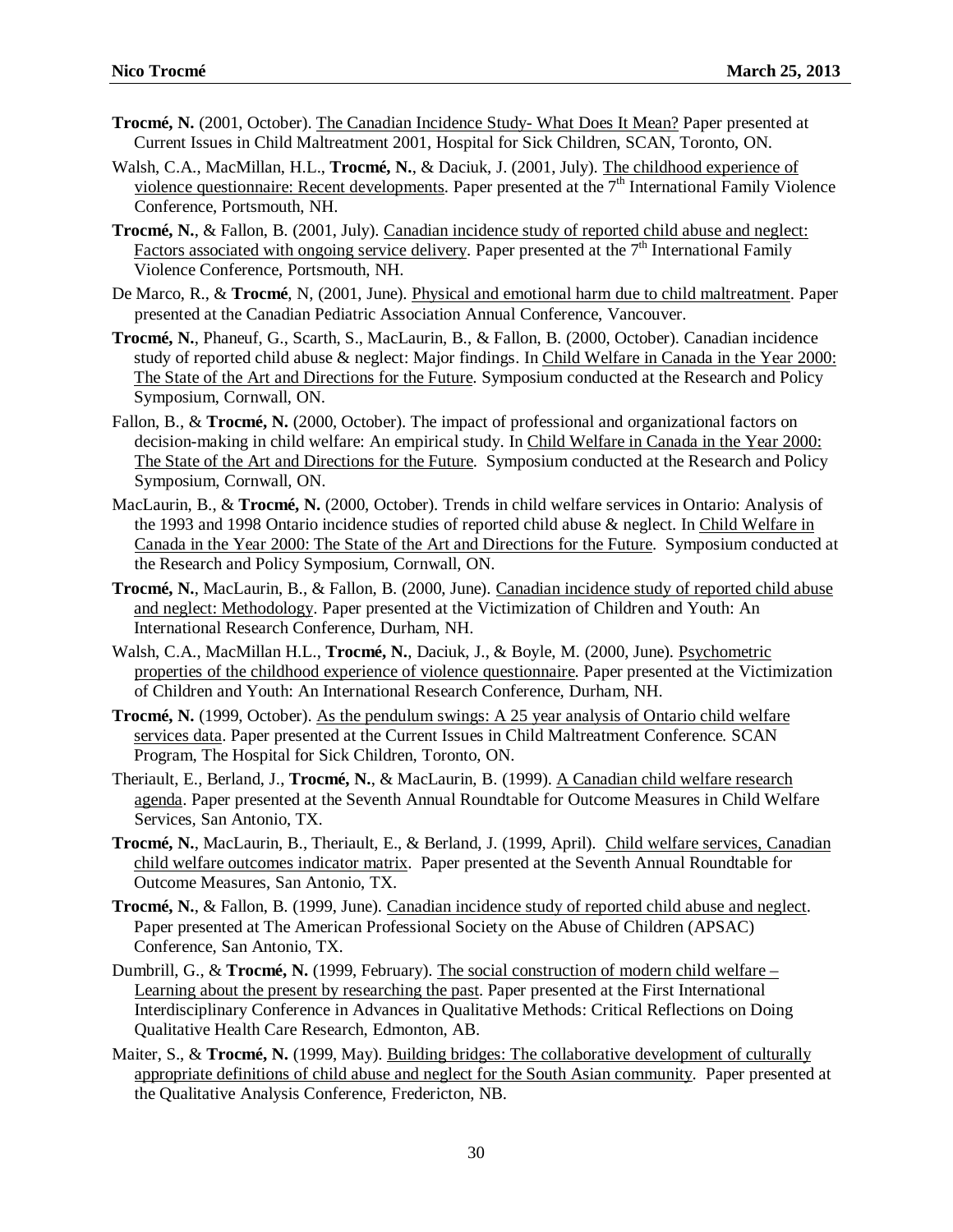- **Trocmé, N.** (2001, October). The Canadian Incidence Study- What Does It Mean? Paper presented at Current Issues in Child Maltreatment 2001, Hospital for Sick Children, SCAN, Toronto, ON.
- Walsh, C.A., MacMillan, H.L., **Trocmé, N.**, & Daciuk, J. (2001, July). The childhood experience of violence questionnaire: Recent developments. Paper presented at the  $7<sup>th</sup>$  International Family Violence Conference, Portsmouth, NH.
- **Trocmé, N.**, & Fallon, B. (2001, July). Canadian incidence study of reported child abuse and neglect: Factors associated with ongoing service delivery. Paper presented at the  $7<sup>th</sup>$  International Family Violence Conference, Portsmouth, NH.
- De Marco, R., & **Trocmé**, N, (2001, June). Physical and emotional harm due to child maltreatment. Paper presented at the Canadian Pediatric Association Annual Conference, Vancouver.
- **Trocmé, N.**, Phaneuf, G., Scarth, S., MacLaurin, B., & Fallon, B. (2000, October). Canadian incidence study of reported child abuse & neglect: Major findings. In Child Welfare in Canada in the Year 2000: The State of the Art and Directions for the Future. Symposium conducted at the Research and Policy Symposium, Cornwall, ON.
- Fallon, B., & **Trocmé, N.** (2000, October). The impact of professional and organizational factors on decision-making in child welfare: An empirical study. In Child Welfare in Canada in the Year 2000: The State of the Art and Directions for the Future. Symposium conducted at the Research and Policy Symposium, Cornwall, ON.
- MacLaurin, B., & **Trocmé, N.** (2000, October). Trends in child welfare services in Ontario: Analysis of the 1993 and 1998 Ontario incidence studies of reported child abuse & neglect. In Child Welfare in Canada in the Year 2000: The State of the Art and Directions for the Future. Symposium conducted at the Research and Policy Symposium, Cornwall, ON.
- **Trocmé, N.**, MacLaurin, B., & Fallon, B. (2000, June). Canadian incidence study of reported child abuse and neglect: Methodology. Paper presented at the Victimization of Children and Youth: An International Research Conference, Durham, NH.
- Walsh, C.A., MacMillan H.L., **Trocmé, N.**, Daciuk, J., & Boyle, M. (2000, June). Psychometric properties of the childhood experience of violence questionnaire. Paper presented at the Victimization of Children and Youth: An International Research Conference, Durham, NH.
- **Trocmé, N.** (1999, October). As the pendulum swings: A 25 year analysis of Ontario child welfare services data. Paper presented at the Current Issues in Child Maltreatment Conference*.* SCAN Program, The Hospital for Sick Children, Toronto, ON.
- Theriault, E., Berland, J., **Trocmé, N.**, & MacLaurin, B. (1999). A Canadian child welfare research agenda. Paper presented at the Seventh Annual Roundtable for Outcome Measures in Child Welfare Services*,* San Antonio, TX.
- **Trocmé, N.**, MacLaurin, B., Theriault, E., & Berland, J. (1999, April). Child welfare services, Canadian child welfare outcomes indicator matrix. Paper presented at the Seventh Annual Roundtable for Outcome Measures, San Antonio, TX.
- **Trocmé, N.**, & Fallon, B. (1999, June). Canadian incidence study of reported child abuse and neglect. Paper presented at The American Professional Society on the Abuse of Children (APSAC) Conference, San Antonio, TX.
- Dumbrill, G., & **Trocmé, N.** (1999, February). The social construction of modern child welfare Learning about the present by researching the past. Paper presented at the First International Interdisciplinary Conference in Advances in Qualitative Methods: Critical Reflections on Doing Qualitative Health Care Research, Edmonton, AB.
- Maiter, S., & **Trocmé, N.** (1999, May). Building bridges: The collaborative development of culturally appropriate definitions of child abuse and neglect for the South Asian community.Paper presented at the Qualitative Analysis Conference, Fredericton, NB.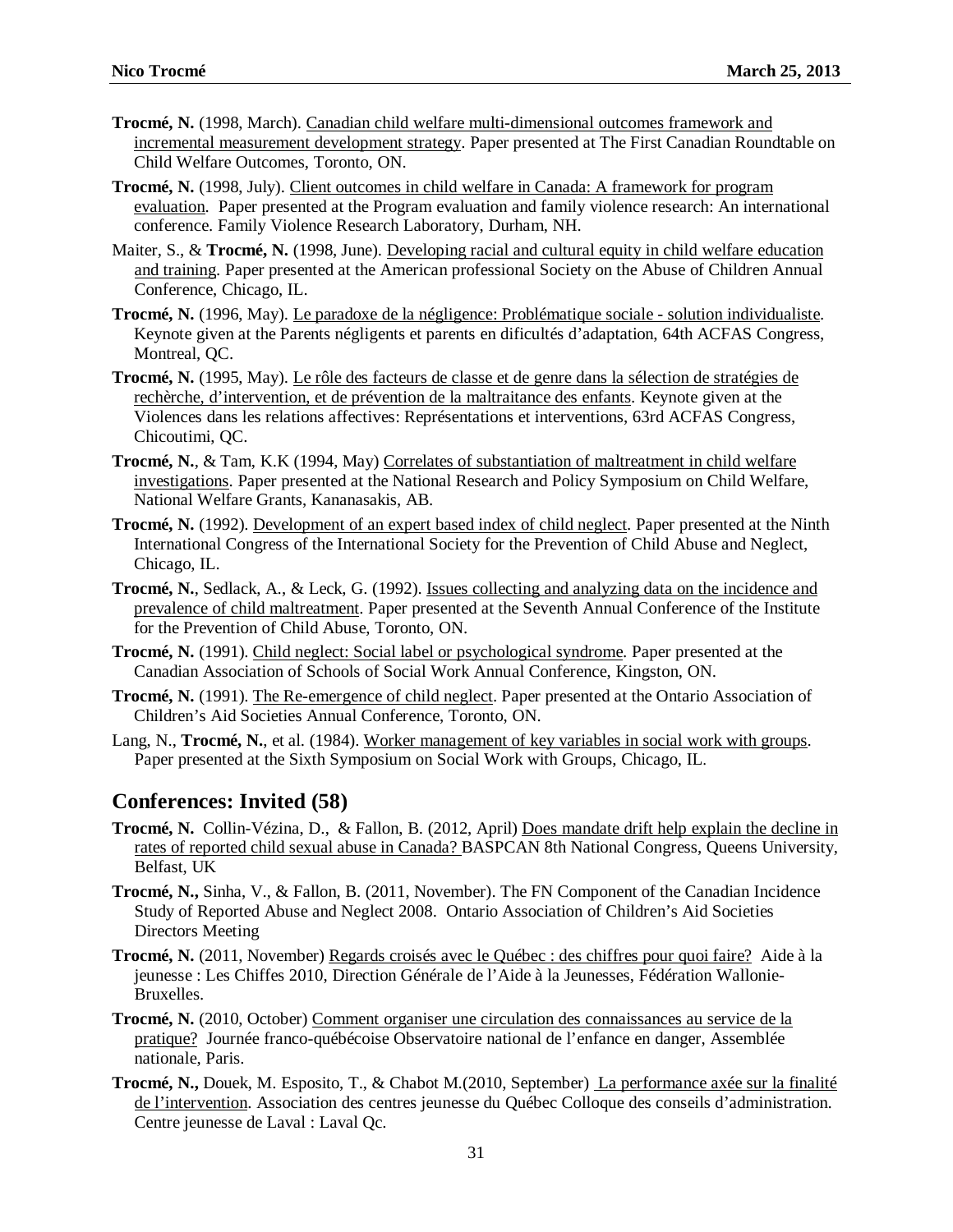- **Trocmé, N.** (1998, March). Canadian child welfare multi-dimensional outcomes framework and incremental measurement development strategy. Paper presented at The First Canadian Roundtable on Child Welfare Outcomes, Toronto, ON.
- **Trocmé, N.** (1998, July). Client outcomes in child welfare in Canada: A framework for program evaluation. Paper presented at the Program evaluation and family violence research: An international conference. Family Violence Research Laboratory, Durham, NH.
- Maiter, S., & **Trocmé, N.** (1998, June). Developing racial and cultural equity in child welfare education and training. Paper presented at the American professional Society on the Abuse of Children Annual Conference, Chicago, IL.
- **Trocmé, N.** (1996, May). Le paradoxe de la négligence: Problématique sociale solution individualiste. Keynote given at the Parents négligents et parents en dificultés d'adaptation, 64th ACFAS Congress, Montreal, QC.
- **Trocmé, N.** (1995, May). Le rôle des facteurs de classe et de genre dans la sélection de stratégies de rechèrche, d'intervention, et de prévention de la maltraitance des enfants. Keynote given at the Violences dans les relations affectives: Représentations et interventions, 63rd ACFAS Congress, Chicoutimi, QC.
- **Trocmé, N.**, & Tam, K.K (1994, May) Correlates of substantiation of maltreatment in child welfare investigations. Paper presented at the National Research and Policy Symposium on Child Welfare, National Welfare Grants, Kananasakis, AB.
- **Trocmé, N.** (1992). Development of an expert based index of child neglect. Paper presented at the Ninth International Congress of the International Society for the Prevention of Child Abuse and Neglect, Chicago, IL.
- **Trocmé, N.**, Sedlack, A., & Leck, G. (1992). Issues collecting and analyzing data on the incidence and prevalence of child maltreatment. Paper presented at the Seventh Annual Conference of the Institute for the Prevention of Child Abuse, Toronto, ON.
- **Trocmé, N.** (1991). Child neglect: Social label or psychological syndrome. Paper presented at the Canadian Association of Schools of Social Work Annual Conference, Kingston, ON.
- **Trocmé, N.** (1991). The Re-emergence of child neglect. Paper presented at the Ontario Association of Children's Aid Societies Annual Conference, Toronto, ON.
- Lang, N., **Trocmé, N.**, et al. (1984). Worker management of key variables in social work with groups. Paper presented at the Sixth Symposium on Social Work with Groups, Chicago, IL.

#### **Conferences: Invited (58)**

- **Trocmé, N.** Collin-Vézina, D., & Fallon, B. (2012, April) Does mandate drift help explain the decline in rates of reported child sexual abuse in Canada? BASPCAN 8th National Congress, Queens University, Belfast, UK
- **Trocmé, N.,** Sinha, V., & Fallon, B. (2011, November). The FN Component of the Canadian Incidence Study of Reported Abuse and Neglect 2008. Ontario Association of Children's Aid Societies Directors Meeting
- **Trocmé, N.** (2011, November) Regards croisés avec le Québec : des chiffres pour quoi faire? Aide à la jeunesse : Les Chiffes 2010, Direction Générale de l'Aide à la Jeunesses, Fédération Wallonie-Bruxelles.
- **Trocmé, N.** (2010, October) Comment organiser une circulation des connaissances au service de la pratique? Journée franco-québécoise Observatoire national de l'enfance en danger, Assemblée nationale, Paris.
- **Trocmé, N.,** Douek, M. Esposito, T., & Chabot M.(2010, September) La performance axée sur la finalité de l'intervention. Association des centres jeunesse du Québec Colloque des conseils d'administration. Centre jeunesse de Laval : Laval Qc.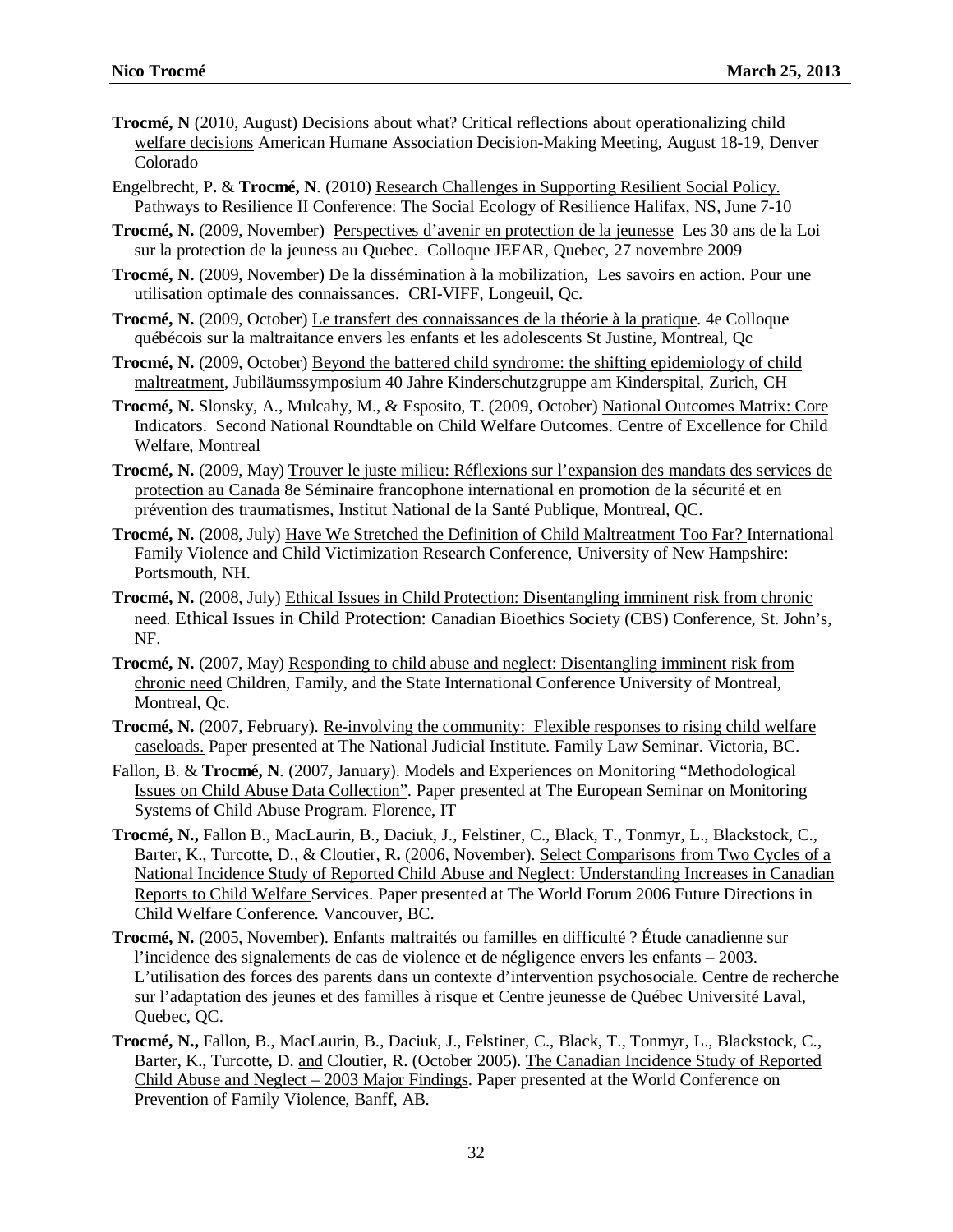- **Trocmé, N** (2010, August) Decisions about what? Critical reflections about operationalizing child welfare decisions American Humane Association Decision-Making Meeting, August 18-19, Denver Colorado
- Engelbrecht, P**.** & **Trocmé, N**. (2010) Research Challenges in Supporting Resilient Social Policy. Pathways to Resilience II Conference: The Social Ecology of Resilience Halifax, NS, June 7-10
- **Trocmé, N.** (2009, November) Perspectives d'avenir en protection de la jeunesse Les 30 ans de la Loi sur la protection de la jeuness au Quebec. Colloque JEFAR, Quebec, 27 novembre 2009
- **Trocmé, N.** (2009, November) De la dissémination à la mobilization, Les savoirs en action. Pour une utilisation optimale des connaissances. CRI-VIFF, Longeuil, Qc.
- **Trocmé, N.** (2009, October) Le transfert des connaissances de la théorie à la pratique. 4e Colloque québécois sur la maltraitance envers les enfants et les adolescents St Justine, Montreal, Qc
- **Trocmé, N.** (2009, October) Beyond the battered child syndrome: the shifting epidemiology of child maltreatment, Jubiläumssymposium 40 Jahre Kinderschutzgruppe am Kinderspital, Zurich, CH
- **Trocmé, N.** Slonsky, A., Mulcahy, M., & Esposito, T. (2009, October) National Outcomes Matrix: Core Indicators. Second National Roundtable on Child Welfare Outcomes. Centre of Excellence for Child Welfare, Montreal
- **Trocmé, N.** (2009, May) Trouver le juste milieu: Réflexions sur l'expansion des mandats des services de protection au Canada 8e Séminaire francophone international en promotion de la sécurité et en prévention des traumatismes, Institut National de la Santé Publique, Montreal, QC.
- **Trocmé, N.** (2008, July) Have We Stretched the Definition of Child Maltreatment Too Far? International Family Violence and Child Victimization Research Conference, University of New Hampshire: Portsmouth, NH.
- **Trocmé, N.** (2008, July) Ethical Issues in Child Protection: Disentangling imminent risk from chronic need. Ethical Issues in Child Protection: Canadian Bioethics Society (CBS) Conference, St. John's, NF.
- **Trocmé, N.** (2007, May) Responding to child abuse and neglect: Disentangling imminent risk from chronic need Children, Family, and the State International Conference University of Montreal, Montreal, Qc.
- **Trocmé, N.** (2007, February). Re-involving the community: Flexible responses to rising child welfare caseloads. Paper presented at The National Judicial Institute. Family Law Seminar. Victoria, BC.
- Fallon, B. & **Trocmé, N**. (2007, January). Models and Experiences on Monitoring "Methodological Issues on Child Abuse Data Collection". Paper presented at The European Seminar on Monitoring Systems of Child Abuse Program. Florence, IT
- **Trocmé, N.,** Fallon B., MacLaurin, B., Daciuk, J., Felstiner, C., Black, T., Tonmyr, L., Blackstock, C., Barter, K., Turcotte, D., & Cloutier, R**.** (2006, November). Select Comparisons from Two Cycles of a National Incidence Study of Reported Child Abuse and Neglect: Understanding Increases in Canadian Reports to Child Welfare Services. Paper presented at The World Forum 2006 Future Directions in Child Welfare Conference. Vancouver, BC.
- **Trocmé, N.** (2005, November). Enfants maltraités ou familles en difficulté ? Étude canadienne sur l'incidence des signalements de cas de violence et de négligence envers les enfants – 2003. L'utilisation des forces des parents dans un contexte d'intervention psychosociale. Centre de recherche sur l'adaptation des jeunes et des familles à risque et Centre jeunesse de Québec Université Laval, Quebec, QC.
- **Trocmé, N.,** Fallon, B., MacLaurin, B., Daciuk, J., Felstiner, C., Black, T., Tonmyr, L., Blackstock, C., Barter, K., Turcotte, D. and Cloutier, R. (October 2005). The Canadian Incidence Study of Reported Child Abuse and Neglect – 2003 Major Findings. Paper presented at the World Conference on Prevention of Family Violence, Banff, AB.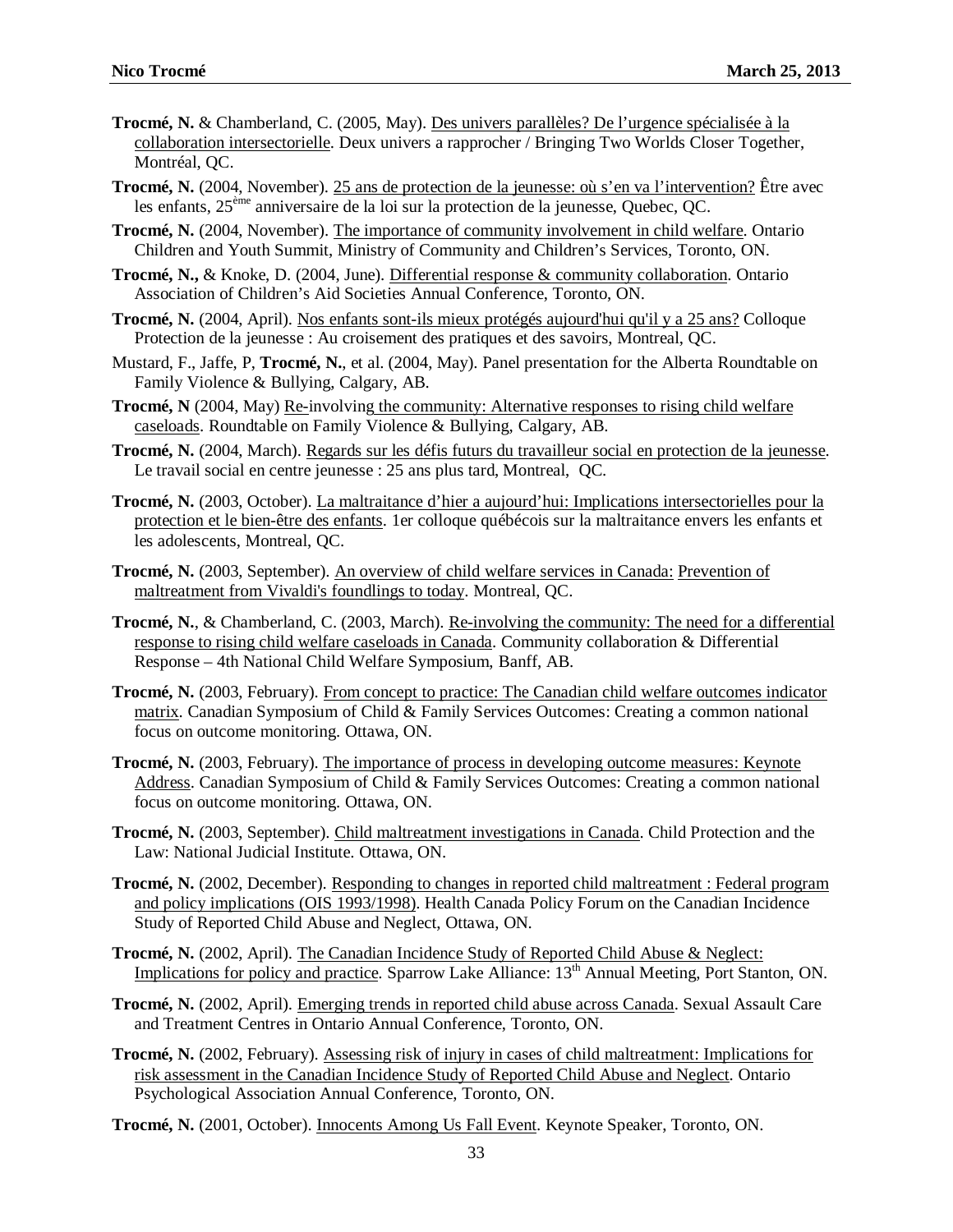- **Trocmé, N.** & Chamberland, C. (2005, May). Des univers parallèles? De l'urgence spécialisée à la collaboration intersectorielle. Deux univers a rapprocher / Bringing Two Worlds Closer Together, Montréal, QC.
- **Trocmé, N.** (2004, November). 25 ans de protection de la jeunesse: où s'en va l'intervention? Être avec les enfants, 25ème anniversaire de la loi sur la protection de la jeunesse, Quebec, QC.
- **Trocmé, N.** (2004, November). The importance of community involvement in child welfare. Ontario Children and Youth Summit, Ministry of Community and Children's Services, Toronto, ON.
- **Trocmé, N.,** & Knoke, D. (2004, June). Differential response & community collaboration. Ontario Association of Children's Aid Societies Annual Conference, Toronto, ON.
- **Trocmé, N.** (2004, April). Nos enfants sont-ils mieux protégés aujourd'hui qu'il y a 25 ans? Colloque Protection de la jeunesse : Au croisement des pratiques et des savoirs, Montreal, QC.
- Mustard, F., Jaffe, P, **Trocmé, N.**, et al. (2004, May). Panel presentation for the Alberta Roundtable on Family Violence & Bullying, Calgary, AB.
- **Trocmé, N** (2004, May) Re-involving the community: Alternative responses to rising child welfare caseloads. Roundtable on Family Violence & Bullying, Calgary, AB.
- **Trocmé, N.** (2004, March). Regards sur les défis futurs du travailleur social en protection de la jeunesse. Le travail social en centre jeunesse : 25 ans plus tard, Montreal, QC.
- **Trocmé, N.** (2003, October). La maltraitance d'hier a aujourd'hui: Implications intersectorielles pour la protection et le bien-être des enfants. 1er colloque québécois sur la maltraitance envers les enfants et les adolescents, Montreal, QC.
- **Trocmé, N.** (2003, September). An overview of child welfare services in Canada: Prevention of maltreatment from Vivaldi's foundlings to today. Montreal, QC.
- **Trocmé, N.**, & Chamberland, C. (2003, March). Re-involving the community: The need for a differential response to rising child welfare caseloads in Canada. Community collaboration & Differential Response – 4th National Child Welfare Symposium, Banff, AB.
- **Trocmé, N.** (2003, February). From concept to practice: The Canadian child welfare outcomes indicator matrix. Canadian Symposium of Child & Family Services Outcomes: Creating a common national focus on outcome monitoring. Ottawa, ON.
- **Trocmé, N.** (2003, February). The importance of process in developing outcome measures: Keynote Address. Canadian Symposium of Child & Family Services Outcomes: Creating a common national focus on outcome monitoring. Ottawa, ON.
- **Trocmé, N.** (2003, September). Child maltreatment investigations in Canada. Child Protection and the Law: National Judicial Institute. Ottawa, ON.
- **Trocmé, N.** (2002, December). Responding to changes in reported child maltreatment : Federal program and policy implications (OIS 1993/1998). Health Canada Policy Forum on the Canadian Incidence Study of Reported Child Abuse and Neglect, Ottawa, ON.
- **Trocmé, N.** (2002, April). The Canadian Incidence Study of Reported Child Abuse & Neglect: Implications for policy and practice. Sparrow Lake Alliance: 13<sup>th</sup> Annual Meeting, Port Stanton, ON.
- **Trocmé, N.** (2002, April). Emerging trends in reported child abuse across Canada. Sexual Assault Care and Treatment Centres in Ontario Annual Conference, Toronto, ON.
- **Trocmé, N.** (2002, February). Assessing risk of injury in cases of child maltreatment: Implications for risk assessment in the Canadian Incidence Study of Reported Child Abuse and Neglect. Ontario Psychological Association Annual Conference, Toronto, ON.
- **Trocmé, N.** (2001, October). Innocents Among Us Fall Event. Keynote Speaker, Toronto, ON.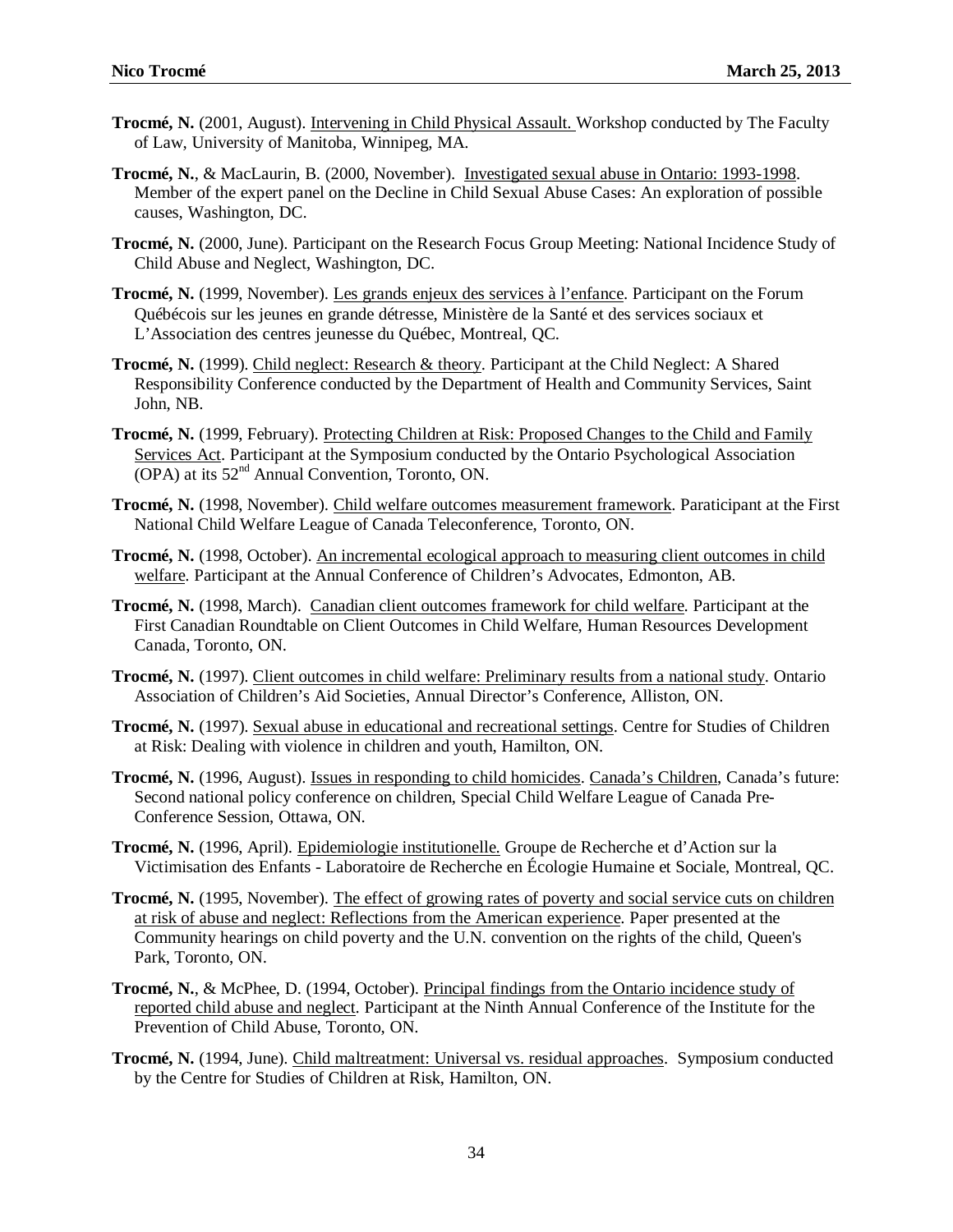- **Trocmé, N.** (2001, August). Intervening in Child Physical Assault. Workshop conducted by The Faculty of Law, University of Manitoba, Winnipeg, MA.
- **Trocmé, N.**, & MacLaurin, B. (2000, November). Investigated sexual abuse in Ontario: 1993-1998. Member of the expert panel on the Decline in Child Sexual Abuse Cases: An exploration of possible causes, Washington, DC.
- **Trocmé, N.** (2000, June). Participant on the Research Focus Group Meeting: National Incidence Study of Child Abuse and Neglect, Washington, DC.
- **Trocmé, N.** (1999, November). Les grands enjeux des services à l'enfance. Participant on the Forum Québécois sur les jeunes en grande détresse, Ministère de la Santé et des services sociaux et L'Association des centres jeunesse du Québec, Montreal, QC.
- **Trocmé, N.** (1999). Child neglect: Research & theory. Participant at the Child Neglect: A Shared Responsibility Conference conducted by the Department of Health and Community Services, Saint John, NB.
- **Trocmé, N.** (1999, February). Protecting Children at Risk: Proposed Changes to the Child and Family Services Act. Participant at the Symposium conducted by the Ontario Psychological Association (OPA) at its 52nd Annual Convention*,* Toronto, ON.
- **Trocmé, N.** (1998, November). Child welfare outcomes measurement framework. Paraticipant at the First National Child Welfare League of Canada Teleconference, Toronto, ON.
- **Trocmé, N.** (1998, October). An incremental ecological approach to measuring client outcomes in child welfare. Participant at the Annual Conference of Children's Advocates, Edmonton, AB.
- **Trocmé, N.** (1998, March). Canadian client outcomes framework for child welfare. Participant at the First Canadian Roundtable on Client Outcomes in Child Welfare, Human Resources Development Canada, Toronto, ON.
- **Trocmé, N.** (1997). Client outcomes in child welfare: Preliminary results from a national study. Ontario Association of Children's Aid Societies, Annual Director's Conference, Alliston, ON.
- **Trocmé, N.** (1997). Sexual abuse in educational and recreational settings. Centre for Studies of Children at Risk: Dealing with violence in children and youth, Hamilton, ON*.*
- **Trocmé, N.** (1996, August). Issues in responding to child homicides. Canada's Children, Canada's future: Second national policy conference on children, Special Child Welfare League of Canada Pre-Conference Session, Ottawa, ON.
- **Trocmé, N.** (1996, April). Epidemiologie institutionelle. Groupe de Recherche et d'Action sur la Victimisation des Enfants - Laboratoire de Recherche en Écologie Humaine et Sociale, Montreal, QC.
- **Trocmé, N.** (1995, November). The effect of growing rates of poverty and social service cuts on children at risk of abuse and neglect: Reflections from the American experience. Paper presented at the Community hearings on child poverty and the U.N. convention on the rights of the child, Queen's Park, Toronto, ON.
- **Trocmé, N.**, & McPhee, D. (1994, October). Principal findings from the Ontario incidence study of reported child abuse and neglect. Participant at the Ninth Annual Conference of the Institute for the Prevention of Child Abuse, Toronto, ON.
- **Trocmé, N.** (1994, June). Child maltreatment: Universal vs. residual approaches. Symposium conducted by the Centre for Studies of Children at Risk, Hamilton, ON.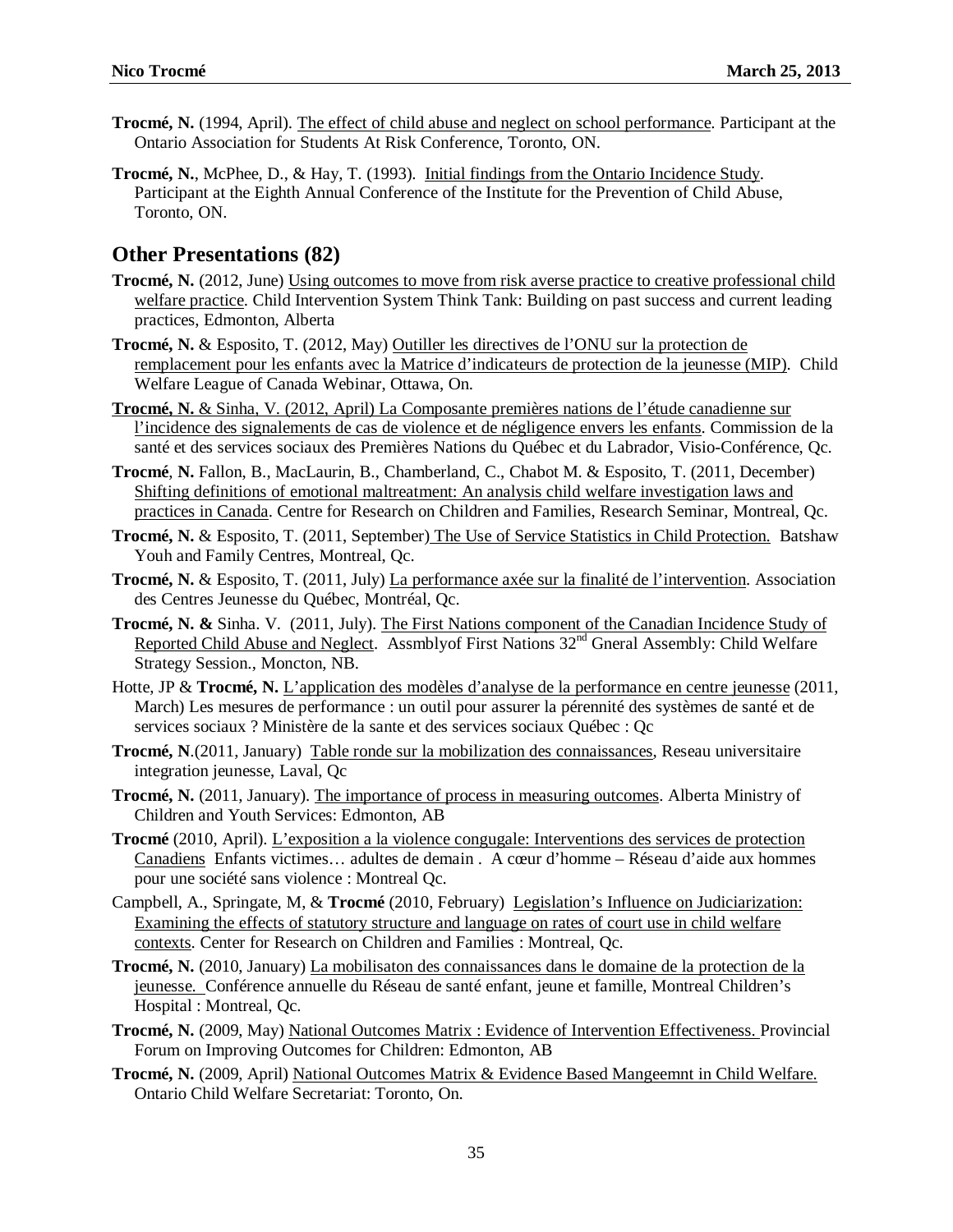- **Trocmé, N.** (1994, April). The effect of child abuse and neglect on school performance. Participant at the Ontario Association for Students At Risk Conference, Toronto, ON.
- **Trocmé, N.**, McPhee, D., & Hay, T. (1993). Initial findings from the Ontario Incidence Study. Participant at the Eighth Annual Conference of the Institute for the Prevention of Child Abuse, Toronto, ON.

#### **Other Presentations (82)**

- **Trocmé, N.** (2012, June) Using outcomes to move from risk averse practice to creative professional child welfare practice. Child Intervention System Think Tank: Building on past success and current leading practices, Edmonton, Alberta
- **Trocmé, N.** & Esposito, T. (2012, May) Outiller les directives de l'ONU sur la protection de remplacement pour les enfants avec la Matrice d'indicateurs de protection de la jeunesse (MIP). Child Welfare League of Canada Webinar, Ottawa, On.
- **Trocmé, N.** & Sinha, V. (2012, April) La Composante premières nations de l'étude canadienne sur l'incidence des signalements de cas de violence et de négligence envers les enfants. Commission de la santé et des services sociaux des Premières Nations du Québec et du Labrador, Visio-Conférence, Qc.
- **Trocmé**, **N.** Fallon, B., MacLaurin, B., Chamberland, C., Chabot M. & Esposito, T. (2011, December) Shifting definitions of emotional maltreatment: An analysis child welfare investigation laws and practices in Canada. Centre for Research on Children and Families, Research Seminar, Montreal, Qc.
- **Trocmé, N.** & Esposito, T. (2011, September) The Use of Service Statistics in Child Protection. Batshaw Youh and Family Centres, Montreal, Qc.
- **Trocmé, N. & Esposito, T. (2011, July)** La performance axée sur la finalité de l'intervention. Association des Centres Jeunesse du Québec, Montréal, Qc.
- **Trocmé, N. &** Sinha. V. (2011, July). The First Nations component of the Canadian Incidence Study of Reported Child Abuse and Neglect. Assmblyof First Nations  $32<sup>nd</sup>$  Gneral Assembly: Child Welfare Strategy Session., Moncton, NB.
- Hotte, JP & **Trocmé, N.** L'application des modèles d'analyse de la performance en centre jeunesse (2011, March) Les mesures de performance : un outil pour assurer la pérennité des systèmes de santé et de services sociaux ? Ministère de la sante et des services sociaux Québec : Qc
- **Trocmé, N**.(2011, January) Table ronde sur la mobilization des connaissances, Reseau universitaire integration jeunesse, Laval, Qc
- **Trocmé, N.** (2011, January). The importance of process in measuring outcomes. Alberta Ministry of Children and Youth Services: Edmonton, AB
- **Trocmé** (2010, April). L'exposition a la violence congugale: Interventions des services de protection Canadiens Enfants victimes… adultes de demain . A cœur d'homme – Réseau d'aide aux hommes pour une société sans violence : Montreal Qc.
- Campbell, A., Springate, M, & **Trocmé** (2010, February) Legislation's Influence on Judiciarization: Examining the effects of statutory structure and language on rates of court use in child welfare contexts. Center for Research on Children and Families : Montreal, Qc.
- **Trocmé, N.** (2010, January) La mobilisaton des connaissances dans le domaine de la protection de la jeunesse. Conférence annuelle du Réseau de santé enfant, jeune et famille, Montreal Children's Hospital : Montreal, Qc.
- **Trocmé, N.** (2009, May) National Outcomes Matrix : Evidence of Intervention Effectiveness. Provincial Forum on Improving Outcomes for Children: Edmonton, AB
- **Trocmé, N.** (2009, April) National Outcomes Matrix & Evidence Based Mangeemnt in Child Welfare. Ontario Child Welfare Secretariat: Toronto, On.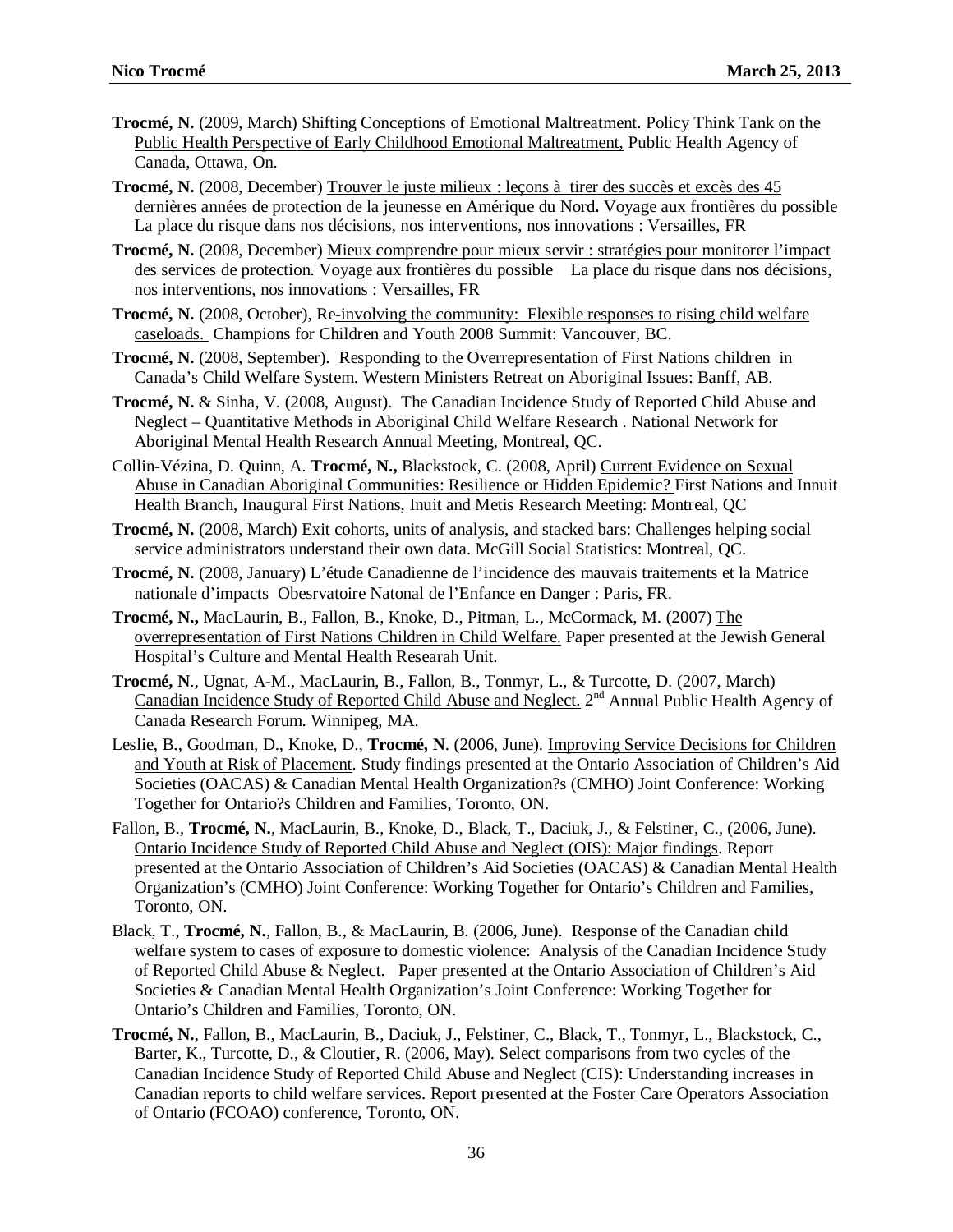- **Trocmé, N.** (2009, March) Shifting Conceptions of Emotional Maltreatment. Policy Think Tank on the Public Health Perspective of Early Childhood Emotional Maltreatment, Public Health Agency of Canada, Ottawa, On.
- **Trocmé, N.** (2008, December) Trouver le juste milieux : leçons à tirer des succès et excès des 45 dernières années de protection de la jeunesse en Amérique du Nord**.** Voyage aux frontières du possible La place du risque dans nos décisions, nos interventions, nos innovations : Versailles, FR
- **Trocmé, N.** (2008, December) Mieux comprendre pour mieux servir : stratégies pour monitorer l'impact des services de protection. Voyage aux frontières du possible La place du risque dans nos décisions, nos interventions, nos innovations : Versailles, FR
- **Trocmé, N.** (2008, October), Re-involving the community: Flexible responses to rising child welfare caseloads. Champions for Children and Youth 2008 Summit: Vancouver, BC.
- **Trocmé, N.** (2008, September). Responding to the Overrepresentation of First Nations children in Canada's Child Welfare System. Western Ministers Retreat on Aboriginal Issues: Banff, AB.
- **Trocmé, N.** & Sinha, V. (2008, August). The Canadian Incidence Study of Reported Child Abuse and Neglect – Quantitative Methods in Aboriginal Child Welfare Research . National Network for Aboriginal Mental Health Research Annual Meeting, Montreal, QC.
- Collin-Vézina, D. Quinn, A. **Trocmé, N.,** Blackstock, C. (2008, April) Current Evidence on Sexual Abuse in Canadian Aboriginal Communities: Resilience or Hidden Epidemic? First Nations and Innuit Health Branch, Inaugural First Nations, Inuit and Metis Research Meeting: Montreal, QC
- **Trocmé, N.** (2008, March) Exit cohorts, units of analysis, and stacked bars: Challenges helping social service administrators understand their own data. McGill Social Statistics: Montreal, QC.
- **Trocmé, N.** (2008, January) L'étude Canadienne de l'incidence des mauvais traitements et la Matrice nationale d'impacts Obesrvatoire Natonal de l'Enfance en Danger : Paris, FR.
- **Trocmé, N.,** MacLaurin, B., Fallon, B., Knoke, D., Pitman, L., McCormack, M. (2007) The overrepresentation of First Nations Children in Child Welfare. Paper presented at the Jewish General Hospital's Culture and Mental Health Researah Unit.
- **Trocmé, N**., Ugnat, A-M., MacLaurin, B., Fallon, B., Tonmyr, L., & Turcotte, D. (2007, March) Canadian Incidence Study of Reported Child Abuse and Neglect.  $2<sup>nd</sup>$  Annual Public Health Agency of Canada Research Forum. Winnipeg, MA.
- Leslie, B., Goodman, D., Knoke, D., **Trocmé, N**. (2006, June). Improving Service Decisions for Children and Youth at Risk of Placement. Study findings presented at the Ontario Association of Children's Aid Societies (OACAS) & Canadian Mental Health Organization?s (CMHO) Joint Conference: Working Together for Ontario?s Children and Families, Toronto, ON.
- Fallon, B., **Trocmé, N.**, MacLaurin, B., Knoke, D., Black, T., Daciuk, J., & Felstiner, C., (2006, June). Ontario Incidence Study of Reported Child Abuse and Neglect (OIS): Major findings. Report presented at the Ontario Association of Children's Aid Societies (OACAS) & Canadian Mental Health Organization's (CMHO) Joint Conference: Working Together for Ontario's Children and Families, Toronto, ON.
- Black, T., **Trocmé, N.**, Fallon, B., & MacLaurin, B. (2006, June). Response of the Canadian child welfare system to cases of exposure to domestic violence: Analysis of the Canadian Incidence Study of Reported Child Abuse & Neglect. Paper presented at the Ontario Association of Children's Aid Societies & Canadian Mental Health Organization's Joint Conference: Working Together for Ontario's Children and Families, Toronto, ON.
- **Trocmé, N.**, Fallon, B., MacLaurin, B., Daciuk, J., Felstiner, C., Black, T., Tonmyr, L., Blackstock, C., Barter, K., Turcotte, D., & Cloutier, R. (2006, May). Select comparisons from two cycles of the Canadian Incidence Study of Reported Child Abuse and Neglect (CIS): Understanding increases in Canadian reports to child welfare services. Report presented at the Foster Care Operators Association of Ontario (FCOAO) conference, Toronto, ON.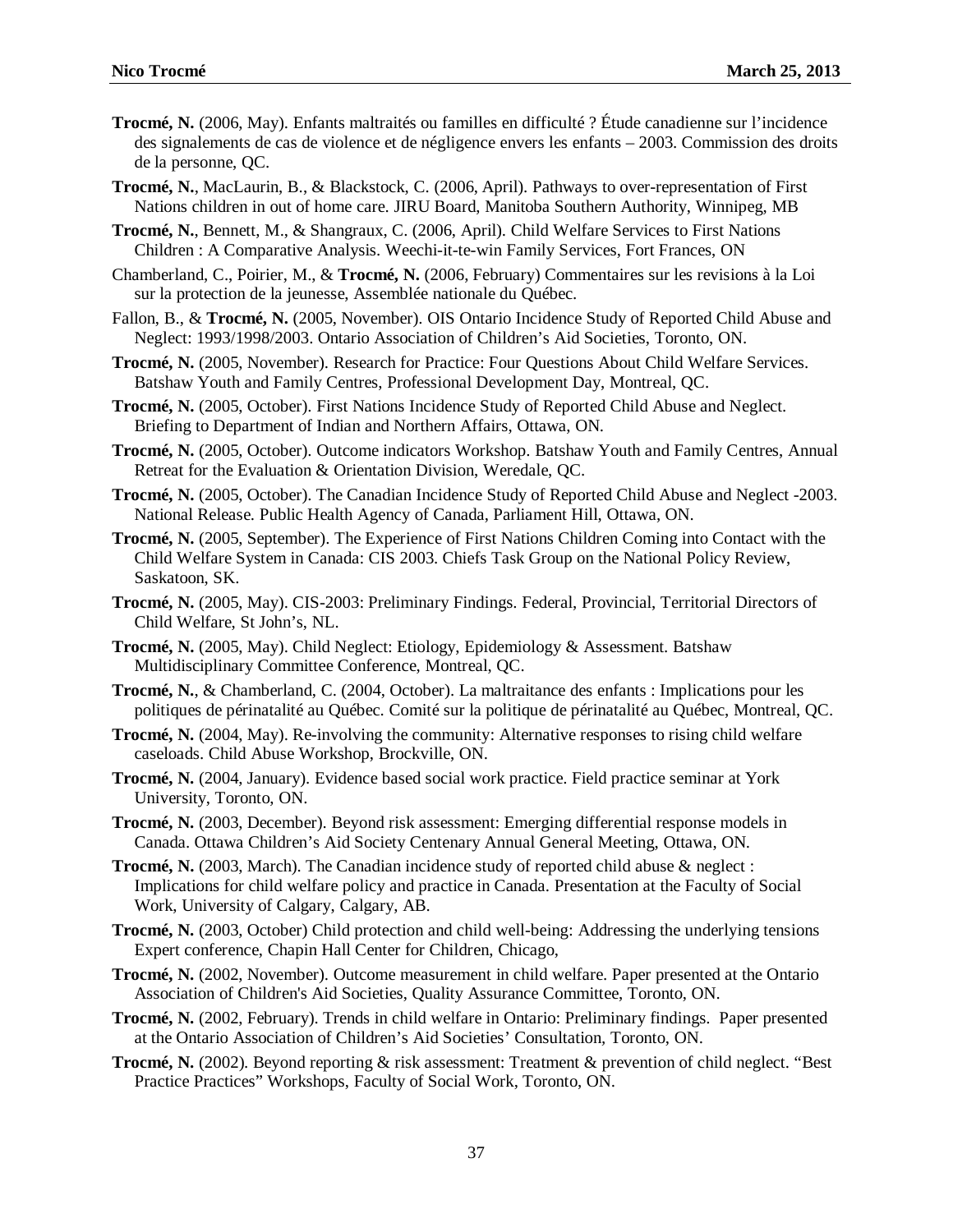- **Trocmé, N.** (2006, May). Enfants maltraités ou familles en difficulté ? Étude canadienne sur l'incidence des signalements de cas de violence et de négligence envers les enfants – 2003. Commission des droits de la personne, QC.
- **Trocmé, N.**, MacLaurin, B., & Blackstock, C. (2006, April). Pathways to over-representation of First Nations children in out of home care. JIRU Board, Manitoba Southern Authority, Winnipeg, MB
- **Trocmé, N.**, Bennett, M., & Shangraux, C. (2006, April). Child Welfare Services to First Nations Children : A Comparative Analysis. Weechi-it-te-win Family Services, Fort Frances, ON
- Chamberland, C., Poirier, M., & **Trocmé, N.** (2006, February) Commentaires sur les revisions à la Loi sur la protection de la jeunesse, Assemblée nationale du Québec.
- Fallon, B., & **Trocmé, N.** (2005, November). OIS Ontario Incidence Study of Reported Child Abuse and Neglect: 1993/1998/2003. Ontario Association of Children's Aid Societies, Toronto, ON.
- **Trocmé, N.** (2005, November). Research for Practice: Four Questions About Child Welfare Services. Batshaw Youth and Family Centres, Professional Development Day, Montreal, QC.
- **Trocmé, N.** (2005, October). First Nations Incidence Study of Reported Child Abuse and Neglect. Briefing to Department of Indian and Northern Affairs, Ottawa, ON.
- **Trocmé, N.** (2005, October). Outcome indicators Workshop. Batshaw Youth and Family Centres, Annual Retreat for the Evaluation & Orientation Division, Weredale, QC.
- **Trocmé, N.** (2005, October). The Canadian Incidence Study of Reported Child Abuse and Neglect -2003. National Release. Public Health Agency of Canada, Parliament Hill, Ottawa, ON.
- **Trocmé, N.** (2005, September). The Experience of First Nations Children Coming into Contact with the Child Welfare System in Canada: CIS 2003. Chiefs Task Group on the National Policy Review, Saskatoon, SK.
- **Trocmé, N.** (2005, May). CIS-2003: Preliminary Findings. Federal, Provincial, Territorial Directors of Child Welfare, St John's, NL.
- **Trocmé, N.** (2005, May). Child Neglect: Etiology, Epidemiology & Assessment. Batshaw Multidisciplinary Committee Conference, Montreal, QC.
- **Trocmé, N.**, & Chamberland, C. (2004, October). La maltraitance des enfants : Implications pour les politiques de périnatalité au Québec. Comité sur la politique de périnatalité au Québec, Montreal, QC.
- **Trocmé, N.** (2004, May). Re-involving the community: Alternative responses to rising child welfare caseloads. Child Abuse Workshop, Brockville, ON.
- **Trocmé, N.** (2004, January). Evidence based social work practice. Field practice seminar at York University, Toronto, ON.
- **Trocmé, N.** (2003, December). Beyond risk assessment: Emerging differential response models in Canada. Ottawa Children's Aid Society Centenary Annual General Meeting, Ottawa, ON.
- **Trocmé, N.** (2003, March). The Canadian incidence study of reported child abuse & neglect : Implications for child welfare policy and practice in Canada. Presentation at the Faculty of Social Work, University of Calgary, Calgary, AB.
- **Trocmé, N.** (2003, October) Child protection and child well-being: Addressing the underlying tensions Expert conference, Chapin Hall Center for Children, Chicago,
- **Trocmé, N.** (2002, November). Outcome measurement in child welfare. Paper presented at the Ontario Association of Children's Aid Societies, Quality Assurance Committee, Toronto, ON.
- **Trocmé, N.** (2002, February). Trends in child welfare in Ontario: Preliminary findings. Paper presented at the Ontario Association of Children's Aid Societies' Consultation*,* Toronto, ON.
- **Trocmé, N.** (2002). Beyond reporting & risk assessment: Treatment & prevention of child neglect. "Best Practice Practices" Workshops, Faculty of Social Work, Toronto, ON.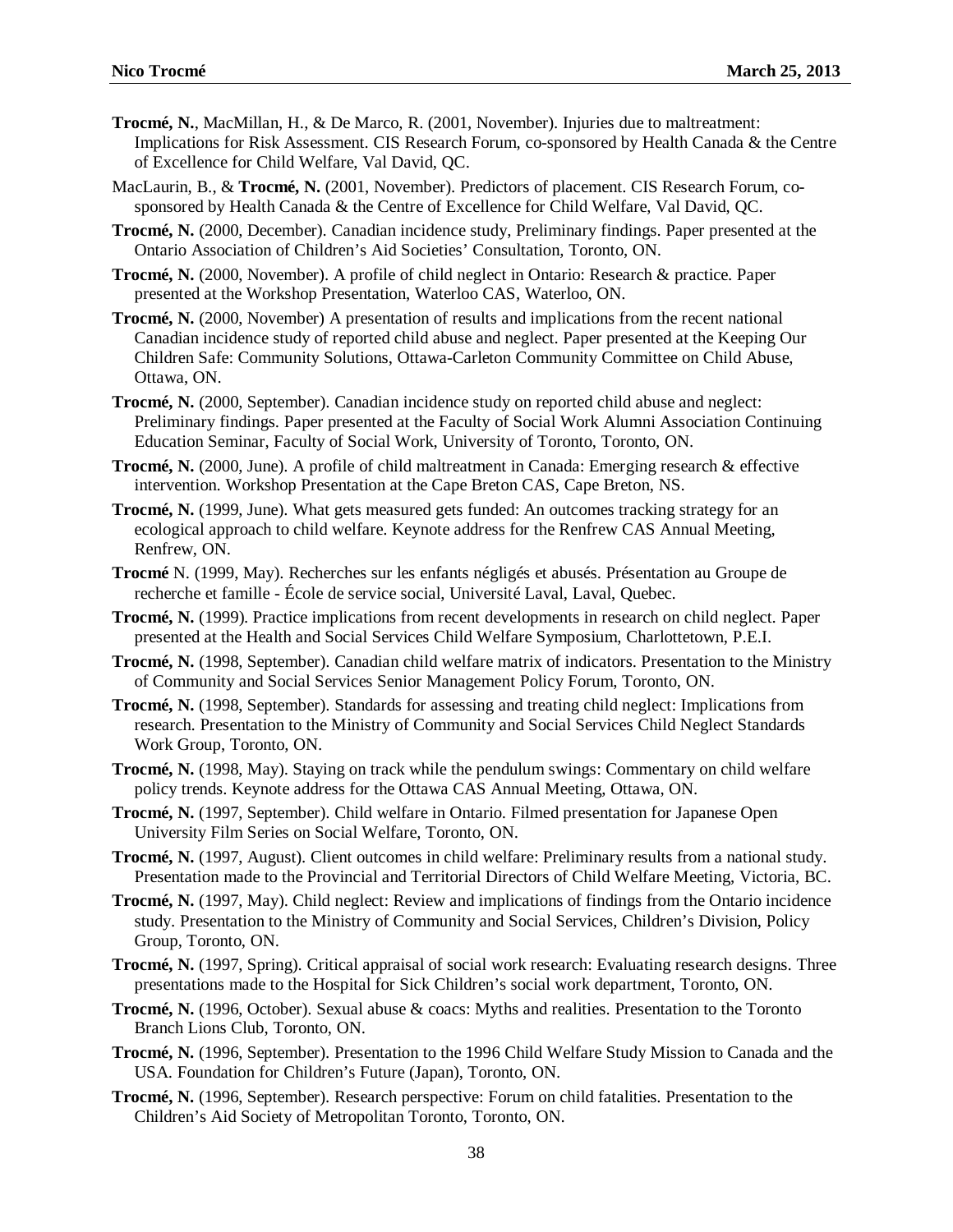- **Trocmé, N.**, MacMillan, H., & De Marco, R. (2001, November). Injuries due to maltreatment: Implications for Risk Assessment. CIS Research Forum, co-sponsored by Health Canada & the Centre of Excellence for Child Welfare, Val David, QC.
- MacLaurin, B., & **Trocmé, N.** (2001, November). Predictors of placement. CIS Research Forum, cosponsored by Health Canada & the Centre of Excellence for Child Welfare, Val David, QC.
- **Trocmé, N.** (2000, December). Canadian incidence study, Preliminary findings. Paper presented at the Ontario Association of Children's Aid Societies' Consultation*,* Toronto, ON.
- **Trocmé, N.** (2000, November). A profile of child neglect in Ontario: Research & practice. Paper presented at the Workshop Presentation, Waterloo CAS, Waterloo, ON.
- **Trocmé, N.** (2000, November) A presentation of results and implications from the recent national Canadian incidence study of reported child abuse and neglect. Paper presented at the Keeping Our Children Safe: Community Solutions, Ottawa-Carleton Community Committee on Child Abuse, Ottawa, ON.
- **Trocmé, N.** (2000, September). Canadian incidence study on reported child abuse and neglect: Preliminary findings. Paper presented at the Faculty of Social Work Alumni Association Continuing Education Seminar, Faculty of Social Work, University of Toronto, Toronto, ON.
- **Trocmé, N.** (2000, June). A profile of child maltreatment in Canada: Emerging research & effective intervention. Workshop Presentation at the Cape Breton CAS, Cape Breton, NS.
- **Trocmé, N.** (1999, June). What gets measured gets funded: An outcomes tracking strategy for an ecological approach to child welfare. Keynote address for the Renfrew CAS Annual Meeting, Renfrew, ON.
- **Trocmé** N. (1999, May). Recherches sur les enfants négligés et abusés. Présentation au Groupe de recherche et famille - École de service social, Université Laval, Laval, Quebec.
- **Trocmé, N.** (1999). Practice implications from recent developments in research on child neglect. Paper presented at the Health and Social Services Child Welfare Symposium, Charlottetown, P.E.I.
- **Trocmé, N.** (1998, September). Canadian child welfare matrix of indicators. Presentation to the Ministry of Community and Social Services Senior Management Policy Forum, Toronto, ON.
- **Trocmé, N.** (1998, September). Standards for assessing and treating child neglect: Implications from research. Presentation to the Ministry of Community and Social Services Child Neglect Standards Work Group, Toronto, ON.
- **Trocmé, N.** (1998, May). Staying on track while the pendulum swings: Commentary on child welfare policy trends. Keynote address for the Ottawa CAS Annual Meeting, Ottawa, ON.
- **Trocmé, N.** (1997, September). Child welfare in Ontario. Filmed presentation for Japanese Open University Film Series on Social Welfare, Toronto, ON.
- **Trocmé, N.** (1997, August). Client outcomes in child welfare: Preliminary results from a national study. Presentation made to the Provincial and Territorial Directors of Child Welfare Meeting, Victoria, BC.
- **Trocmé, N.** (1997, May). Child neglect: Review and implications of findings from the Ontario incidence study. Presentation to the Ministry of Community and Social Services, Children's Division, Policy Group, Toronto, ON.
- **Trocmé, N.** (1997, Spring). Critical appraisal of social work research: Evaluating research designs. Three presentations made to the Hospital for Sick Children's social work department, Toronto, ON.
- **Trocmé, N.** (1996, October). Sexual abuse & coacs: Myths and realities. Presentation to the Toronto Branch Lions Club, Toronto, ON.
- **Trocmé, N.** (1996, September). Presentation to the 1996 Child Welfare Study Mission to Canada and the USA. Foundation for Children's Future (Japan), Toronto, ON.
- **Trocmé, N.** (1996, September). Research perspective: Forum on child fatalities. Presentation to the Children's Aid Society of Metropolitan Toronto, Toronto, ON.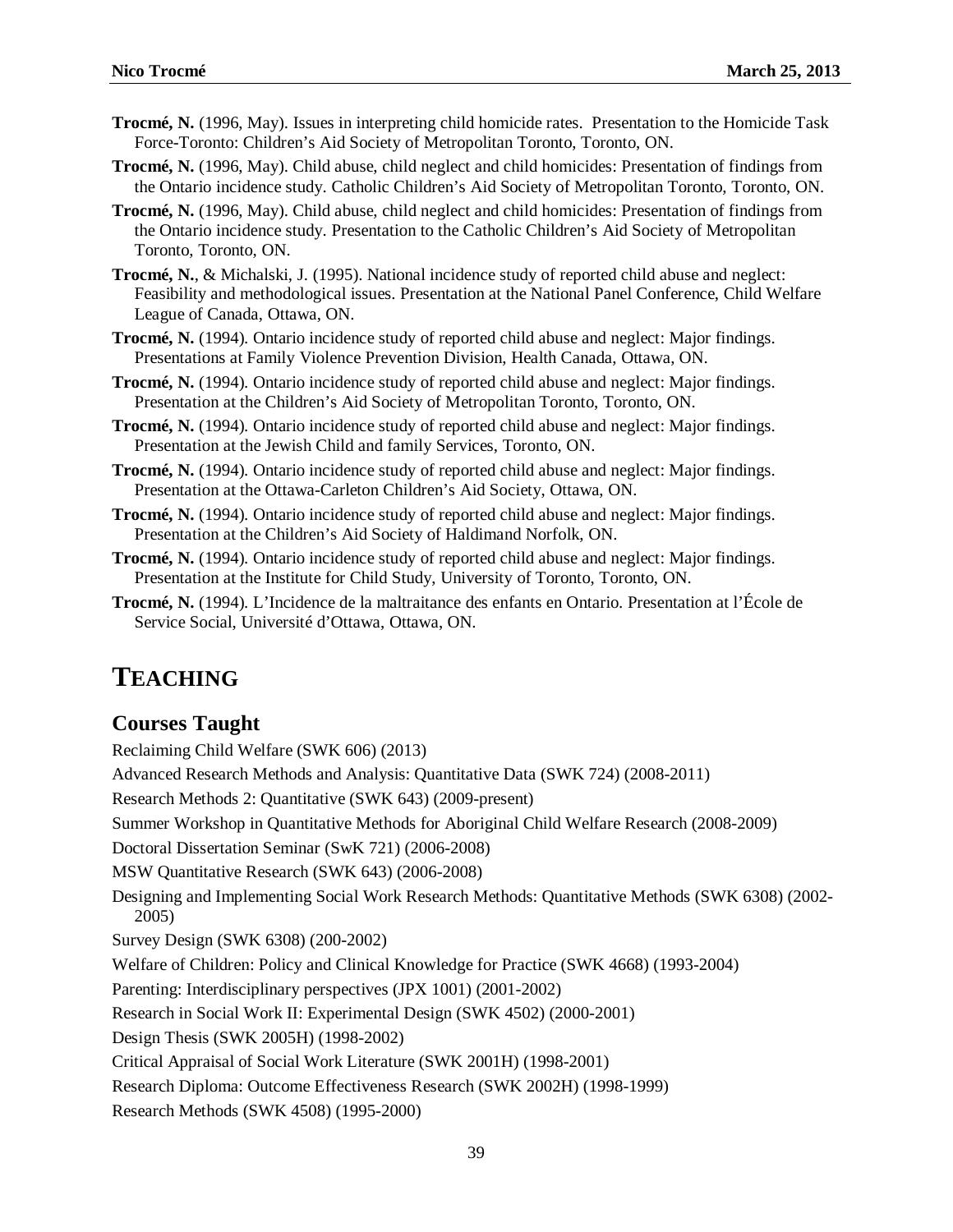- **Trocmé, N.** (1996, May). Issues in interpreting child homicide rates. Presentation to the Homicide Task Force-Toronto: Children's Aid Society of Metropolitan Toronto, Toronto, ON.
- **Trocmé, N.** (1996, May). Child abuse, child neglect and child homicides: Presentation of findings from the Ontario incidence study. Catholic Children's Aid Society of Metropolitan Toronto, Toronto, ON.
- **Trocmé, N.** (1996, May). Child abuse, child neglect and child homicides: Presentation of findings from the Ontario incidence study. Presentation to the Catholic Children's Aid Society of Metropolitan Toronto, Toronto, ON.
- **Trocmé, N.**, & Michalski, J. (1995). National incidence study of reported child abuse and neglect: Feasibility and methodological issues. Presentation at the National Panel Conference, Child Welfare League of Canada, Ottawa, ON.
- **Trocmé, N.** (1994). Ontario incidence study of reported child abuse and neglect: Major findings. Presentations at Family Violence Prevention Division, Health Canada, Ottawa, ON.
- **Trocmé, N.** (1994). Ontario incidence study of reported child abuse and neglect: Major findings. Presentation at the Children's Aid Society of Metropolitan Toronto, Toronto, ON.
- **Trocmé, N.** (1994). Ontario incidence study of reported child abuse and neglect: Major findings. Presentation at the Jewish Child and family Services, Toronto, ON.
- **Trocmé, N.** (1994). Ontario incidence study of reported child abuse and neglect: Major findings. Presentation at the Ottawa-Carleton Children's Aid Society, Ottawa, ON.
- **Trocmé, N.** (1994). Ontario incidence study of reported child abuse and neglect: Major findings. Presentation at the Children's Aid Society of Haldimand Norfolk, ON.
- **Trocmé, N.** (1994). Ontario incidence study of reported child abuse and neglect: Major findings. Presentation at the Institute for Child Study, University of Toronto, Toronto, ON.
- **Trocmé, N.** (1994). L'Incidence de la maltraitance des enfants en Ontario. Presentation at l'École de Service Social, Université d'Ottawa, Ottawa, ON.

# **TEACHING**

#### **Courses Taught**

Reclaiming Child Welfare (SWK 606) (2013) Advanced Research Methods and Analysis: Quantitative Data (SWK 724) (2008-2011) Research Methods 2: Quantitative (SWK 643) (2009-present) Summer Workshop in Quantitative Methods for Aboriginal Child Welfare Research (2008-2009) Doctoral Dissertation Seminar (SwK 721) (2006-2008) MSW Quantitative Research (SWK 643) (2006-2008) Designing and Implementing Social Work Research Methods: Quantitative Methods (SWK 6308) (2002- 2005) Survey Design (SWK 6308) (200-2002) Welfare of Children: Policy and Clinical Knowledge for Practice (SWK 4668) (1993-2004) Parenting: Interdisciplinary perspectives (JPX 1001) (2001-2002) Research in Social Work II: Experimental Design (SWK 4502) (2000-2001) Design Thesis (SWK 2005H) (1998-2002) Critical Appraisal of Social Work Literature (SWK 2001H) (1998-2001) Research Diploma: Outcome Effectiveness Research (SWK 2002H) (1998-1999) Research Methods (SWK 4508) (1995-2000)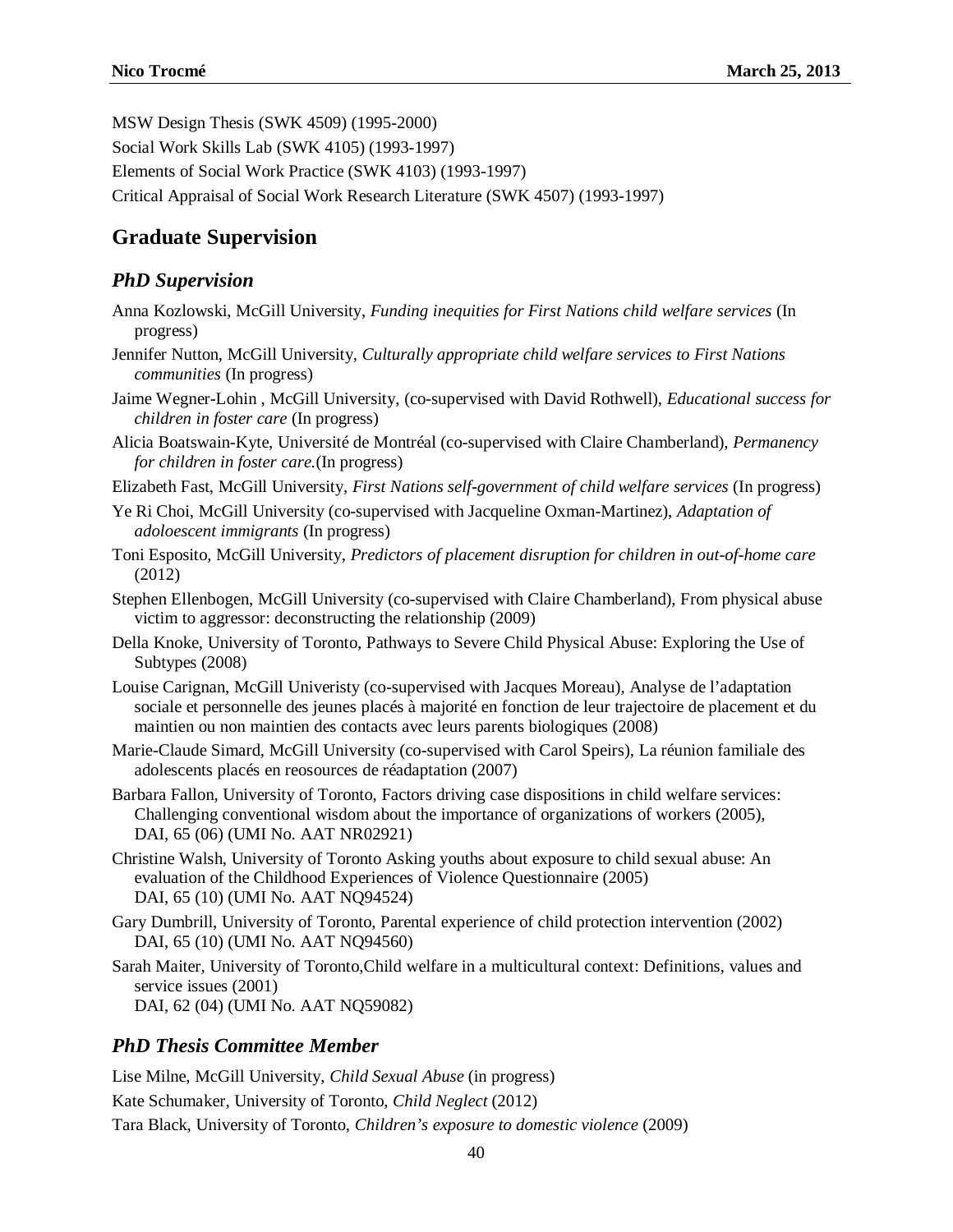MSW Design Thesis (SWK 4509) (1995-2000)

Social Work Skills Lab (SWK 4105) (1993-1997)

Elements of Social Work Practice (SWK 4103) (1993-1997)

Critical Appraisal of Social Work Research Literature (SWK 4507) (1993-1997)

# **Graduate Supervision**

### *PhD Supervision*

- Anna Kozlowski, McGill University, *Funding inequities for First Nations child welfare services* (In progress)
- Jennifer Nutton, McGill University*, Culturally appropriate child welfare services to First Nations communities* (In progress)
- Jaime Wegner-Lohin , McGill University, (co-supervised with David Rothwell), *Educational success for children in foster care* (In progress)
- Alicia Boatswain-Kyte, Université de Montréal (co-supervised with Claire Chamberland), *Permanency for children in foster care.*(In progress)
- Elizabeth Fast, McGill University, *First Nations self-government of child welfare services* (In progress)
- Ye Ri Choi, McGill University (co-supervised with Jacqueline Oxman-Martinez), *Adaptation of adoloescent immigrants* (In progress)
- Toni Esposito, McGill University, *Predictors of placement disruption for children in out-of-home care*  (2012)
- Stephen Ellenbogen, McGill University (co-supervised with Claire Chamberland), From physical abuse victim to aggressor: deconstructing the relationship (2009)
- Della Knoke, University of Toronto, Pathways to Severe Child Physical Abuse: Exploring the Use of Subtypes (2008)
- Louise Carignan, McGill Univeristy (co-supervised with Jacques Moreau), Analyse de l'adaptation sociale et personnelle des jeunes placés à majorité en fonction de leur trajectoire de placement et du maintien ou non maintien des contacts avec leurs parents biologiques (2008)
- Marie-Claude Simard, McGill University (co-supervised with Carol Speirs), La réunion familiale des adolescents placés en reosources de réadaptation (2007)
- Barbara Fallon, University of Toronto, Factors driving case dispositions in child welfare services: Challenging conventional wisdom about the importance of organizations of workers (2005), DAI, 65 (06) (UMI No. AAT NR02921)
- Christine Walsh, University of Toronto Asking youths about exposure to child sexual abuse: An evaluation of the Childhood Experiences of Violence Questionnaire (2005) DAI, 65 (10) (UMI No. AAT NQ94524)
- Gary Dumbrill, University of Toronto, Parental experience of child protection intervention (2002) DAI, 65 (10) (UMI No. AAT NQ94560)
- Sarah Maiter, University of Toronto,Child welfare in a multicultural context: Definitions, values and service issues (2001) DAI, 62 (04) (UMI No. AAT NQ59082)

## *PhD Thesis Committee Member*

Lise Milne, McGill University, *Child Sexual Abuse* (in progress) Kate Schumaker, University of Toronto, *Child Neglect* (2012) Tara Black, University of Toronto, *Children's exposure to domestic violence* (2009)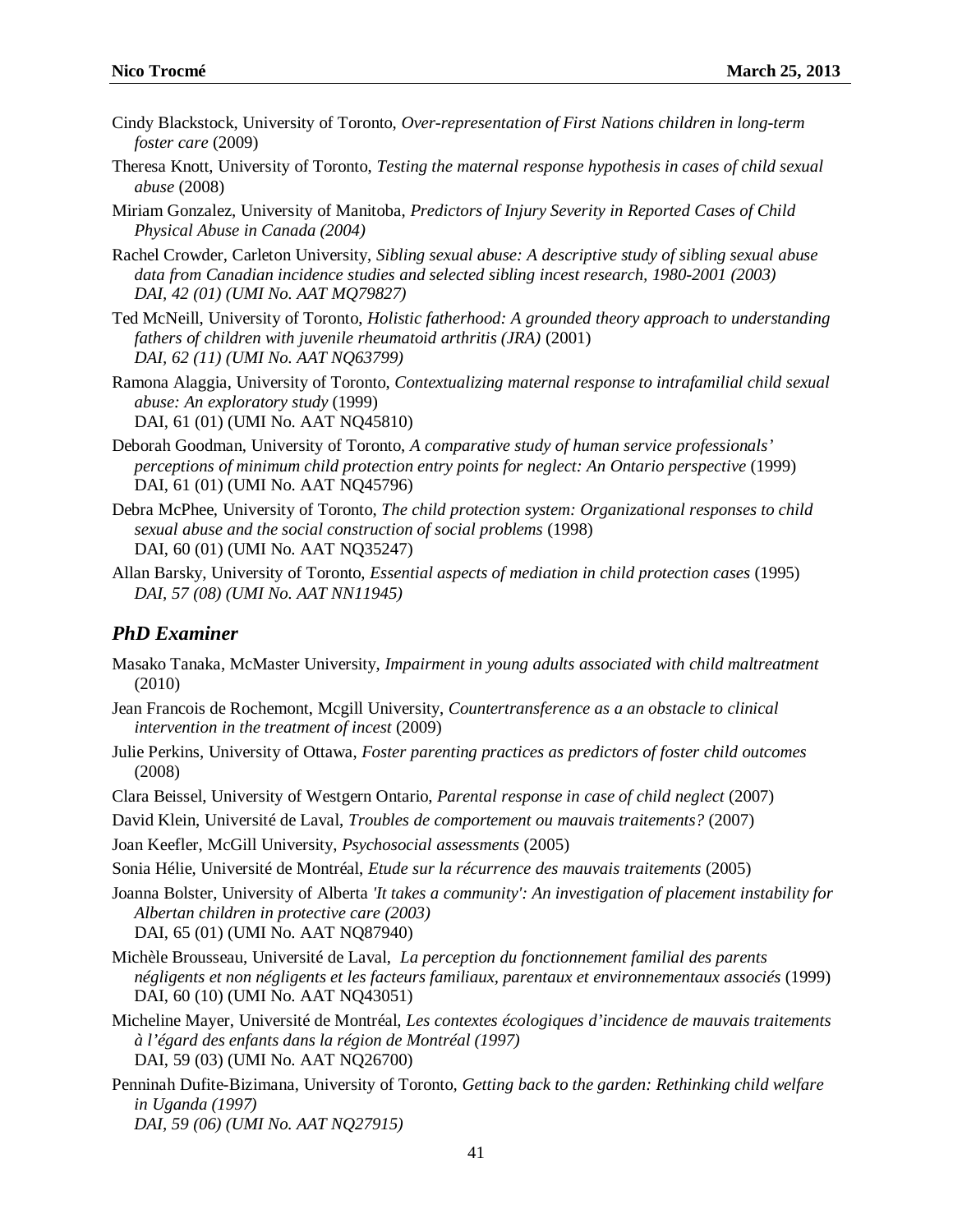- Cindy Blackstock, University of Toronto, *Over-representation of First Nations children in long-term foster care* (2009)
- Theresa Knott, University of Toronto, *Testing the maternal response hypothesis in cases of child sexual abuse* (2008)
- Miriam Gonzalez, University of Manitoba, *Predictors of Injury Severity in Reported Cases of Child Physical Abuse in Canada (2004)*
- Rachel Crowder, Carleton University, *Sibling sexual abuse: A descriptive study of sibling sexual abuse data from Canadian incidence studies and selected sibling incest research, 1980-2001 (2003) DAI, 42 (01) (UMI No. AAT MQ79827)*
- Ted McNeill, University of Toronto, *Holistic fatherhood: A grounded theory approach to understanding fathers of children with juvenile rheumatoid arthritis (JRA)* (2001) *DAI, 62 (11) (UMI No. AAT NQ63799)*
- Ramona Alaggia, University of Toronto, *Contextualizing maternal response to intrafamilial child sexual abuse: An exploratory study* (1999) DAI, 61 (01) (UMI No. AAT NQ45810)
- Deborah Goodman, University of Toronto, *A comparative study of human service professionals' perceptions of minimum child protection entry points for neglect: An Ontario perspective* (1999) DAI, 61 (01) (UMI No. AAT NQ45796)
- Debra McPhee, University of Toronto, *The child protection system: Organizational responses to child sexual abuse and the social construction of social problems* (1998) DAI, 60 (01) (UMI No. AAT NQ35247)
- Allan Barsky, University of Toronto, *Essential aspects of mediation in child protection cases* (1995) *DAI, 57 (08) (UMI No. AAT NN11945)*

#### *PhD Examiner*

- Masako Tanaka, McMaster University, *Impairment in young adults associated with child maltreatment* (2010)
- Jean Francois de Rochemont, Mcgill University, *Countertransference as a an obstacle to clinical intervention in the treatment of incest* (2009)
- Julie Perkins, University of Ottawa, *Foster parenting practices as predictors of foster child outcomes* (2008)
- Clara Beissel, University of Westgern Ontario, *Parental response in case of child neglect* (2007)
- David Klein, Université de Laval, *Troubles de comportement ou mauvais traitements?* (2007)
- Joan Keefler, McGill University, *Psychosocial assessments* (2005)
- Sonia Hélie, Université de Montréal, *Etude sur la récurrence des mauvais traitements* (2005)
- Joanna Bolster, University of Alberta *'It takes a community': An investigation of placement instability for Albertan children in protective care (2003)* DAI, 65 (01) (UMI No. AAT NQ87940)
- Michèle Brousseau, Université de Laval, *La perception du fonctionnement familial des parents négligents et non négligents et les facteurs familiaux, parentaux et environnementaux associés* (1999) DAI, 60 (10) (UMI No. AAT NQ43051)
- Micheline Mayer, Université de Montréal*, Les contextes écologiques d'incidence de mauvais traitements à l'égard des enfants dans la région de Montréal (1997)* DAI, 59 (03) (UMI No. AAT NQ26700)
- Penninah Dufite-Bizimana, University of Toronto*, Getting back to the garden: Rethinking child welfare in Uganda (1997) DAI, 59 (06) (UMI No. AAT NQ27915)*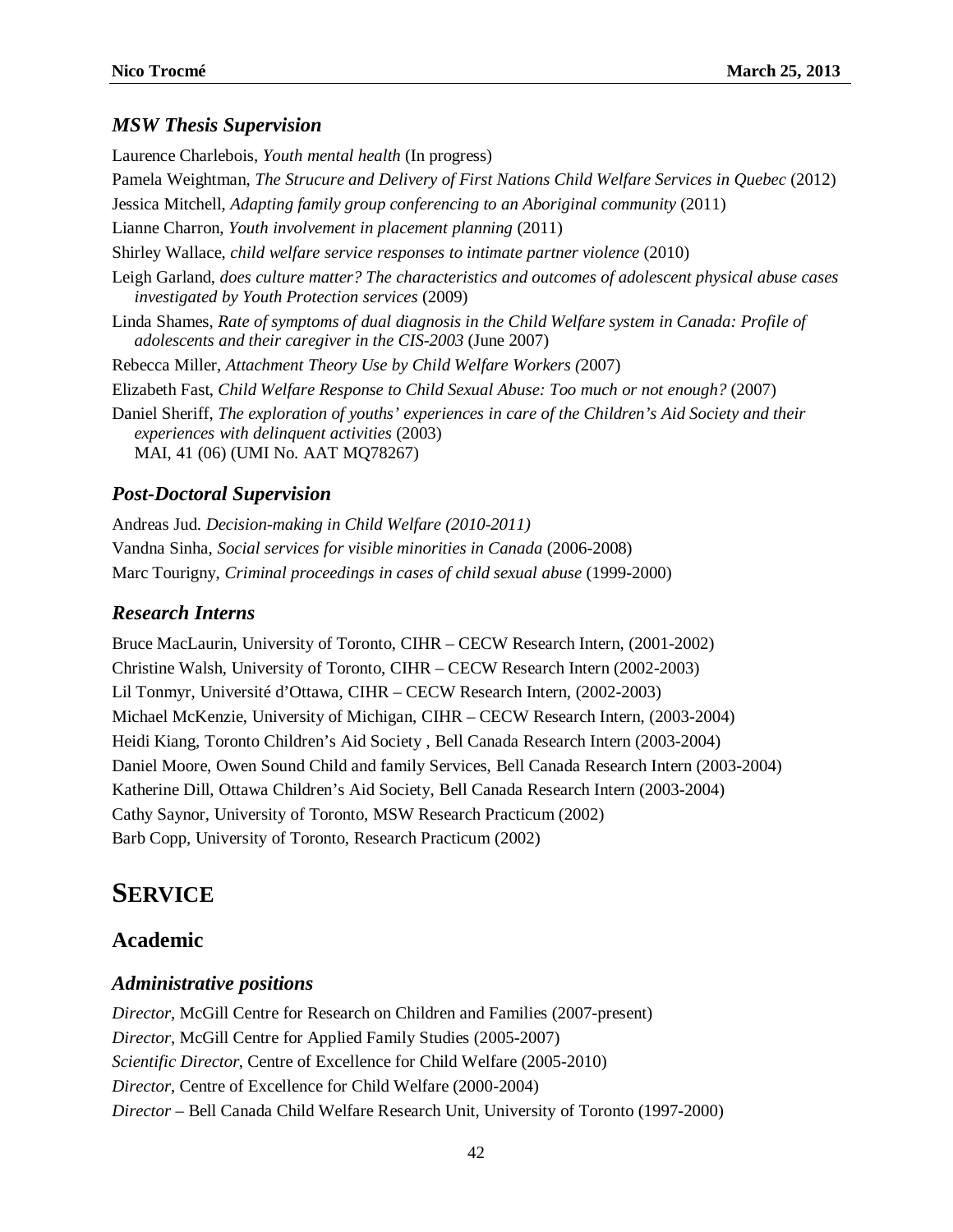#### *MSW Thesis Supervision*

Laurence Charlebois, *Youth mental health* (In progress) Pamela Weightman, *The Strucure and Delivery of First Nations Child Welfare Services in Quebec* (2012) Jessica Mitchell, *Adapting family group conferencing to an Aboriginal community* (2011) Lianne Charron, *Youth involvement in placement planning* (2011) Shirley Wallace, *child welfare service responses to intimate partner violence* (2010) Leigh Garland, *does culture matter? The characteristics and outcomes of adolescent physical abuse cases investigated by Youth Protection services* (2009) Linda Shames, *Rate of symptoms of dual diagnosis in the Child Welfare system in Canada: Profile of adolescents and their caregiver in the CIS-2003* (June 2007) Rebecca Miller, *Attachment Theory Use by Child Welfare Workers (*2007) Elizabeth Fast, *Child Welfare Response to Child Sexual Abuse: Too much or not enough?* (2007) Daniel Sheriff, *The exploration of youths' experiences in care of the Children's Aid Society and their experiences with delinquent activities* (2003) MAI, 41 (06) (UMI No. AAT MQ78267)

#### *Post-Doctoral Supervision*

Andreas Jud. *Decision-making in Child Welfare (2010-2011)* Vandna Sinha, *Social services for visible minorities in Canada* (2006-2008) Marc Tourigny, *Criminal proceedings in cases of child sexual abuse* (1999-2000)

#### *Research Interns*

Bruce MacLaurin, University of Toronto, CIHR – CECW Research Intern, (2001-2002) Christine Walsh, University of Toronto, CIHR – CECW Research Intern (2002-2003) Lil Tonmyr, Université d'Ottawa, CIHR – CECW Research Intern, (2002-2003) Michael McKenzie, University of Michigan, CIHR – CECW Research Intern, (2003-2004) Heidi Kiang, Toronto Children's Aid Society , Bell Canada Research Intern (2003-2004) Daniel Moore, Owen Sound Child and family Services, Bell Canada Research Intern (2003-2004) Katherine Dill, Ottawa Children's Aid Society, Bell Canada Research Intern (2003-2004) Cathy Saynor, University of Toronto, MSW Research Practicum (2002) Barb Copp, University of Toronto, Research Practicum (2002)

# **SERVICE**

#### **Academic**

#### *Administrative positions*

*Director*, McGill Centre for Research on Children and Families (2007-present) *Director*, McGill Centre for Applied Family Studies (2005-2007) *Scientific Director*, Centre of Excellence for Child Welfare (2005-2010) *Director*, Centre of Excellence for Child Welfare (2000-2004) *Director* – Bell Canada Child Welfare Research Unit, University of Toronto (1997-2000)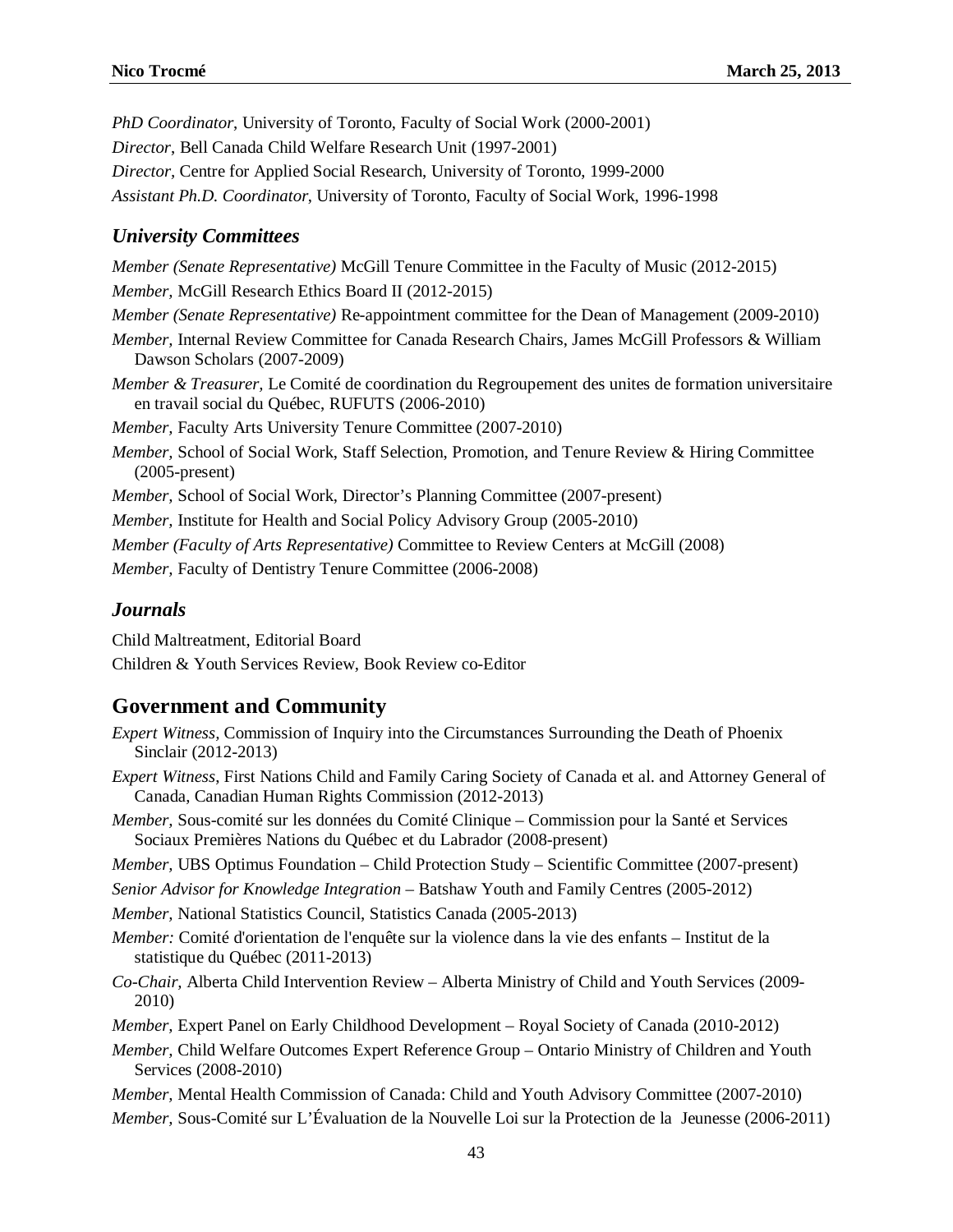*PhD Coordinator*, University of Toronto, Faculty of Social Work (2000-2001) *Director*, Bell Canada Child Welfare Research Unit (1997-2001) *Director,* Centre for Applied Social Research, University of Toronto, 1999-2000 *Assistant Ph.D. Coordinator*, University of Toronto, Faculty of Social Work, 1996-1998

#### *University Committees*

*Member (Senate Representative)* McGill Tenure Committee in the Faculty of Music (2012-2015) *Member,* McGill Research Ethics Board II (2012-2015) *Member (Senate Representative)* Re-appointment committee for the Dean of Management (2009-2010) *Member,* Internal Review Committee for Canada Research Chairs, James McGill Professors & William Dawson Scholars (2007-2009) *Member & Treasurer,* Le Comité de coordination du Regroupement des unites de formation universitaire en travail social du Québec, RUFUTS (2006-2010) *Member,* Faculty Arts University Tenure Committee (2007-2010) *Member,* School of Social Work, Staff Selection, Promotion, and Tenure Review & Hiring Committee (2005-present) *Member,* School of Social Work, Director's Planning Committee (2007-present) *Member,* Institute for Health and Social Policy Advisory Group (2005-2010) *Member (Faculty of Arts Representative)* Committee to Review Centers at McGill (2008) *Member,* Faculty of Dentistry Tenure Committee (2006-2008)

#### *Journals*

Child Maltreatment, Editorial Board

Children & Youth Services Review, Book Review co-Editor

### **Government and Community**

- *Expert Witness,* Commission of Inquiry into the Circumstances Surrounding the Death of Phoenix Sinclair (2012-2013)
- *Expert Witness*, First Nations Child and Family Caring Society of Canada et al. and Attorney General of Canada, Canadian Human Rights Commission (2012-2013)
- *Member,* Sous-comité sur les données du Comité Clinique Commission pour la Santé et Services Sociaux Premières Nations du Québec et du Labrador (2008-present)
- *Member,* UBS Optimus Foundation Child Protection Study Scientific Committee (2007-present)
- *Senior Advisor for Knowledge Integration –* Batshaw Youth and Family Centres (2005-2012)

*Member,* National Statistics Council, Statistics Canada (2005-2013)

- *Member:* Comité d'orientation de l'enquête sur la violence dans la vie des enfants Institut de la statistique du Québec (2011-2013)
- *Co-Chair,* Alberta Child Intervention Review Alberta Ministry of Child and Youth Services (2009- 2010)
- *Member,* Expert Panel on Early Childhood Development Royal Society of Canada (2010-2012)
- *Member,* Child Welfare Outcomes Expert Reference Group Ontario Ministry of Children and Youth Services (2008-2010)

*Member,* Mental Health Commission of Canada: Child and Youth Advisory Committee (2007-2010) *Member,* Sous-Comité sur L'Évaluation de la Nouvelle Loi sur la Protection de la Jeunesse (2006-2011)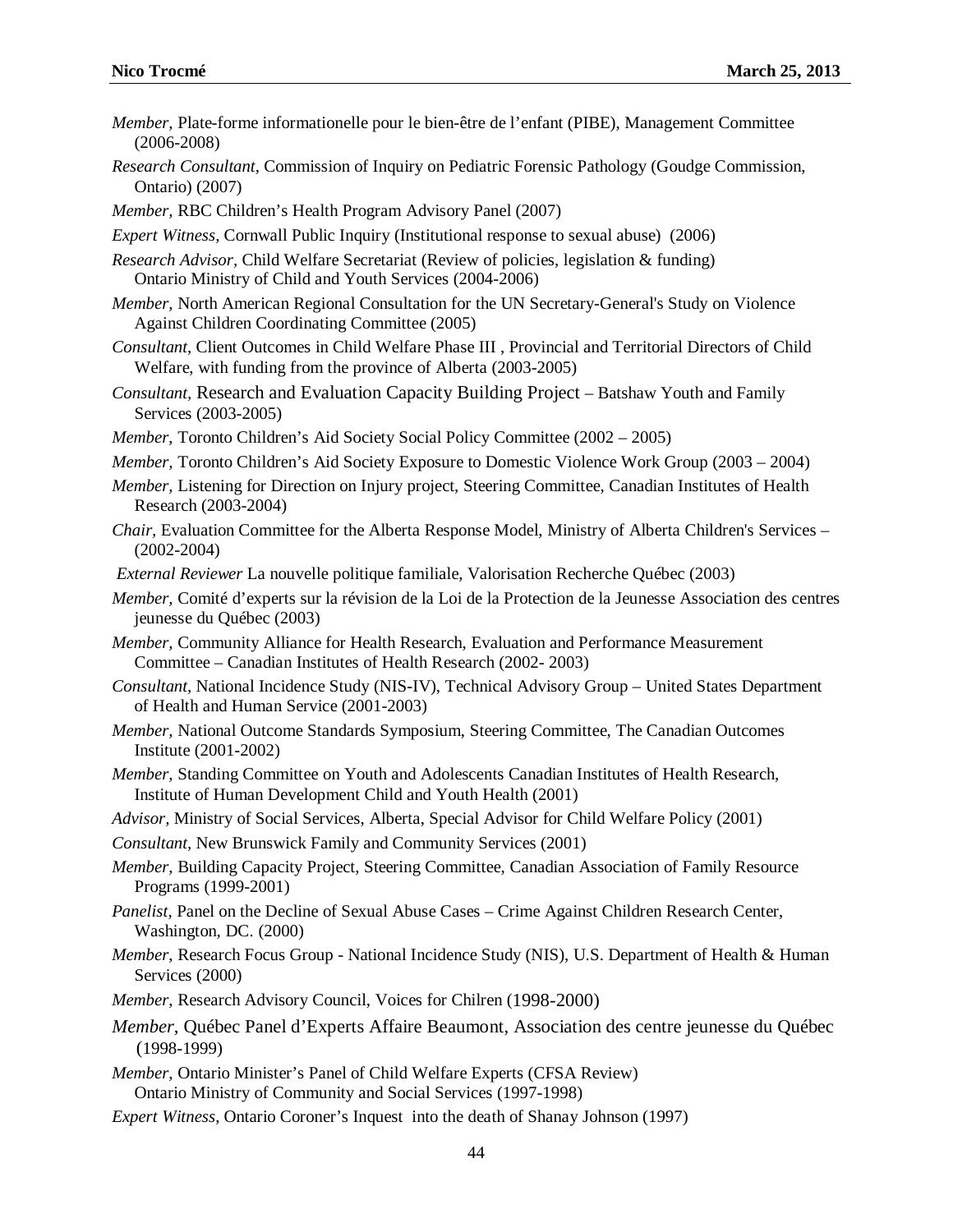- *Member,* Plate-forme informationelle pour le bien-être de l'enfant (PIBE), Management Committee (2006-2008)
- *Research Consultant,* Commission of Inquiry on Pediatric Forensic Pathology (Goudge Commission, Ontario) (2007)
- *Member,* RBC Children's Health Program Advisory Panel (2007)
- *Expert Witness,* Cornwall Public Inquiry (Institutional response to sexual abuse) (2006)
- *Research Advisor,* Child Welfare Secretariat (Review of policies, legislation & funding) Ontario Ministry of Child and Youth Services (2004-2006)
- *Member,* North American Regional Consultation for the UN Secretary-General's Study on Violence Against Children Coordinating Committee (2005)
- *Consultant*, Client Outcomes in Child Welfare Phase III , Provincial and Territorial Directors of Child Welfare, with funding from the province of Alberta (2003-2005)
- *Consultant,* Research and Evaluation Capacity Building Project Batshaw Youth and Family Services (2003-2005)
- *Member*, Toronto Children's Aid Society Social Policy Committee (2002 2005)
- *Member,* Toronto Children's Aid Society Exposure to Domestic Violence Work Group (2003 2004)
- *Member,* Listening for Direction on Injury project, Steering Committee, Canadian Institutes of Health Research (2003-2004)
- *Chair,* Evaluation Committee for the Alberta Response Model, Ministry of Alberta Children's Services (2002-2004)
- *External Reviewer* La nouvelle politique familiale, Valorisation Recherche Québec (2003)
- *Member,* Comité d'experts sur la révision de la Loi de la Protection de la Jeunesse Association des centres jeunesse du Québec (2003)
- *Member,* Community Alliance for Health Research, Evaluation and Performance Measurement Committee – Canadian Institutes of Health Research (2002- 2003)
- *Consultant,* National Incidence Study (NIS-IV), Technical Advisory Group United States Department of Health and Human Service (2001-2003)
- *Member,* National Outcome Standards Symposium, Steering Committee, The Canadian Outcomes Institute (2001-2002)
- *Member,* Standing Committee on Youth and Adolescents Canadian Institutes of Health Research, Institute of Human Development Child and Youth Health (2001)
- *Advisor,* Ministry of Social Services, Alberta, Special Advisor for Child Welfare Policy (2001)
- *Consultant,* New Brunswick Family and Community Services (2001)
- *Member*, Building Capacity Project, Steering Committee, Canadian Association of Family Resource Programs (1999-2001)
- *Panelist*, Panel on the Decline of Sexual Abuse Cases Crime Against Children Research Center, Washington, DC. (2000)
- *Member*, Research Focus Group National Incidence Study (NIS), U.S. Department of Health & Human Services (2000)
- *Member*, Research Advisory Council, Voices for Chilren (1998-2000)
- *Member*, Québec Panel d'Experts Affaire Beaumont, Association des centre jeunesse du Québec (1998-1999)
- *Member*, Ontario Minister's Panel of Child Welfare Experts (CFSA Review) Ontario Ministry of Community and Social Services (1997-1998)
- *Expert Witness*, Ontario Coroner's Inquest into the death of Shanay Johnson (1997)